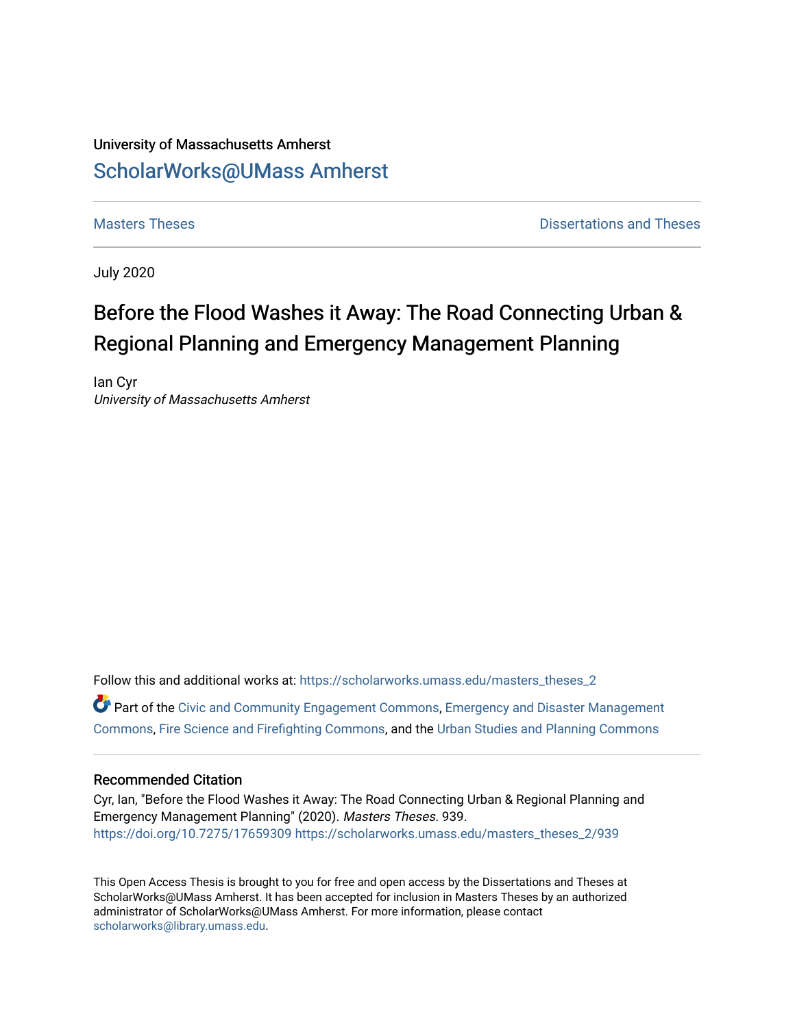# University of Massachusetts Amherst [ScholarWorks@UMass Amherst](https://scholarworks.umass.edu/)

**[Masters Theses](https://scholarworks.umass.edu/masters_theses_2) Contract Contract Contract Contract Contract Contract Contract Contract Contract Contract Contract Contract Contract Contract Contract Contract Contract Contract Contract Contract Contract Contract Contra** 

July 2020

# Before the Flood Washes it Away: The Road Connecting Urban & Regional Planning and Emergency Management Planning

Ian Cyr University of Massachusetts Amherst

Follow this and additional works at: [https://scholarworks.umass.edu/masters\\_theses\\_2](https://scholarworks.umass.edu/masters_theses_2?utm_source=scholarworks.umass.edu%2Fmasters_theses_2%2F939&utm_medium=PDF&utm_campaign=PDFCoverPages)  Part of the [Civic and Community Engagement Commons](http://network.bepress.com/hgg/discipline/1028?utm_source=scholarworks.umass.edu%2Fmasters_theses_2%2F939&utm_medium=PDF&utm_campaign=PDFCoverPages), [Emergency and Disaster Management](http://network.bepress.com/hgg/discipline/1321?utm_source=scholarworks.umass.edu%2Fmasters_theses_2%2F939&utm_medium=PDF&utm_campaign=PDFCoverPages)  [Commons](http://network.bepress.com/hgg/discipline/1321?utm_source=scholarworks.umass.edu%2Fmasters_theses_2%2F939&utm_medium=PDF&utm_campaign=PDFCoverPages), [Fire Science and Firefighting Commons,](http://network.bepress.com/hgg/discipline/1411?utm_source=scholarworks.umass.edu%2Fmasters_theses_2%2F939&utm_medium=PDF&utm_campaign=PDFCoverPages) and the [Urban Studies and Planning Commons](http://network.bepress.com/hgg/discipline/436?utm_source=scholarworks.umass.edu%2Fmasters_theses_2%2F939&utm_medium=PDF&utm_campaign=PDFCoverPages) 

### Recommended Citation

Cyr, Ian, "Before the Flood Washes it Away: The Road Connecting Urban & Regional Planning and Emergency Management Planning" (2020). Masters Theses. 939. <https://doi.org/10.7275/17659309> [https://scholarworks.umass.edu/masters\\_theses\\_2/939](https://scholarworks.umass.edu/masters_theses_2/939?utm_source=scholarworks.umass.edu%2Fmasters_theses_2%2F939&utm_medium=PDF&utm_campaign=PDFCoverPages) 

This Open Access Thesis is brought to you for free and open access by the Dissertations and Theses at ScholarWorks@UMass Amherst. It has been accepted for inclusion in Masters Theses by an authorized administrator of ScholarWorks@UMass Amherst. For more information, please contact [scholarworks@library.umass.edu.](mailto:scholarworks@library.umass.edu)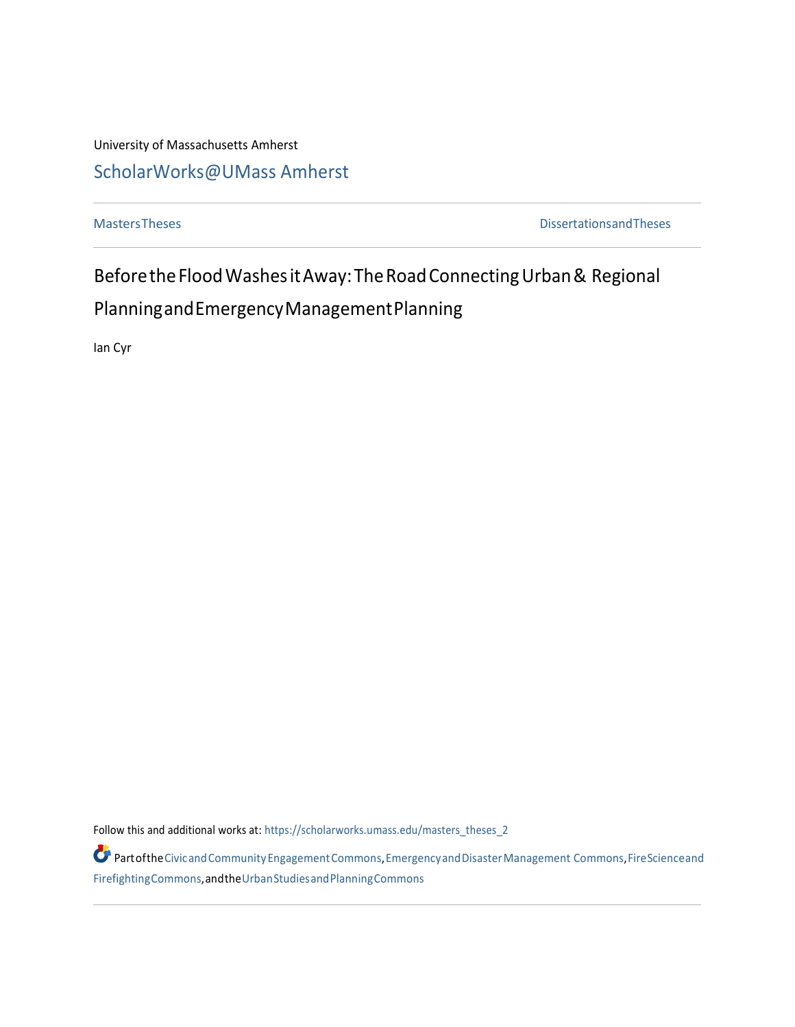University of Massachusetts Amherst

# [ScholarWorks@UMass Amherst](https://scholarworks.umass.edu/)

[MastersTheses](https://scholarworks.umass.edu/masters_theses_2) [DissertationsandTheses](https://scholarworks.umass.edu/etds)

BeforetheFloodWashesitAway:TheRoadConnectingUrban& Regional PlanningandEmergencyManagementPlanning

Ian Cyr

Follow this and additional works at: [https://scholarworks.umass.edu/masters\\_theses\\_2](https://scholarworks.umass.edu/masters_theses_2?utm_source=scholarworks.umass.edu%2Fmasters_theses_2%2F1&utm_medium=PDF&utm_campaign=PDFCoverPages)

Partofth[eCivicandCommunityEngagementCommons,](http://network.bepress.com/hgg/discipline/1028?utm_source=scholarworks.umass.edu%2Fmasters_theses_2%2F1&utm_medium=PDF&utm_campaign=PDFCoverPages)[EmergencyandDisasterManagement](http://network.bepress.com/hgg/discipline/1321?utm_source=scholarworks.umass.edu%2Fmasters_theses_2%2F1&utm_medium=PDF&utm_campaign=PDFCoverPages) [Commons,](http://network.bepress.com/hgg/discipline/1321?utm_source=scholarworks.umass.edu%2Fmasters_theses_2%2F1&utm_medium=PDF&utm_campaign=PDFCoverPages)[FireScienceand](http://network.bepress.com/hgg/discipline/1411?utm_source=scholarworks.umass.edu%2Fmasters_theses_2%2F1&utm_medium=PDF&utm_campaign=PDFCoverPages) [FirefightingCommons,](http://network.bepress.com/hgg/discipline/1411?utm_source=scholarworks.umass.edu%2Fmasters_theses_2%2F1&utm_medium=PDF&utm_campaign=PDFCoverPages)andth[eUrbanStudiesandPlanningCommons](http://network.bepress.com/hgg/discipline/436?utm_source=scholarworks.umass.edu%2Fmasters_theses_2%2F1&utm_medium=PDF&utm_campaign=PDFCoverPages)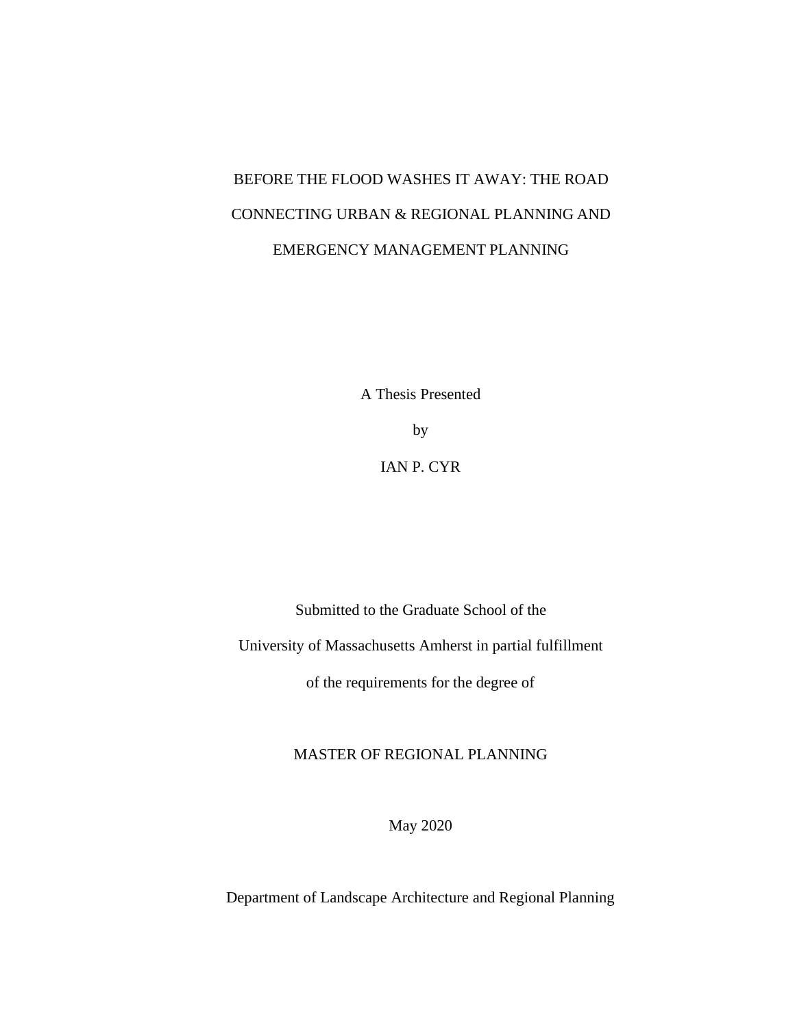# BEFORE THE FLOOD WASHES IT AWAY: THE ROAD CONNECTING URBAN & REGIONAL PLANNING AND EMERGENCY MANAGEMENT PLANNING

A Thesis Presented

by

IAN P. CYR

Submitted to the Graduate School of the

University of Massachusetts Amherst in partial fulfillment

of the requirements for the degree of

MASTER OF REGIONAL PLANNING

May 2020

Department of Landscape Architecture and Regional Planning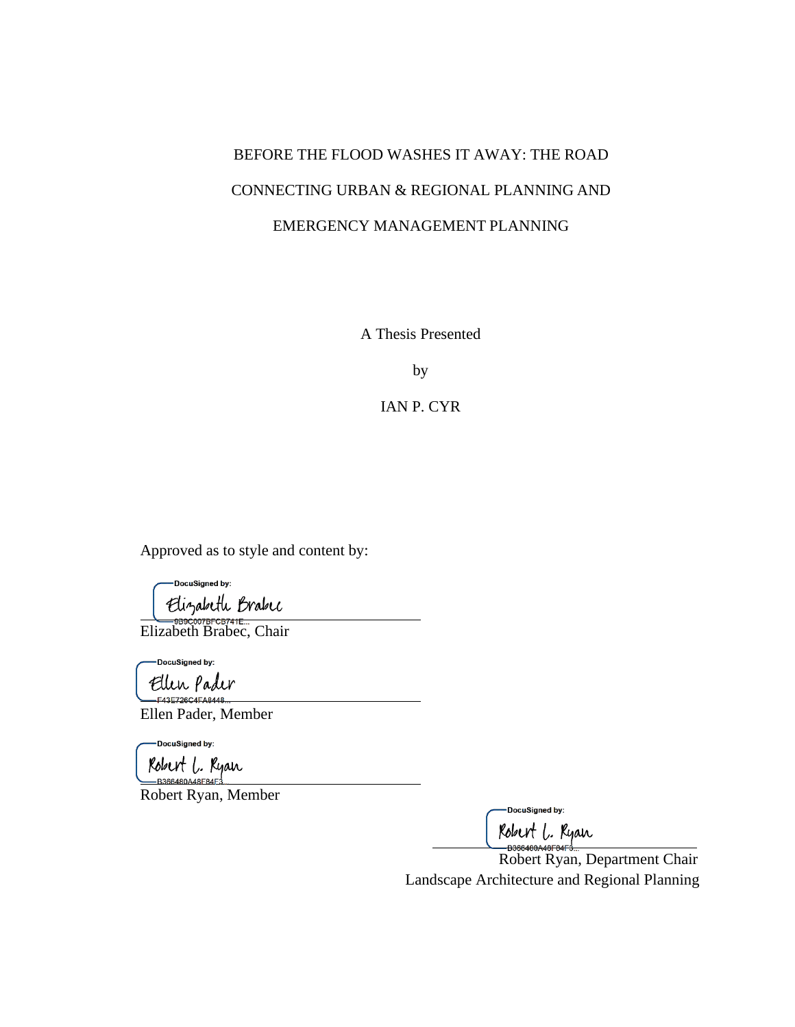# BEFORE THE FLOOD WASHES IT AWAY: THE ROAD CONNECTING URBAN & REGIONAL PLANNING AND EMERGENCY MANAGEMENT PLANNING

A Thesis Presented

by

IAN P. CYR

Approved as to style and content by:

DocuSigned by: Elizabeth Brabec<br>Elizabeth Brabec, Chair

DocuSigned by:

Ellen pader

Ellen Pader, Member

-DocuSigned by:

Robert L. Ryan

Robert Ryan, Member

-DocuSigned by:

Robert L. Ryan<br>B366480A46F84F3...<br>Robert Ryan, Department Chair Landscape Architecture and Regional Planning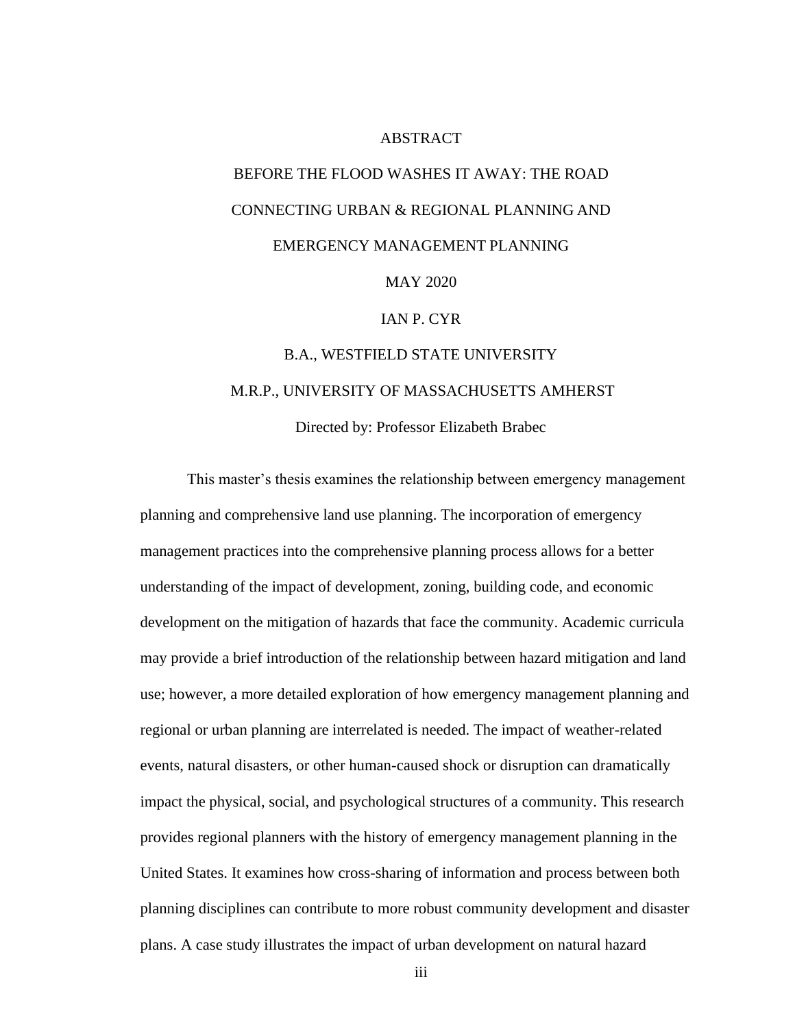#### ABSTRACT

# <span id="page-4-0"></span>BEFORE THE FLOOD WASHES IT AWAY: THE ROAD CONNECTING URBAN & REGIONAL PLANNING AND EMERGENCY MANAGEMENT PLANNING

## MAY 2020

#### IAN P. CYR

# B.A., WESTFIELD STATE UNIVERSITY M.R.P., UNIVERSITY OF MASSACHUSETTS AMHERST

Directed by: Professor Elizabeth Brabec

This master's thesis examines the relationship between emergency management planning and comprehensive land use planning. The incorporation of emergency management practices into the comprehensive planning process allows for a better understanding of the impact of development, zoning, building code, and economic development on the mitigation of hazards that face the community. Academic curricula may provide a brief introduction of the relationship between hazard mitigation and land use; however, a more detailed exploration of how emergency management planning and regional or urban planning are interrelated is needed. The impact of weather-related events, natural disasters, or other human-caused shock or disruption can dramatically impact the physical, social, and psychological structures of a community. This research provides regional planners with the history of emergency management planning in the United States. It examines how cross-sharing of information and process between both planning disciplines can contribute to more robust community development and disaster plans. A case study illustrates the impact of urban development on natural hazard

iii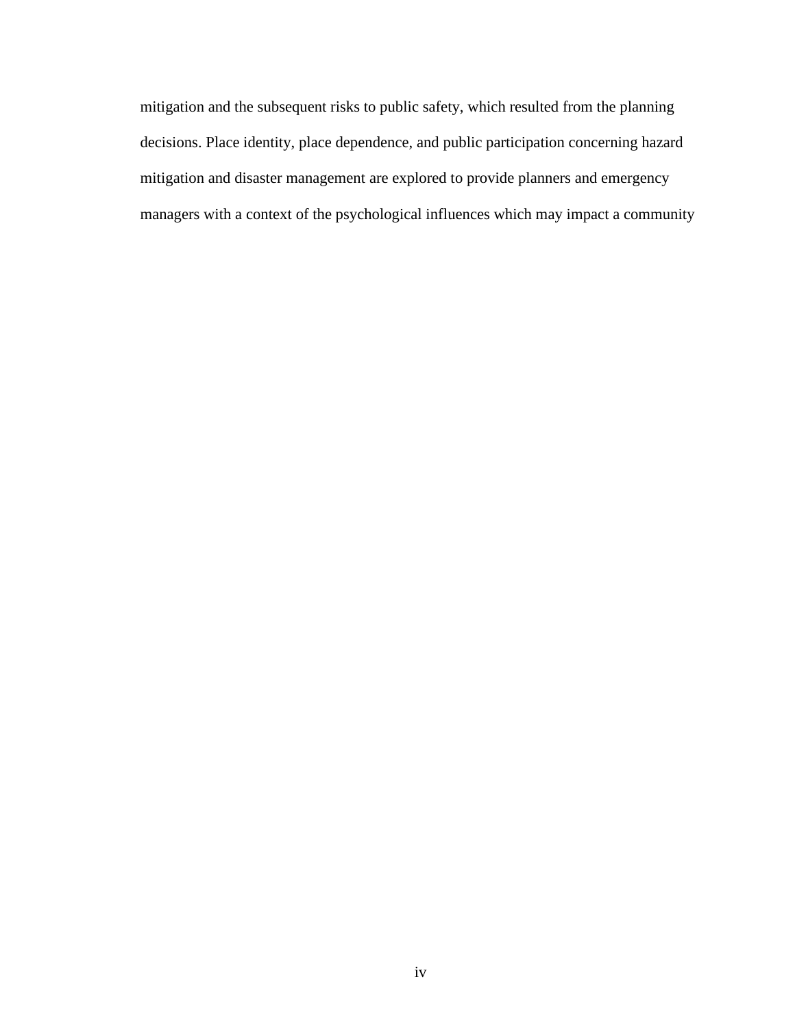mitigation and the subsequent risks to public safety, which resulted from the planning decisions. Place identity, place dependence, and public participation concerning hazard mitigation and disaster management are explored to provide planners and emergency managers with a context of the psychological influences which may impact a community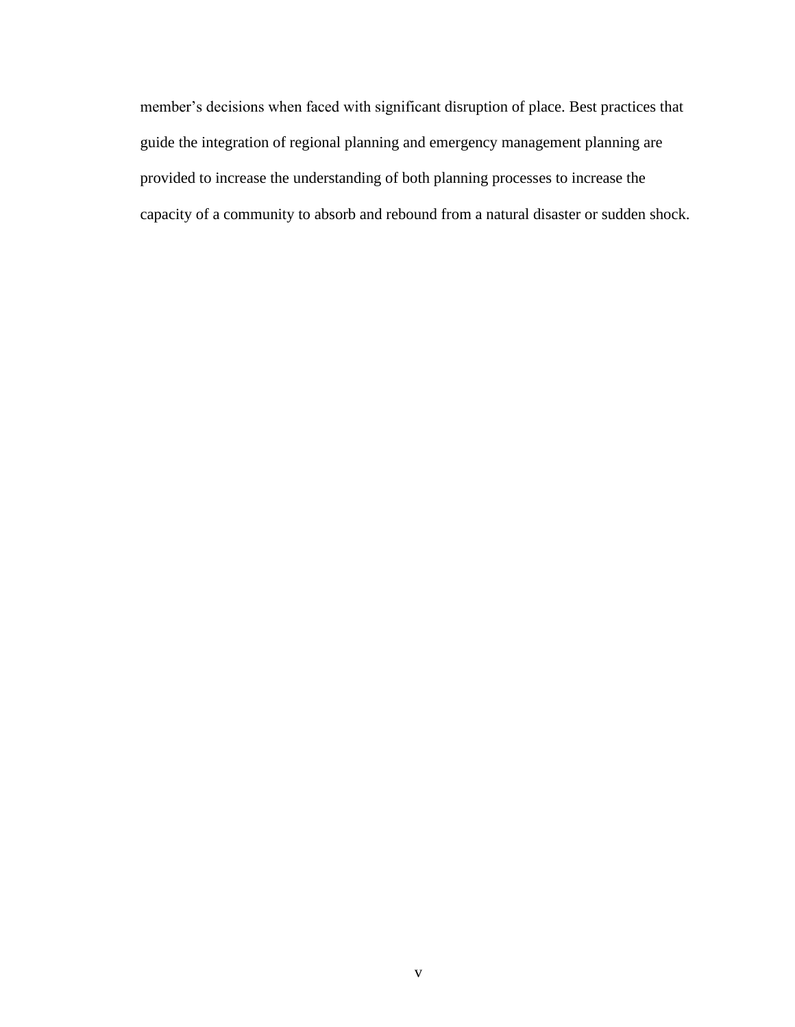member's decisions when faced with significant disruption of place. Best practices that guide the integration of regional planning and emergency management planning are provided to increase the understanding of both planning processes to increase the capacity of a community to absorb and rebound from a natural disaster or sudden shock.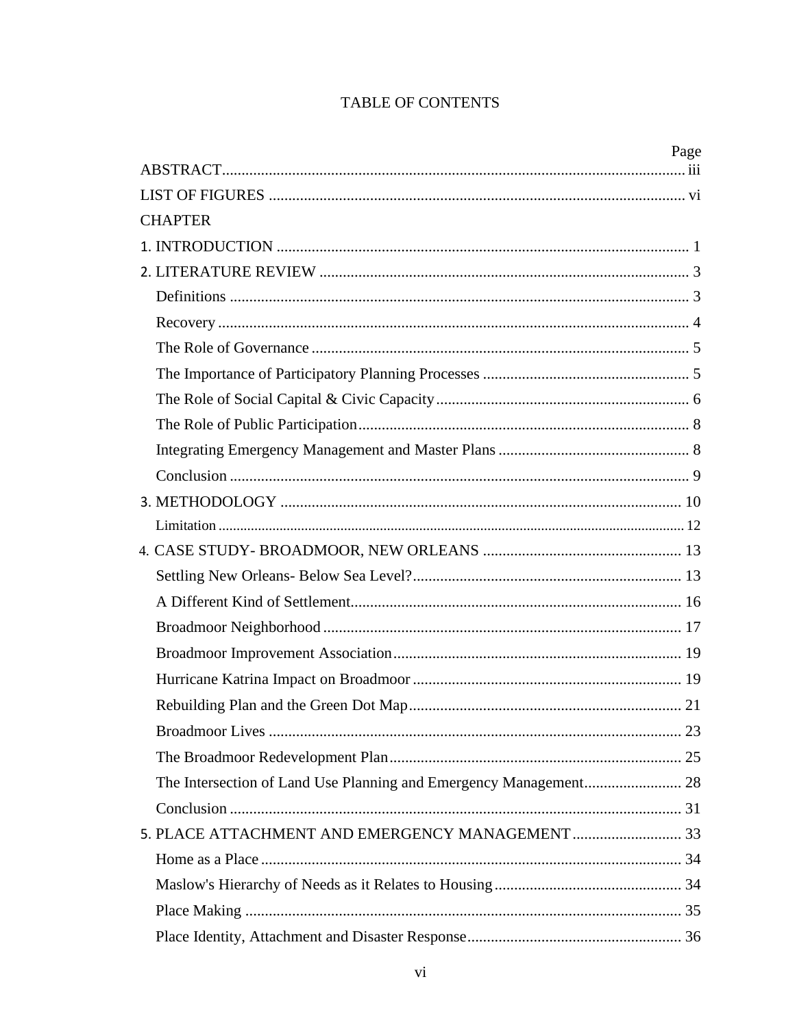# TABLE OF CONTENTS

|                | Page |
|----------------|------|
|                |      |
| <b>CHAPTER</b> |      |
|                |      |
|                |      |
|                |      |
|                |      |
|                |      |
|                |      |
|                |      |
|                |      |
|                |      |
|                |      |
|                |      |
|                |      |
|                |      |
|                |      |
|                |      |
|                |      |
|                |      |
|                |      |
|                |      |
|                |      |
|                |      |
|                |      |
|                |      |
|                |      |
|                |      |
|                |      |
|                |      |
|                |      |
|                |      |
|                |      |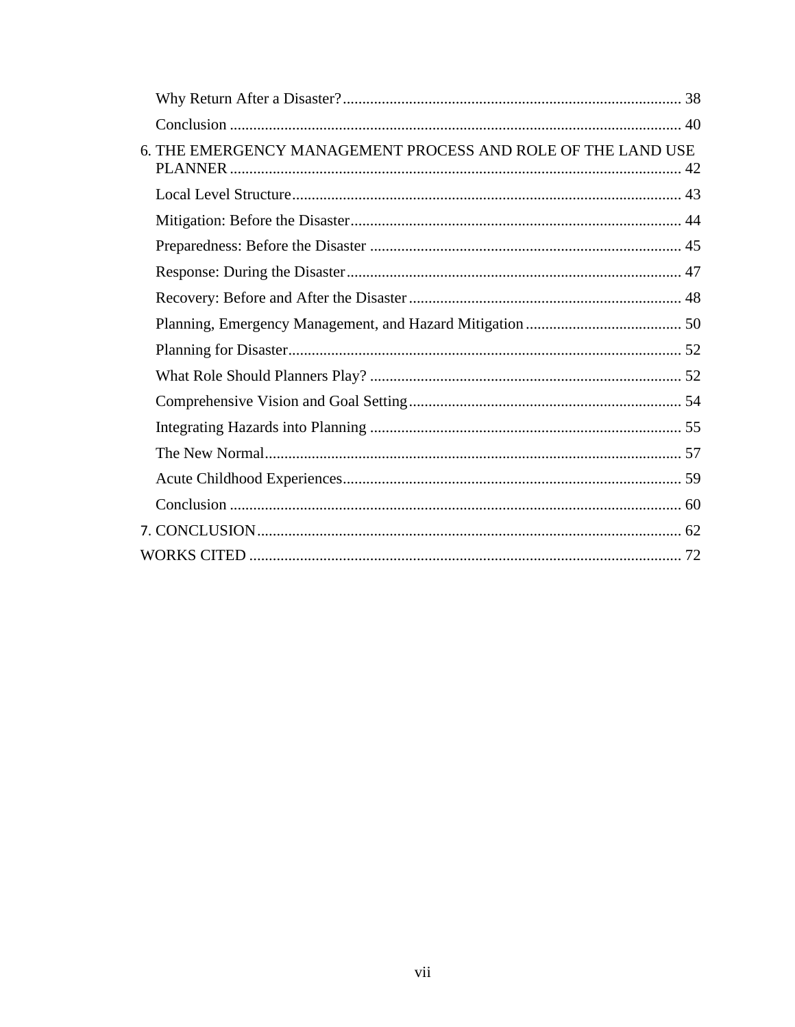| 6. THE EMERGENCY MANAGEMENT PROCESS AND ROLE OF THE LAND USE |  |
|--------------------------------------------------------------|--|
|                                                              |  |
|                                                              |  |
|                                                              |  |
|                                                              |  |
|                                                              |  |
|                                                              |  |
|                                                              |  |
|                                                              |  |
|                                                              |  |
|                                                              |  |
|                                                              |  |
|                                                              |  |
|                                                              |  |
|                                                              |  |
|                                                              |  |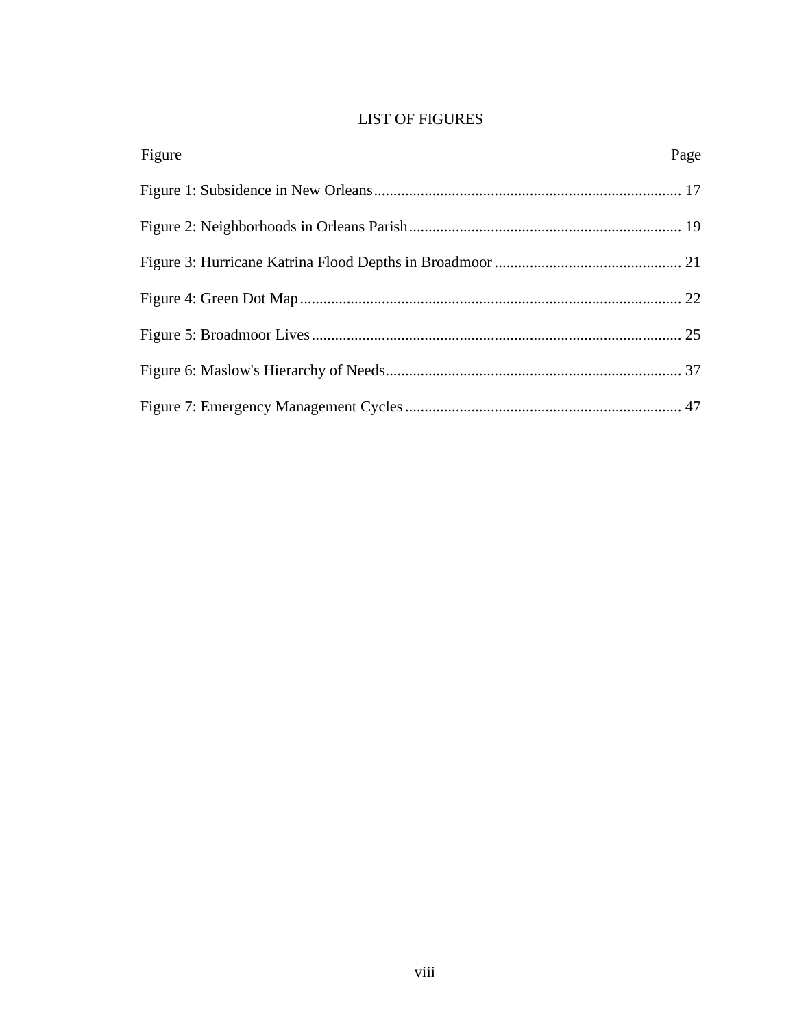# LIST OF FIGURES

| Figure | Page |
|--------|------|
|        |      |
|        |      |
|        |      |
|        |      |
|        |      |
|        |      |
|        |      |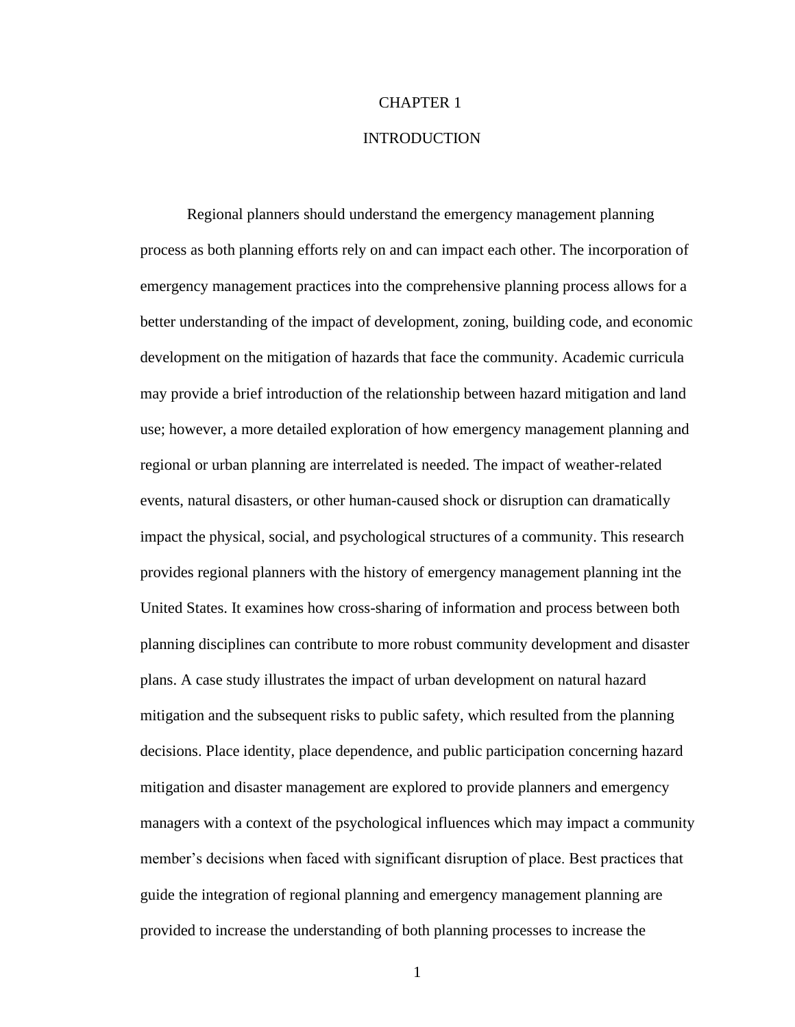### <span id="page-10-1"></span>CHAPTER 1

## INTRODUCTION

<span id="page-10-0"></span>Regional planners should understand the emergency management planning process as both planning efforts rely on and can impact each other. The incorporation of emergency management practices into the comprehensive planning process allows for a better understanding of the impact of development, zoning, building code, and economic development on the mitigation of hazards that face the community. Academic curricula may provide a brief introduction of the relationship between hazard mitigation and land use; however, a more detailed exploration of how emergency management planning and regional or urban planning are interrelated is needed. The impact of weather-related events, natural disasters, or other human-caused shock or disruption can dramatically impact the physical, social, and psychological structures of a community. This research provides regional planners with the history of emergency management planning int the United States. It examines how cross-sharing of information and process between both planning disciplines can contribute to more robust community development and disaster plans. A case study illustrates the impact of urban development on natural hazard mitigation and the subsequent risks to public safety, which resulted from the planning decisions. Place identity, place dependence, and public participation concerning hazard mitigation and disaster management are explored to provide planners and emergency managers with a context of the psychological influences which may impact a community member's decisions when faced with significant disruption of place. Best practices that guide the integration of regional planning and emergency management planning are provided to increase the understanding of both planning processes to increase the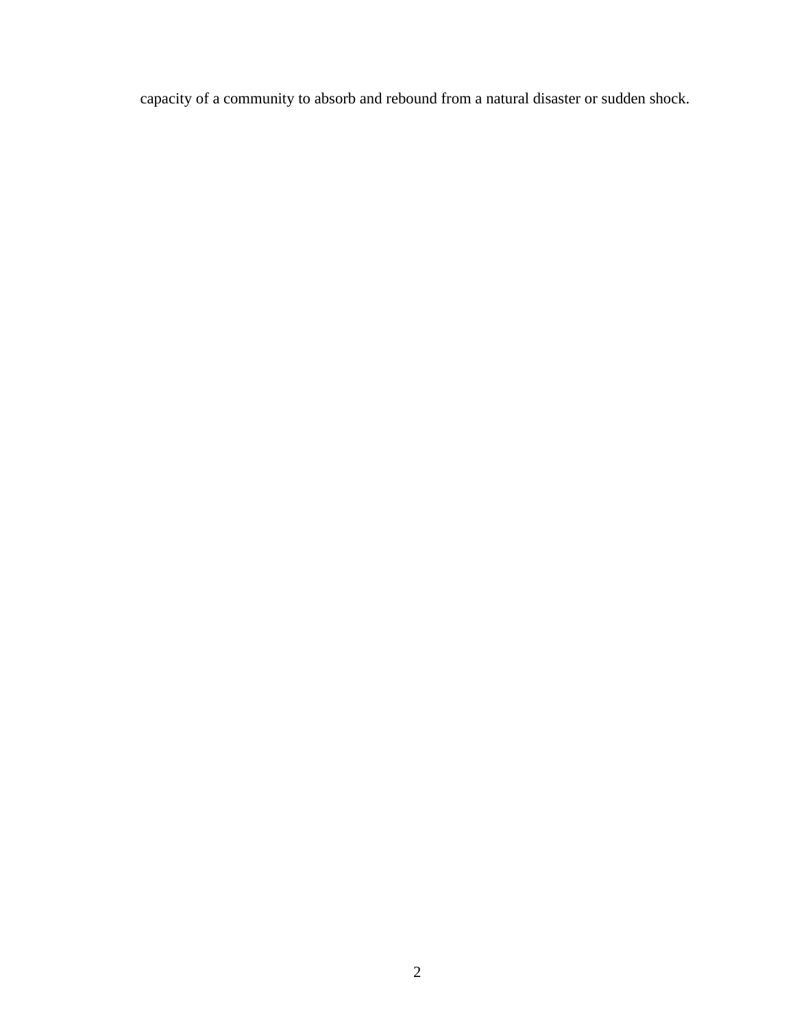capacity of a community to absorb and rebound from a natural disaster or sudden shock.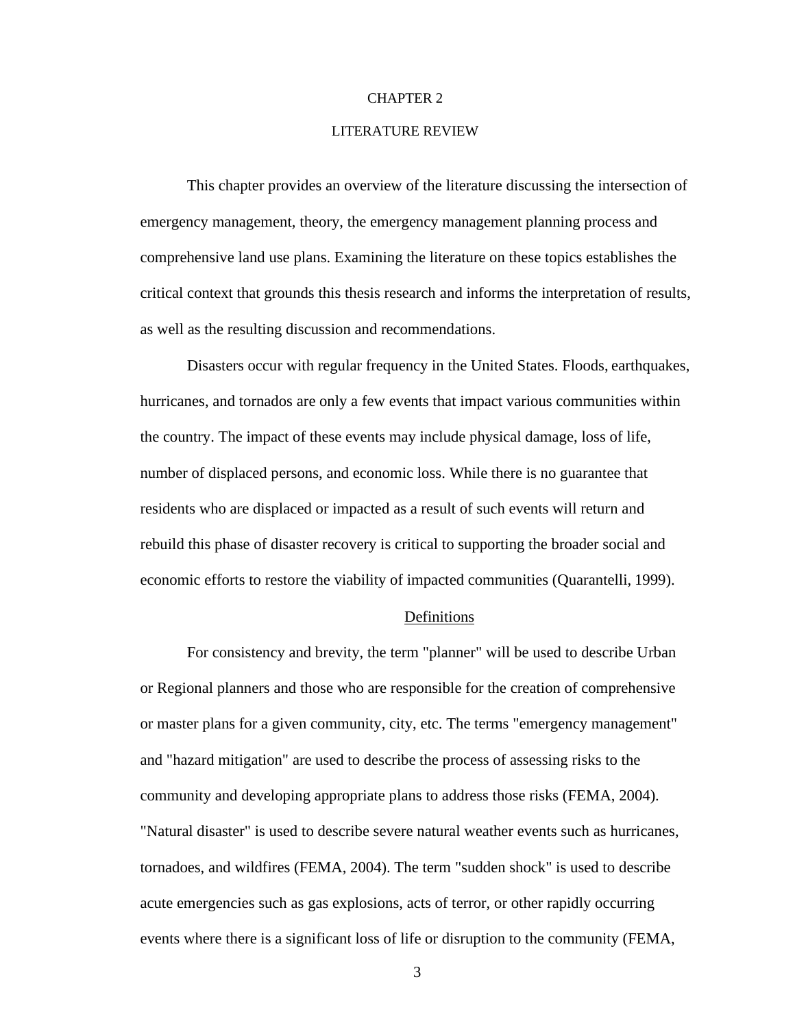#### <span id="page-12-0"></span>CHAPTER 2

#### LITERATURE REVIEW

This chapter provides an overview of the literature discussing the intersection of emergency management, theory, the emergency management planning process and comprehensive land use plans. Examining the literature on these topics establishes the critical context that grounds this thesis research and informs the interpretation of results, as well as the resulting discussion and recommendations.

Disasters occur with regular frequency in the United States. Floods, earthquakes, hurricanes, and tornados are only a few events that impact various communities within the country. The impact of these events may include physical damage, loss of life, number of displaced persons, and economic loss. While there is no guarantee that residents who are displaced or impacted as a result of such events will return and rebuild this phase of disaster recovery is critical to supporting the broader social and economic efforts to restore the viability of impacted communities (Quarantelli, 1999).

#### **Definitions**

For consistency and brevity, the term "planner" will be used to describe Urban or Regional planners and those who are responsible for the creation of comprehensive or master plans for a given community, city, etc. The terms "emergency management" and "hazard mitigation" are used to describe the process of assessing risks to the community and developing appropriate plans to address those risks (FEMA, 2004). "Natural disaster" is used to describe severe natural weather events such as hurricanes, tornadoes, and wildfires (FEMA, 2004). The term "sudden shock" is used to describe acute emergencies such as gas explosions, acts of terror, or other rapidly occurring events where there is a significant loss of life or disruption to the community (FEMA,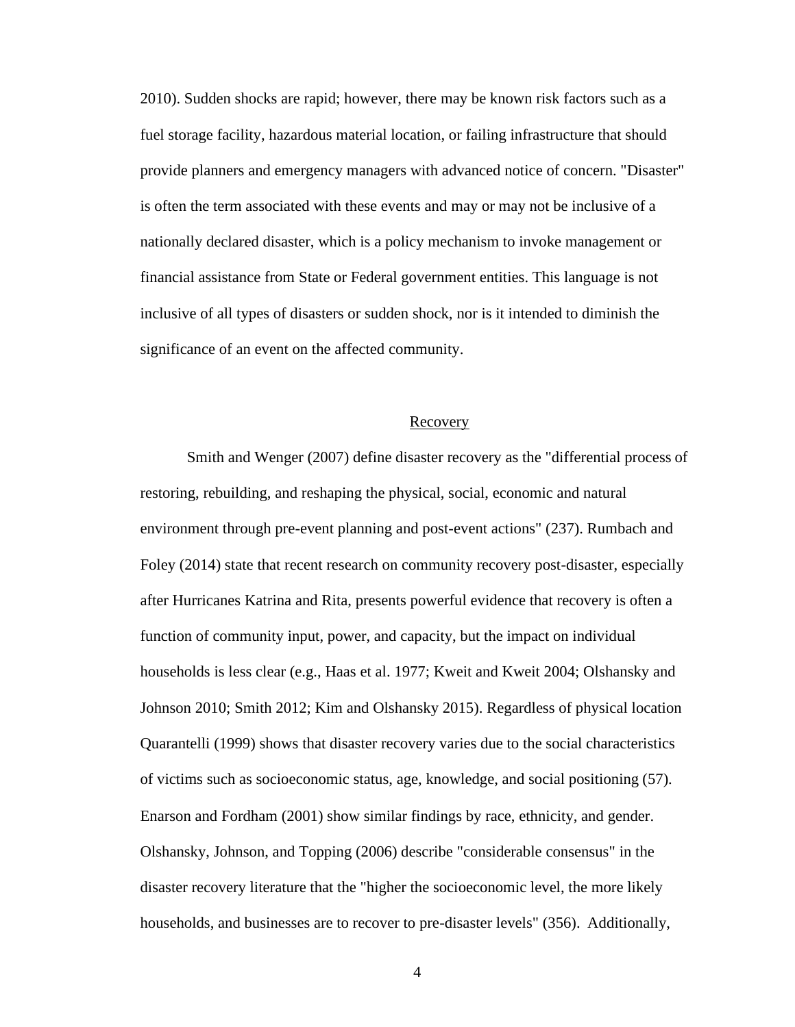2010). Sudden shocks are rapid; however, there may be known risk factors such as a fuel storage facility, hazardous material location, or failing infrastructure that should provide planners and emergency managers with advanced notice of concern. "Disaster" is often the term associated with these events and may or may not be inclusive of a nationally declared disaster, which is a policy mechanism to invoke management or financial assistance from State or Federal government entities. This language is not inclusive of all types of disasters or sudden shock, nor is it intended to diminish the significance of an event on the affected community.

#### Recovery

Smith and Wenger (2007) define disaster recovery as the "differential process of restoring, rebuilding, and reshaping the physical, social, economic and natural environment through pre-event planning and post-event actions" (237). Rumbach and Foley (2014) state that recent research on community recovery post-disaster, especially after Hurricanes Katrina and Rita, presents powerful evidence that recovery is often a function of community input, power, and capacity, but the impact on individual households is less clear (e.g., Haas et al. 1977; Kweit and Kweit 2004; Olshansky and Johnson 2010; Smith 2012; Kim and Olshansky 2015). Regardless of physical location Quarantelli (1999) shows that disaster recovery varies due to the social characteristics of victims such as socioeconomic status, age, knowledge, and social positioning (57). Enarson and Fordham (2001) show similar findings by race, ethnicity, and gender. Olshansky, Johnson, and Topping (2006) describe "considerable consensus" in the disaster recovery literature that the "higher the socioeconomic level, the more likely households, and businesses are to recover to pre-disaster levels" (356). Additionally,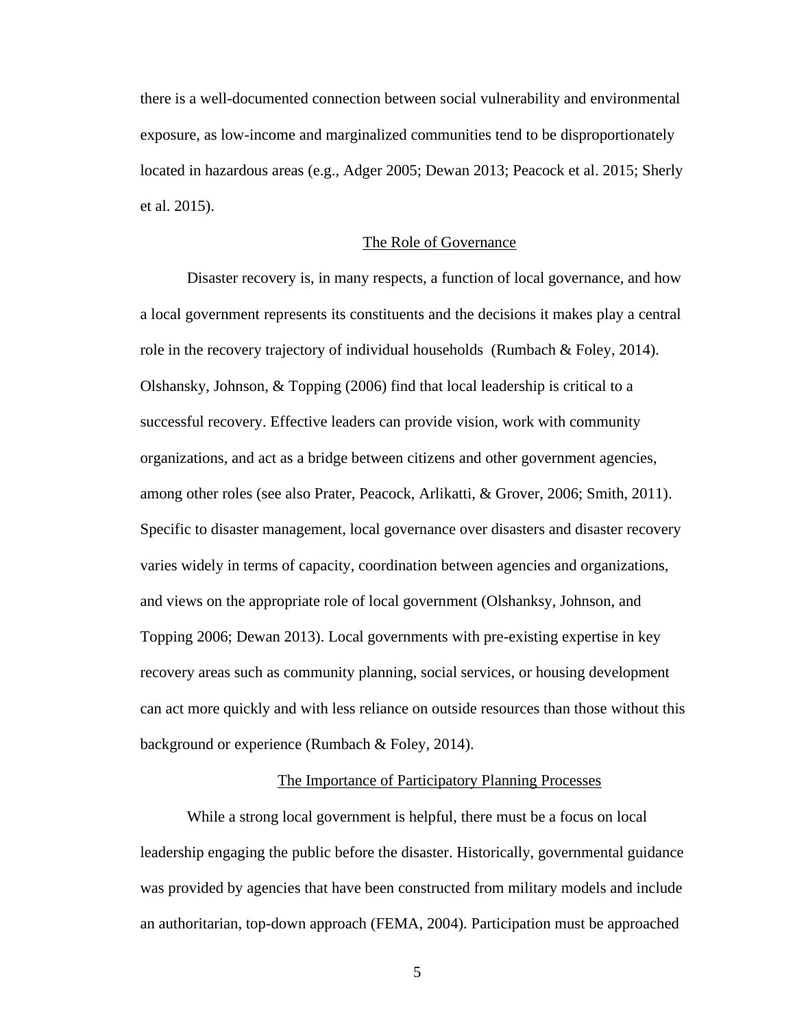there is a well-documented connection between social vulnerability and environmental exposure, as low-income and marginalized communities tend to be disproportionately located in hazardous areas (e.g., Adger 2005; Dewan 2013; Peacock et al. 2015; Sherly et al. 2015).

#### The Role of Governance

Disaster recovery is, in many respects, a function of local governance, and how a local government represents its constituents and the decisions it makes play a central role in the recovery trajectory of individual households (Rumbach & Foley, 2014). Olshansky, Johnson, & Topping (2006) find that local leadership is critical to a successful recovery. Effective leaders can provide vision, work with community organizations, and act as a bridge between citizens and other government agencies, among other roles (see also Prater, Peacock, Arlikatti, & Grover, 2006; Smith, 2011). Specific to disaster management, local governance over disasters and disaster recovery varies widely in terms of capacity, coordination between agencies and organizations, and views on the appropriate role of local government (Olshanksy, Johnson, and Topping 2006; Dewan 2013). Local governments with pre-existing expertise in key recovery areas such as community planning, social services, or housing development can act more quickly and with less reliance on outside resources than those without this background or experience (Rumbach & Foley, 2014).

#### The Importance of Participatory Planning Processes

While a strong local government is helpful, there must be a focus on local leadership engaging the public before the disaster. Historically, governmental guidance was provided by agencies that have been constructed from military models and include an authoritarian, top-down approach (FEMA, 2004). Participation must be approached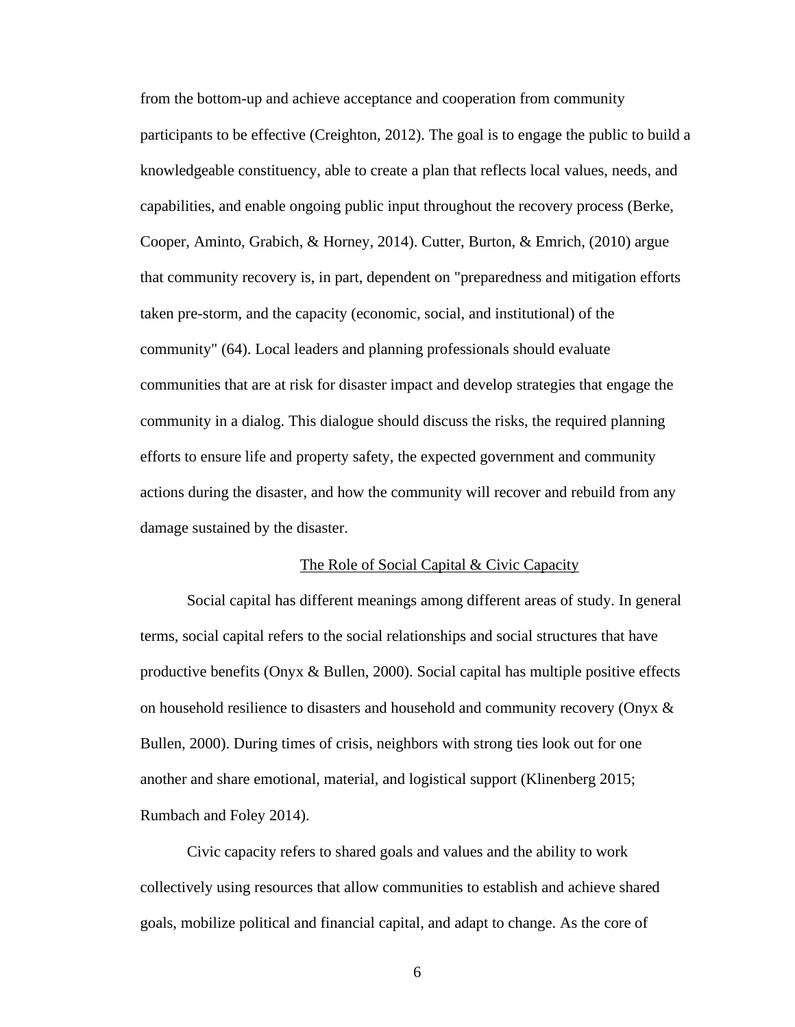from the bottom-up and achieve acceptance and cooperation from community participants to be effective (Creighton, 2012). The goal is to engage the public to build a knowledgeable constituency, able to create a plan that reflects local values, needs, and capabilities, and enable ongoing public input throughout the recovery process (Berke, Cooper, Aminto, Grabich, & Horney, 2014). Cutter, Burton, & Emrich, (2010) argue that community recovery is, in part, dependent on "preparedness and mitigation efforts taken pre-storm, and the capacity (economic, social, and institutional) of the community" (64). Local leaders and planning professionals should evaluate communities that are at risk for disaster impact and develop strategies that engage the community in a dialog. This dialogue should discuss the risks, the required planning efforts to ensure life and property safety, the expected government and community actions during the disaster, and how the community will recover and rebuild from any damage sustained by the disaster.

#### The Role of Social Capital & Civic Capacity

Social capital has different meanings among different areas of study. In general terms, social capital refers to the social relationships and social structures that have productive benefits (Onyx & Bullen, 2000). Social capital has multiple positive effects on household resilience to disasters and household and community recovery (Onyx & Bullen, 2000). During times of crisis, neighbors with strong ties look out for one another and share emotional, material, and logistical support (Klinenberg 2015; Rumbach and Foley 2014).

Civic capacity refers to shared goals and values and the ability to work collectively using resources that allow communities to establish and achieve shared goals, mobilize political and financial capital, and adapt to change. As the core of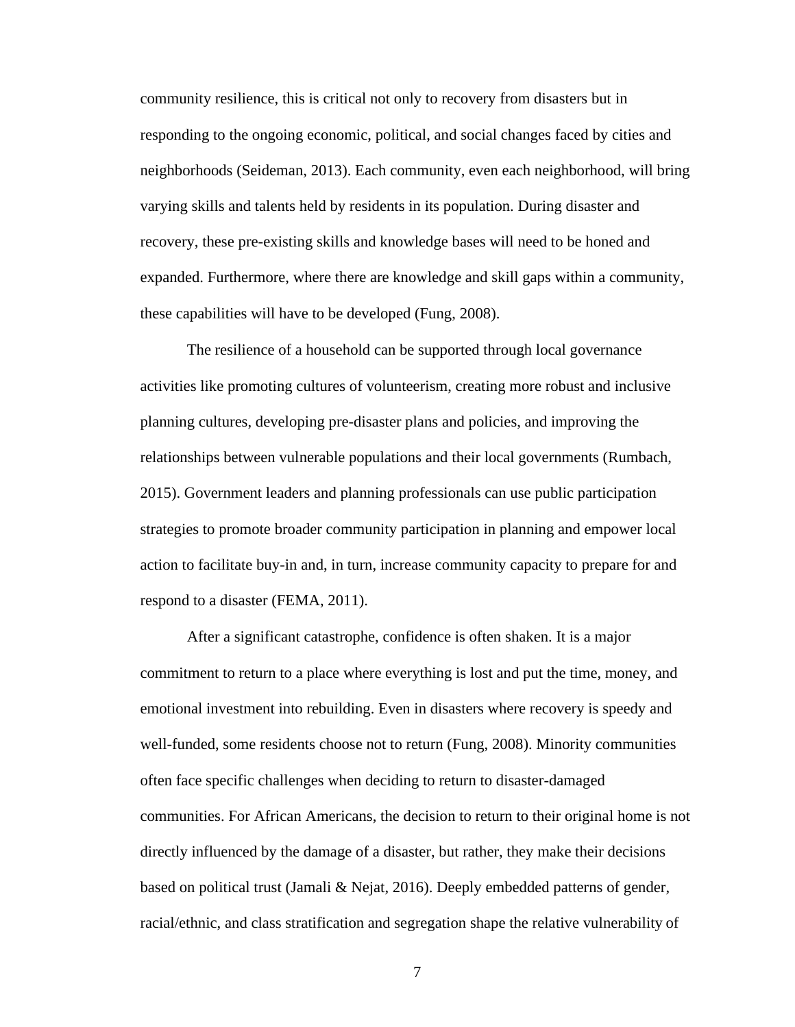community resilience, this is critical not only to recovery from disasters but in responding to the ongoing economic, political, and social changes faced by cities and neighborhoods (Seideman, 2013). Each community, even each neighborhood, will bring varying skills and talents held by residents in its population. During disaster and recovery, these pre-existing skills and knowledge bases will need to be honed and expanded. Furthermore, where there are knowledge and skill gaps within a community, these capabilities will have to be developed (Fung, 2008).

The resilience of a household can be supported through local governance activities like promoting cultures of volunteerism, creating more robust and inclusive planning cultures, developing pre-disaster plans and policies, and improving the relationships between vulnerable populations and their local governments (Rumbach, 2015). Government leaders and planning professionals can use public participation strategies to promote broader community participation in planning and empower local action to facilitate buy-in and, in turn, increase community capacity to prepare for and respond to a disaster (FEMA, 2011).

After a significant catastrophe, confidence is often shaken. It is a major commitment to return to a place where everything is lost and put the time, money, and emotional investment into rebuilding. Even in disasters where recovery is speedy and well-funded, some residents choose not to return (Fung, 2008). Minority communities often face specific challenges when deciding to return to disaster-damaged communities. For African Americans, the decision to return to their original home is not directly influenced by the damage of a disaster, but rather, they make their decisions based on political trust (Jamali & Nejat, 2016). Deeply embedded patterns of gender, racial/ethnic, and class stratification and segregation shape the relative vulnerability of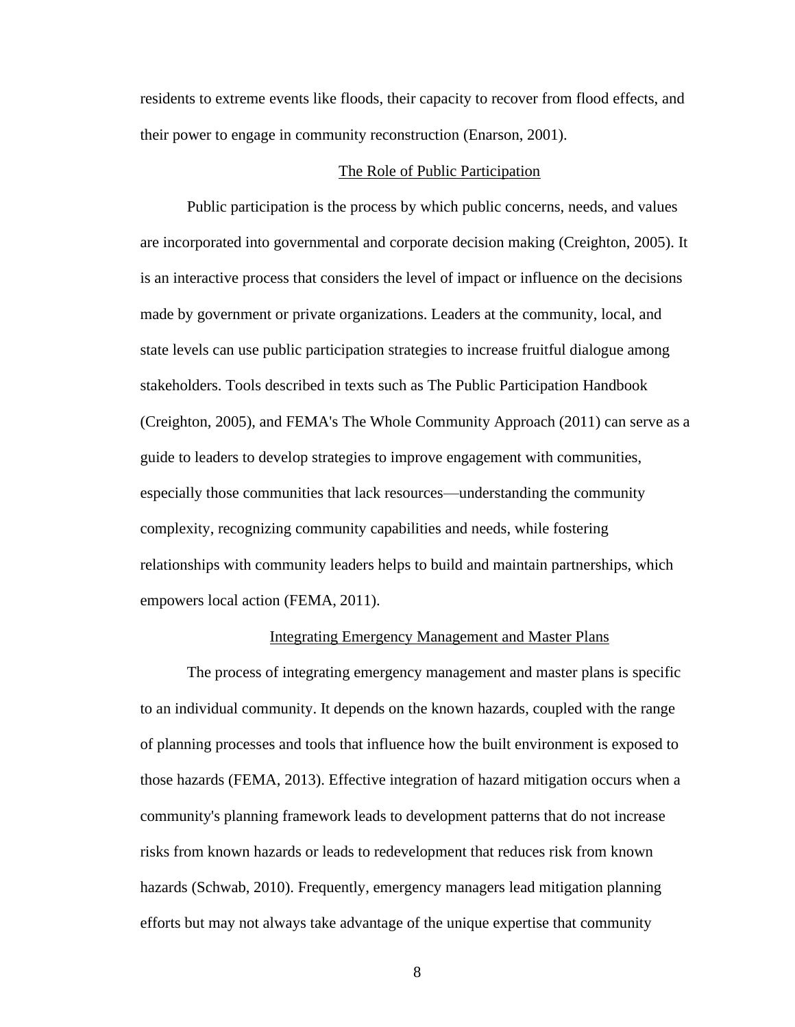residents to extreme events like floods, their capacity to recover from flood effects, and their power to engage in community reconstruction (Enarson, 2001).

#### The Role of Public Participation

Public participation is the process by which public concerns, needs, and values are incorporated into governmental and corporate decision making (Creighton, 2005). It is an interactive process that considers the level of impact or influence on the decisions made by government or private organizations. Leaders at the community, local, and state levels can use public participation strategies to increase fruitful dialogue among stakeholders. Tools described in texts such as The Public Participation Handbook (Creighton, 2005), and FEMA's The Whole Community Approach (2011) can serve as a guide to leaders to develop strategies to improve engagement with communities, especially those communities that lack resources—understanding the community complexity, recognizing community capabilities and needs, while fostering relationships with community leaders helps to build and maintain partnerships, which empowers local action (FEMA, 2011).

#### Integrating Emergency Management and Master Plans

The process of integrating emergency management and master plans is specific to an individual community. It depends on the known hazards, coupled with the range of planning processes and tools that influence how the built environment is exposed to those hazards (FEMA, 2013). Effective integration of hazard mitigation occurs when a community's planning framework leads to development patterns that do not increase risks from known hazards or leads to redevelopment that reduces risk from known hazards (Schwab, 2010). Frequently, emergency managers lead mitigation planning efforts but may not always take advantage of the unique expertise that community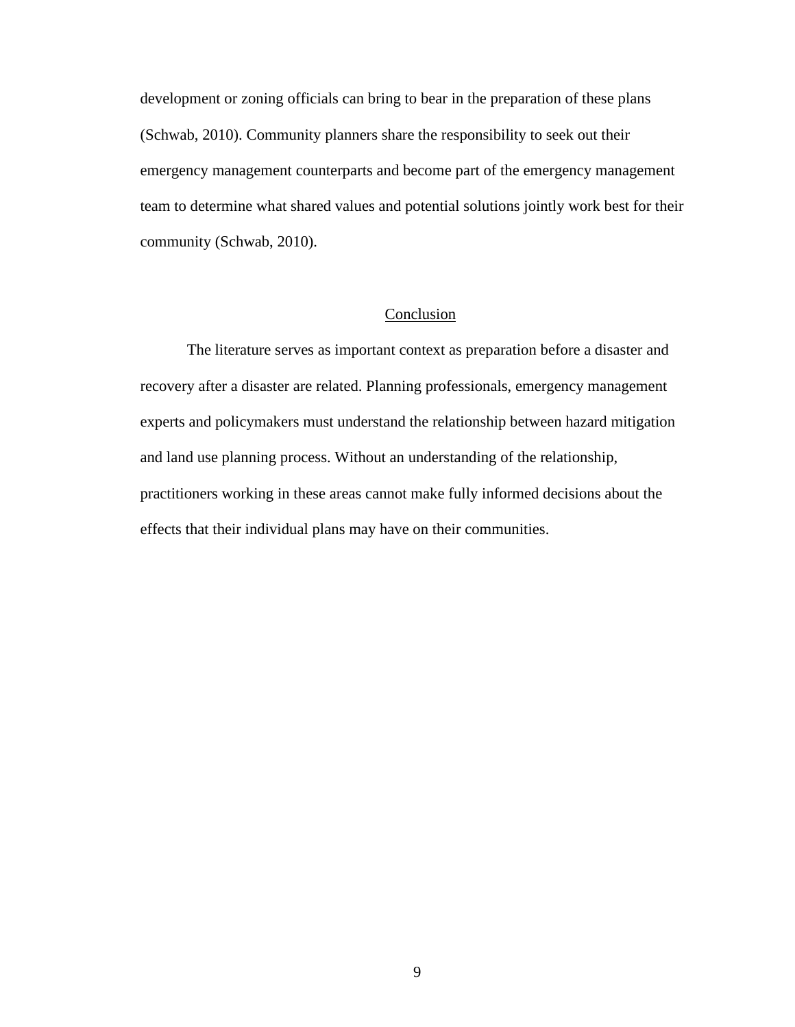development or zoning officials can bring to bear in the preparation of these plans (Schwab, 2010). Community planners share the responsibility to seek out their emergency management counterparts and become part of the emergency management team to determine what shared values and potential solutions jointly work best for their community (Schwab, 2010).

## Conclusion

<span id="page-18-0"></span>The literature serves as important context as preparation before a disaster and recovery after a disaster are related. Planning professionals, emergency management experts and policymakers must understand the relationship between hazard mitigation and land use planning process. Without an understanding of the relationship, practitioners working in these areas cannot make fully informed decisions about the effects that their individual plans may have on their communities.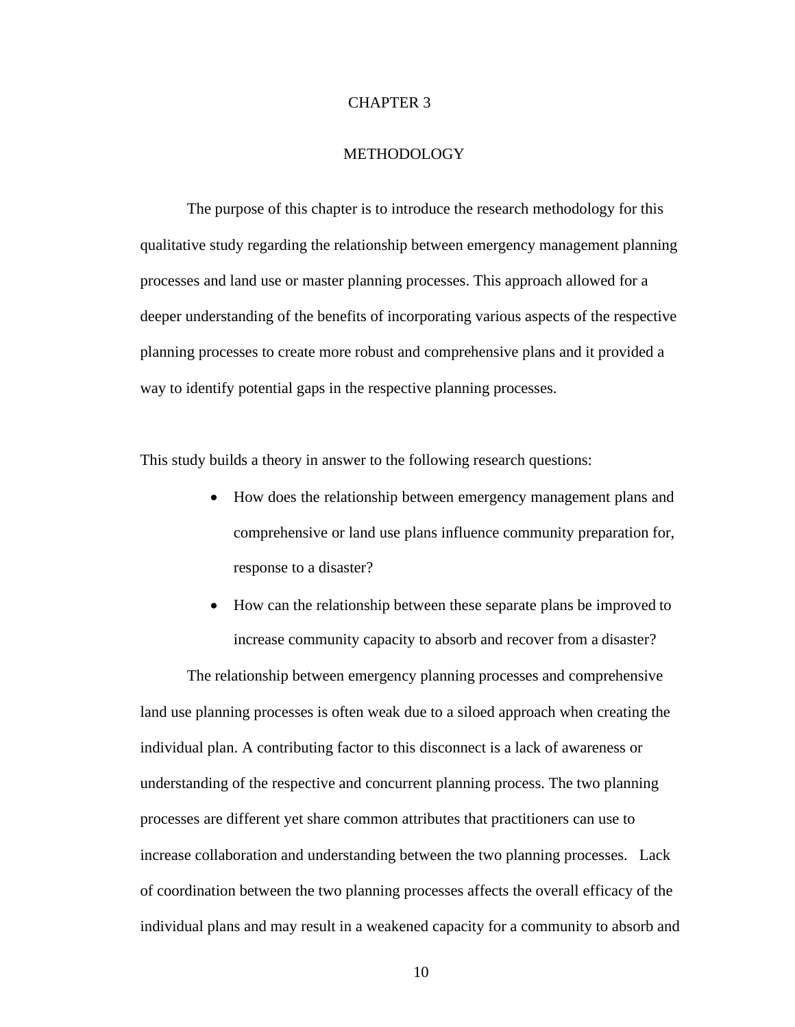#### CHAPTER 3

#### METHODOLOGY

The purpose of this chapter is to introduce the research methodology for this qualitative study regarding the relationship between emergency management planning processes and land use or master planning processes. This approach allowed for a deeper understanding of the benefits of incorporating various aspects of the respective planning processes to create more robust and comprehensive plans and it provided a way to identify potential gaps in the respective planning processes.

This study builds a theory in answer to the following research questions:

- How does the relationship between emergency management plans and comprehensive or land use plans influence community preparation for, response to a disaster?
- How can the relationship between these separate plans be improved to increase community capacity to absorb and recover from a disaster?

The relationship between emergency planning processes and comprehensive land use planning processes is often weak due to a siloed approach when creating the individual plan. A contributing factor to this disconnect is a lack of awareness or understanding of the respective and concurrent planning process. The two planning processes are different yet share common attributes that practitioners can use to increase collaboration and understanding between the two planning processes. Lack of coordination between the two planning processes affects the overall efficacy of the individual plans and may result in a weakened capacity for a community to absorb and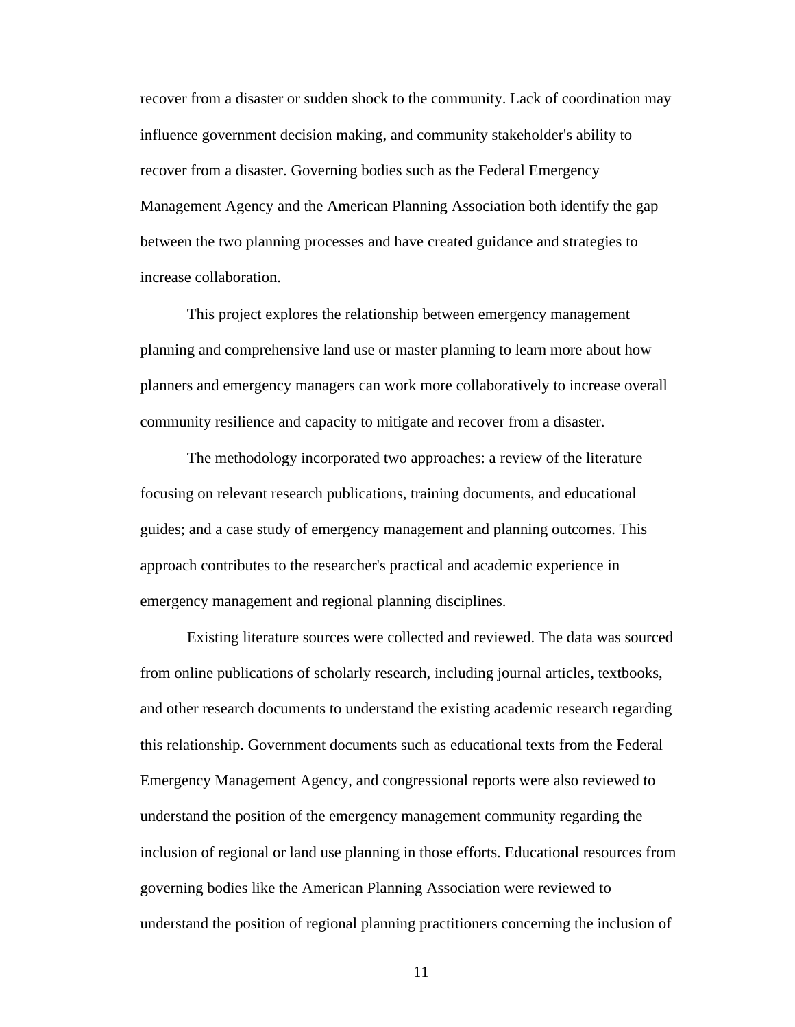recover from a disaster or sudden shock to the community. Lack of coordination may influence government decision making, and community stakeholder's ability to recover from a disaster. Governing bodies such as the Federal Emergency Management Agency and the American Planning Association both identify the gap between the two planning processes and have created guidance and strategies to increase collaboration.

This project explores the relationship between emergency management planning and comprehensive land use or master planning to learn more about how planners and emergency managers can work more collaboratively to increase overall community resilience and capacity to mitigate and recover from a disaster.

The methodology incorporated two approaches: a review of the literature focusing on relevant research publications, training documents, and educational guides; and a case study of emergency management and planning outcomes. This approach contributes to the researcher's practical and academic experience in emergency management and regional planning disciplines.

Existing literature sources were collected and reviewed. The data was sourced from online publications of scholarly research, including journal articles, textbooks, and other research documents to understand the existing academic research regarding this relationship. Government documents such as educational texts from the Federal Emergency Management Agency, and congressional reports were also reviewed to understand the position of the emergency management community regarding the inclusion of regional or land use planning in those efforts. Educational resources from governing bodies like the American Planning Association were reviewed to understand the position of regional planning practitioners concerning the inclusion of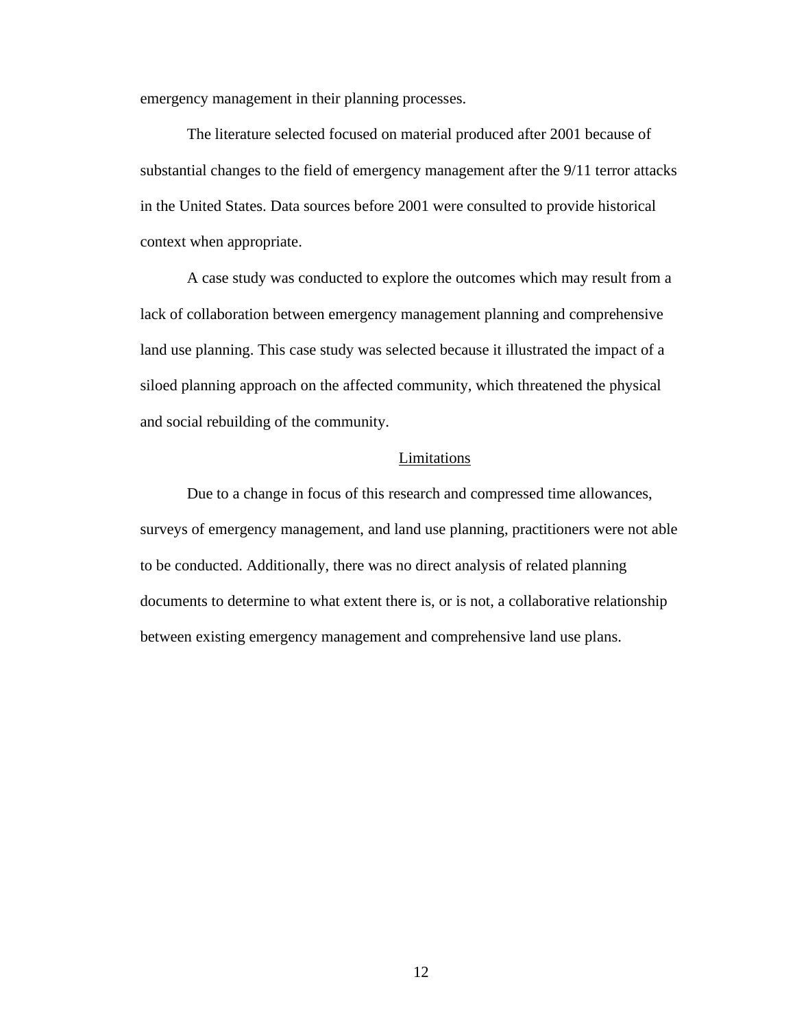<span id="page-21-0"></span>emergency management in their planning processes.

The literature selected focused on material produced after 2001 because of substantial changes to the field of emergency management after the 9/11 terror attacks in the United States. Data sources before 2001 were consulted to provide historical context when appropriate.

A case study was conducted to explore the outcomes which may result from a lack of collaboration between emergency management planning and comprehensive land use planning. This case study was selected because it illustrated the impact of a siloed planning approach on the affected community, which threatened the physical and social rebuilding of the community.

### Limitations

Due to a change in focus of this research and compressed time allowances, surveys of emergency management, and land use planning, practitioners were not able to be conducted. Additionally, there was no direct analysis of related planning documents to determine to what extent there is, or is not, a collaborative relationship between existing emergency management and comprehensive land use plans.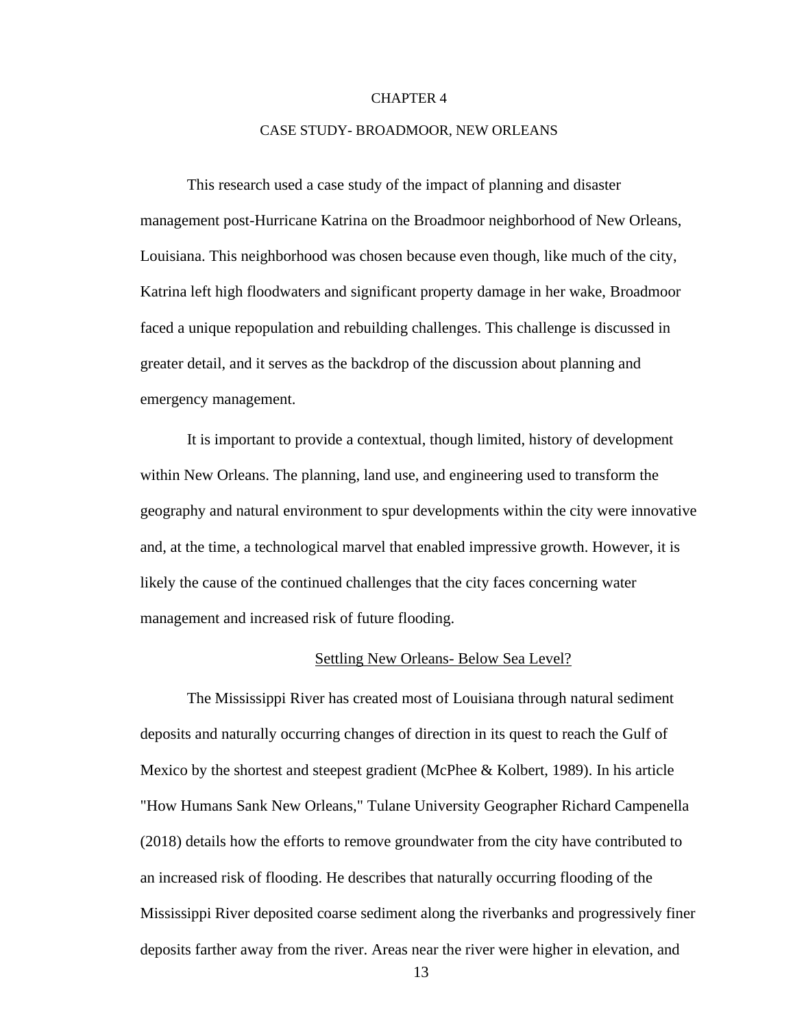#### CHAPTER 4

#### CASE STUDY- BROADMOOR, NEW ORLEANS

This research used a case study of the impact of planning and disaster management post-Hurricane Katrina on the Broadmoor neighborhood of New Orleans, Louisiana. This neighborhood was chosen because even though, like much of the city, Katrina left high floodwaters and significant property damage in her wake, Broadmoor faced a unique repopulation and rebuilding challenges. This challenge is discussed in greater detail, and it serves as the backdrop of the discussion about planning and emergency management.

It is important to provide a contextual, though limited, history of development within New Orleans. The planning, land use, and engineering used to transform the geography and natural environment to spur developments within the city were innovative and, at the time, a technological marvel that enabled impressive growth. However, it is likely the cause of the continued challenges that the city faces concerning water management and increased risk of future flooding.

#### Settling New Orleans- Below Sea Level?

The Mississippi River has created most of Louisiana through natural sediment deposits and naturally occurring changes of direction in its quest to reach the Gulf of Mexico by the shortest and steepest gradient (McPhee & Kolbert, 1989). In his article "How Humans Sank New Orleans," Tulane University Geographer Richard Campenella (2018) details how the efforts to remove groundwater from the city have contributed to an increased risk of flooding. He describes that naturally occurring flooding of the Mississippi River deposited coarse sediment along the riverbanks and progressively finer deposits farther away from the river. Areas near the river were higher in elevation, and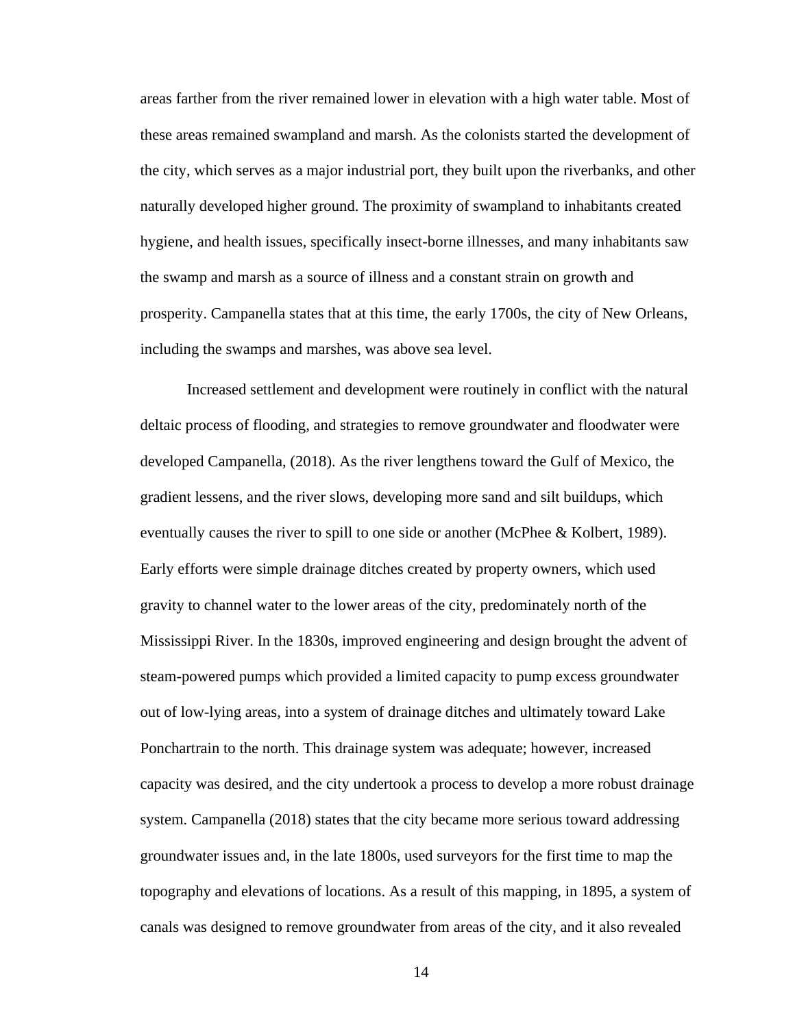areas farther from the river remained lower in elevation with a high water table. Most of these areas remained swampland and marsh. As the colonists started the development of the city, which serves as a major industrial port, they built upon the riverbanks, and other naturally developed higher ground. The proximity of swampland to inhabitants created hygiene, and health issues, specifically insect-borne illnesses, and many inhabitants saw the swamp and marsh as a source of illness and a constant strain on growth and prosperity. Campanella states that at this time, the early 1700s, the city of New Orleans, including the swamps and marshes, was above sea level.

Increased settlement and development were routinely in conflict with the natural deltaic process of flooding, and strategies to remove groundwater and floodwater were developed Campanella, (2018). As the river lengthens toward the Gulf of Mexico, the gradient lessens, and the river slows, developing more sand and silt buildups, which eventually causes the river to spill to one side or another (McPhee & Kolbert, 1989). Early efforts were simple drainage ditches created by property owners, which used gravity to channel water to the lower areas of the city, predominately north of the Mississippi River. In the 1830s, improved engineering and design brought the advent of steam-powered pumps which provided a limited capacity to pump excess groundwater out of low-lying areas, into a system of drainage ditches and ultimately toward Lake Ponchartrain to the north. This drainage system was adequate; however, increased capacity was desired, and the city undertook a process to develop a more robust drainage system. Campanella (2018) states that the city became more serious toward addressing groundwater issues and, in the late 1800s, used surveyors for the first time to map the topography and elevations of locations. As a result of this mapping, in 1895, a system of canals was designed to remove groundwater from areas of the city, and it also revealed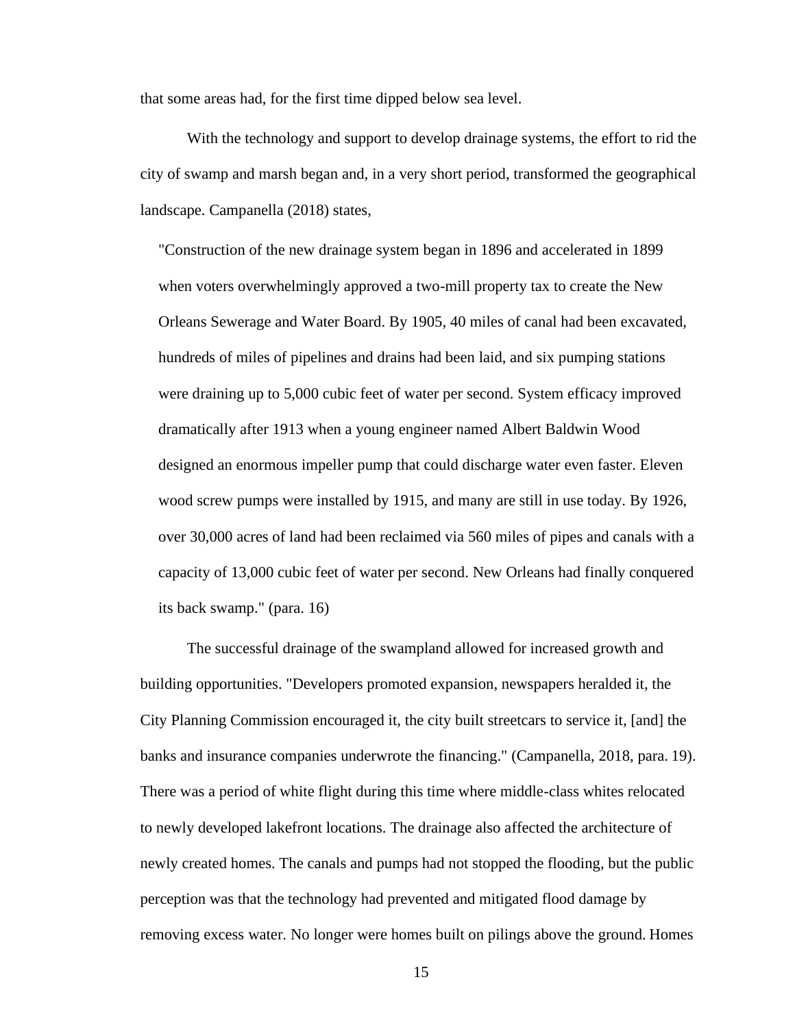that some areas had, for the first time dipped below sea level.

With the technology and support to develop drainage systems, the effort to rid the city of swamp and marsh began and, in a very short period, transformed the geographical landscape. Campanella (2018) states,

"Construction of the new drainage system began in 1896 and accelerated in 1899 when voters overwhelmingly approved a two-mill property tax to create the New Orleans Sewerage and Water Board. By 1905, 40 miles of canal had been excavated, hundreds of miles of pipelines and drains had been laid, and six pumping stations were draining up to 5,000 cubic feet of water per second. System efficacy improved dramatically after 1913 when a young engineer named Albert Baldwin Wood designed an enormous impeller pump that could discharge water even faster. Eleven wood screw pumps were installed by 1915, and many are still in use today. By 1926, over 30,000 acres of land had been reclaimed via 560 miles of pipes and canals with a capacity of 13,000 cubic feet of water per second. New Orleans had finally conquered its back swamp." (para. 16)

The successful drainage of the swampland allowed for increased growth and building opportunities. "Developers promoted expansion, newspapers heralded it, the City Planning Commission encouraged it, the city built streetcars to service it, [and] the banks and insurance companies underwrote the financing." (Campanella, 2018, para. 19). There was a period of white flight during this time where middle-class whites relocated to newly developed lakefront locations. The drainage also affected the architecture of newly created homes. The canals and pumps had not stopped the flooding, but the public perception was that the technology had prevented and mitigated flood damage by removing excess water. No longer were homes built on pilings above the ground. Homes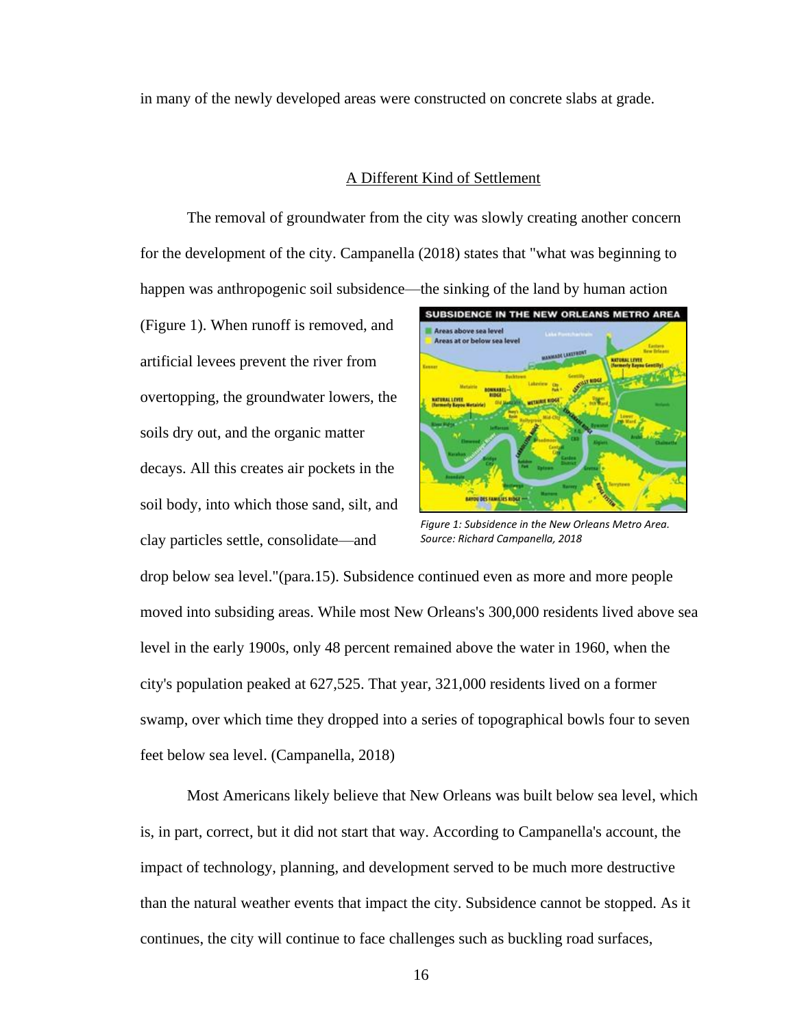in many of the newly developed areas were constructed on concrete slabs at grade.

#### A Different Kind of Settlement

The removal of groundwater from the city was slowly creating another concern for the development of the city. Campanella (2018) states that "what was beginning to happen was anthropogenic soil subsidence—the sinking of the land by human action

(Figure 1). When runoff is removed, and artificial levees prevent the river from overtopping, the groundwater lowers, the soils dry out, and the organic matter decays. All this creates air pockets in the soil body, into which those sand, silt, and clay particles settle, consolidate—and



*Figure 1: Subsidence in the New Orleans Metro Area. Source: Richard Campanella, 2018*

drop below sea level."(para.15). Subsidence continued even as more and more people moved into subsiding areas. While most New Orleans's 300,000 residents lived above sea level in the early 1900s, only 48 percent remained above the water in 1960, when the city's population peaked at 627,525. That year, 321,000 residents lived on a former swamp, over which time they dropped into a series of topographical bowls four to seven feet below sea level. (Campanella, 2018)

Most Americans likely believe that New Orleans was built below sea level, which is, in part, correct, but it did not start that way. According to Campanella's account, the impact of technology, planning, and development served to be much more destructive than the natural weather events that impact the city. Subsidence cannot be stopped. As it continues, the city will continue to face challenges such as buckling road surfaces,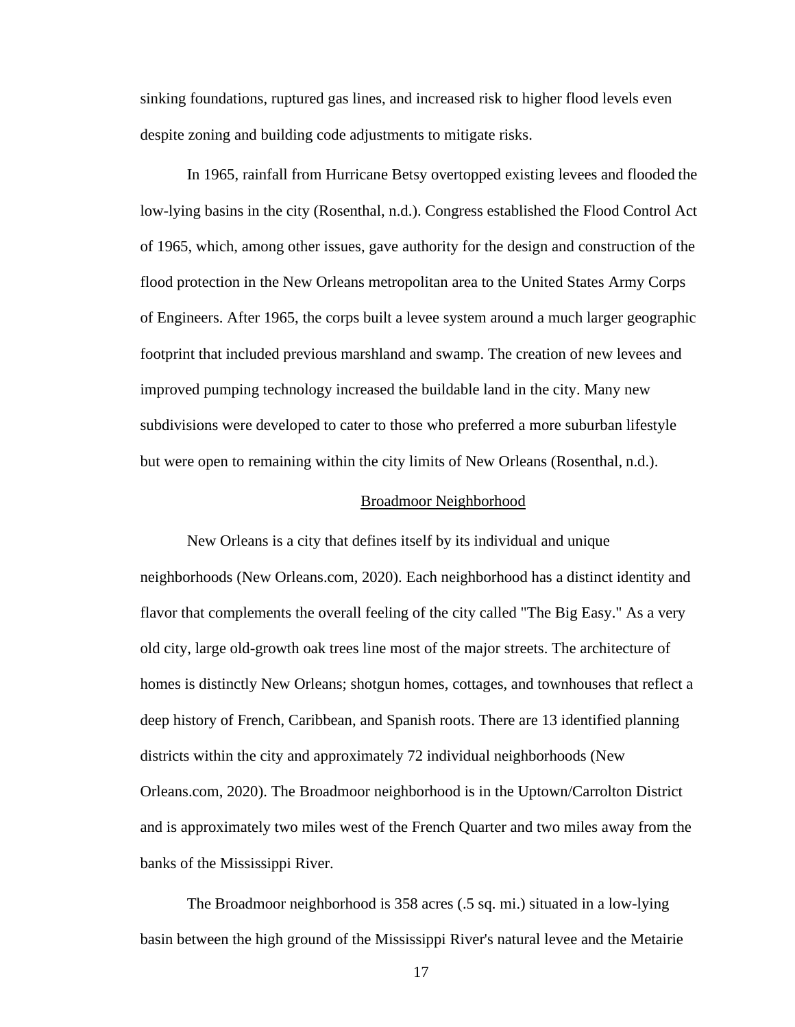sinking foundations, ruptured gas lines, and increased risk to higher flood levels even despite zoning and building code adjustments to mitigate risks.

In 1965, rainfall from Hurricane Betsy overtopped existing levees and flooded the low-lying basins in the city (Rosenthal, n.d.). Congress established the Flood Control Act of 1965, which, among other issues, gave authority for the design and construction of the flood protection in the New Orleans metropolitan area to the United States Army Corps of Engineers. After 1965, the corps built a levee system around a much larger geographic footprint that included previous marshland and swamp. The creation of new levees and improved pumping technology increased the buildable land in the city. Many new subdivisions were developed to cater to those who preferred a more suburban lifestyle but were open to remaining within the city limits of New Orleans (Rosenthal, n.d.).

#### Broadmoor Neighborhood

New Orleans is a city that defines itself by its individual and unique neighborhoods (New Orleans.com, 2020). Each neighborhood has a distinct identity and flavor that complements the overall feeling of the city called "The Big Easy." As a very old city, large old-growth oak trees line most of the major streets. The architecture of homes is distinctly New Orleans; shotgun homes, cottages, and townhouses that reflect a deep history of French, Caribbean, and Spanish roots. There are 13 identified planning districts within the city and approximately 72 individual neighborhoods (New Orleans.com, 2020). The Broadmoor neighborhood is in the Uptown/Carrolton District and is approximately two miles west of the French Quarter and two miles away from the banks of the Mississippi River.

The Broadmoor neighborhood is 358 acres (.5 sq. mi.) situated in a low-lying basin between the high ground of the Mississippi River's natural levee and the Metairie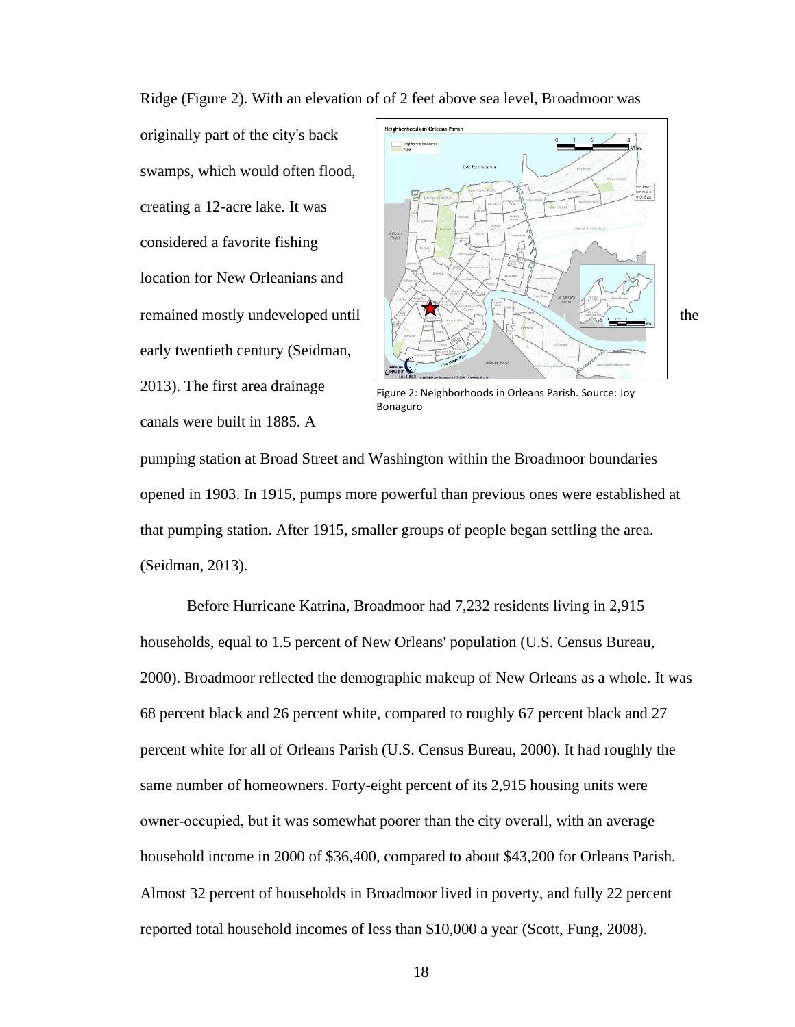Ridge (Figure 2). With an elevation of of 2 feet above sea level, Broadmoor was

originally part of the city's back swamps, which would often flood, creating a 12-acre lake. It was considered a favorite fishing location for New Orleanians and early twentieth century (Seidman, 2013). The first area drainage canals were built in 1885. A



Figure 2: Neighborhoods in Orleans Parish. Source: Joy Bonaguro

pumping station at Broad Street and Washington within the Broadmoor boundaries opened in 1903. In 1915, pumps more powerful than previous ones were established at that pumping station. After 1915, smaller groups of people began settling the area. (Seidman, 2013).

Before Hurricane Katrina, Broadmoor had 7,232 residents living in 2,915 households, equal to 1.5 percent of New Orleans' population (U.S. Census Bureau, 2000). Broadmoor reflected the demographic makeup of New Orleans as a whole. It was 68 percent black and 26 percent white, compared to roughly 67 percent black and 27 percent white for all of Orleans Parish (U.S. Census Bureau, 2000). It had roughly the same number of homeowners. Forty-eight percent of its 2,915 housing units were owner-occupied, but it was somewhat poorer than the city overall, with an average household income in 2000 of \$36,400, compared to about \$43,200 for Orleans Parish. Almost 32 percent of households in Broadmoor lived in poverty, and fully 22 percent reported total household incomes of less than \$10,000 a year (Scott, Fung, 2008).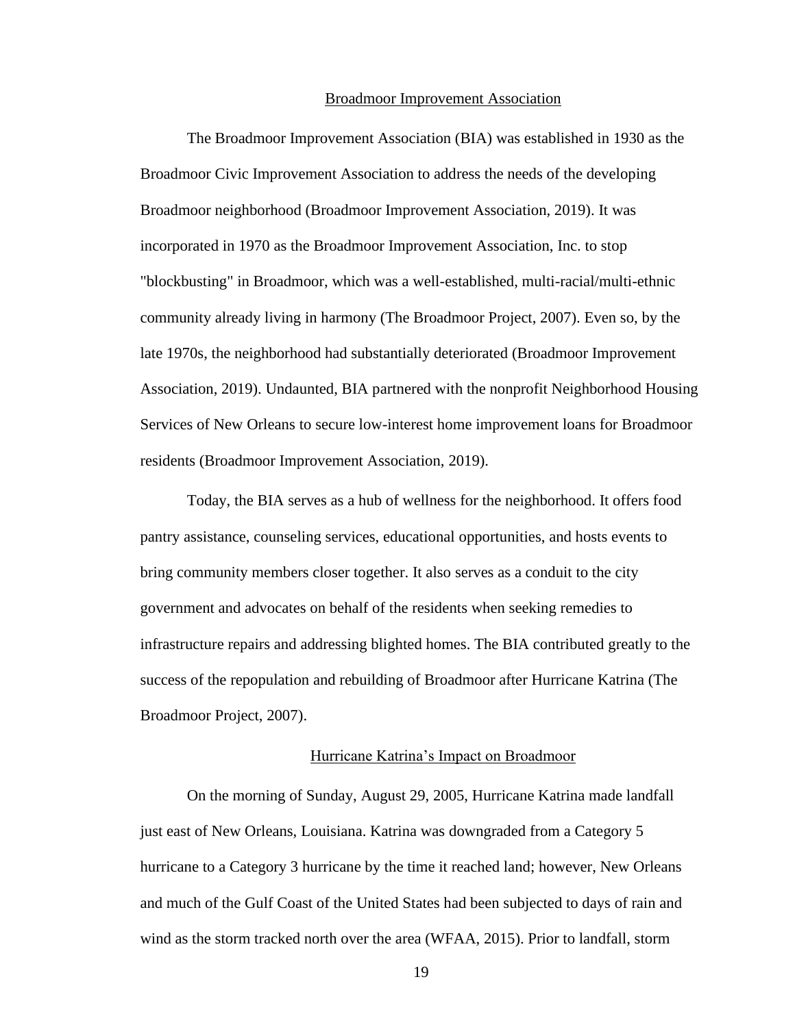#### Broadmoor Improvement Association

The Broadmoor Improvement Association (BIA) was established in 1930 as the Broadmoor Civic Improvement Association to address the needs of the developing Broadmoor neighborhood (Broadmoor Improvement Association, 2019). It was incorporated in 1970 as the Broadmoor Improvement Association, Inc. to stop "blockbusting" in Broadmoor, which was a well-established, multi-racial/multi-ethnic community already living in harmony (The Broadmoor Project, 2007). Even so, by the late 1970s, the neighborhood had substantially deteriorated (Broadmoor Improvement Association, 2019). Undaunted, BIA partnered with the nonprofit Neighborhood Housing Services of New Orleans to secure low-interest home improvement loans for Broadmoor residents (Broadmoor Improvement Association, 2019).

Today, the BIA serves as a hub of wellness for the neighborhood. It offers food pantry assistance, counseling services, educational opportunities, and hosts events to bring community members closer together. It also serves as a conduit to the city government and advocates on behalf of the residents when seeking remedies to infrastructure repairs and addressing blighted homes. The BIA contributed greatly to the success of the repopulation and rebuilding of Broadmoor after Hurricane Katrina (The Broadmoor Project, 2007).

#### Hurricane Katrina's Impact on Broadmoor

On the morning of Sunday, August 29, 2005, Hurricane Katrina made landfall just east of New Orleans, Louisiana. Katrina was downgraded from a Category 5 hurricane to a Category 3 hurricane by the time it reached land; however, New Orleans and much of the Gulf Coast of the United States had been subjected to days of rain and wind as the storm tracked north over the area (WFAA, 2015). Prior to landfall, storm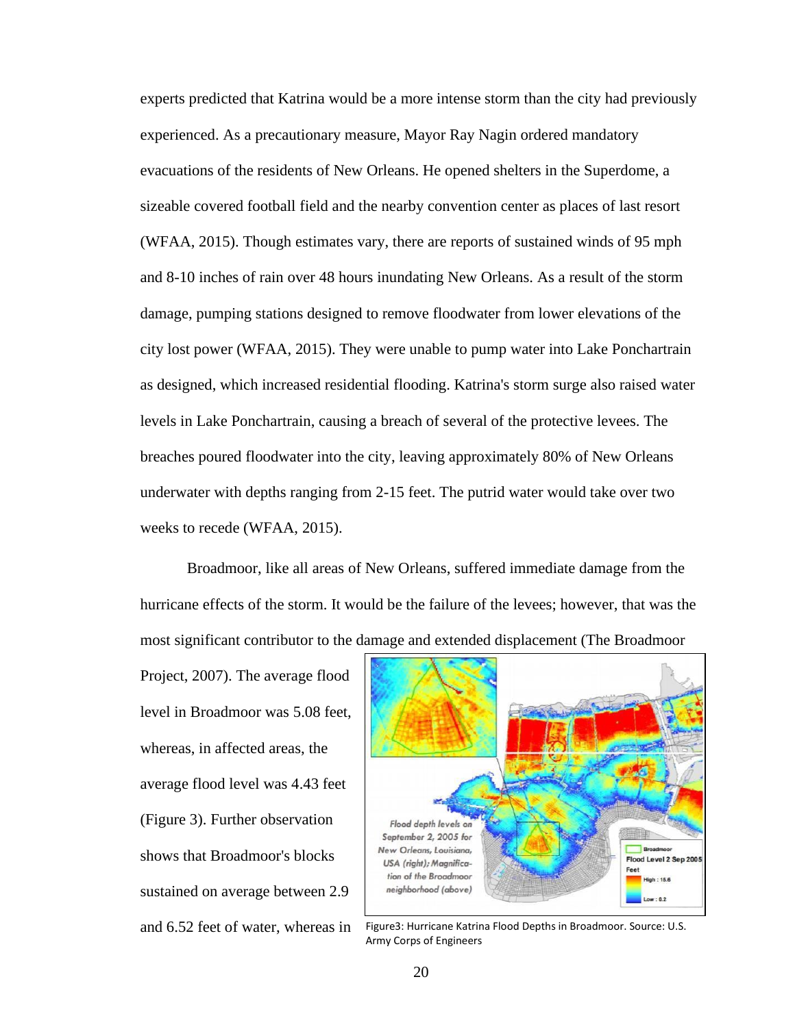experts predicted that Katrina would be a more intense storm than the city had previously experienced. As a precautionary measure, Mayor Ray Nagin ordered mandatory evacuations of the residents of New Orleans. He opened shelters in the Superdome, a sizeable covered football field and the nearby convention center as places of last resort (WFAA, 2015). Though estimates vary, there are reports of sustained winds of 95 mph and 8-10 inches of rain over 48 hours inundating New Orleans. As a result of the storm damage, pumping stations designed to remove floodwater from lower elevations of the city lost power (WFAA, 2015). They were unable to pump water into Lake Ponchartrain as designed, which increased residential flooding. Katrina's storm surge also raised water levels in Lake Ponchartrain, causing a breach of several of the protective levees. The breaches poured floodwater into the city, leaving approximately 80% of New Orleans underwater with depths ranging from 2-15 feet. The putrid water would take over two weeks to recede (WFAA, 2015).

Broadmoor, like all areas of New Orleans, suffered immediate damage from the hurricane effects of the storm. It would be the failure of the levees; however, that was the most significant contributor to the damage and extended displacement (The Broadmoor

Project, 2007). The average flood level in Broadmoor was 5.08 feet, whereas, in affected areas, the average flood level was 4.43 feet (Figure 3). Further observation shows that Broadmoor's blocks sustained on average between 2.9 and 6.52 feet of water, whereas in



Figure3: Hurricane Katrina Flood Depths in Broadmoor. Source: U.S. Army Corps of Engineers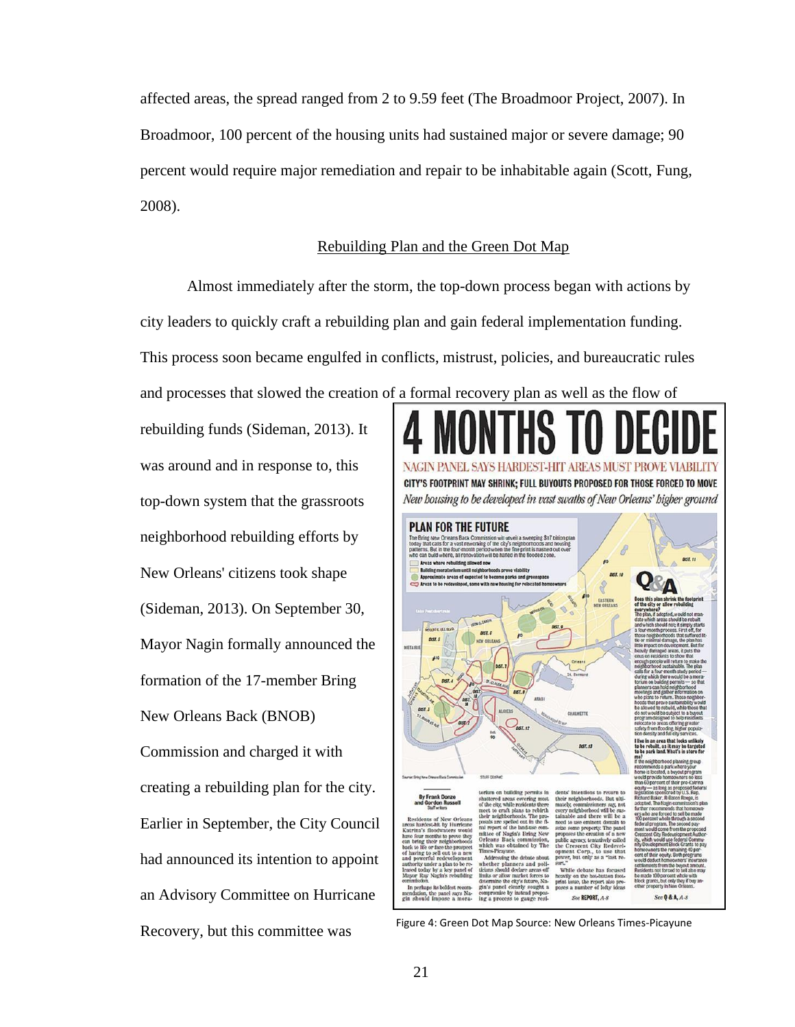affected areas, the spread ranged from 2 to 9.59 feet (The Broadmoor Project, 2007). In Broadmoor, 100 percent of the housing units had sustained major or severe damage; 90 percent would require major remediation and repair to be inhabitable again (Scott, Fung, 2008).

### Rebuilding Plan and the Green Dot Map

Almost immediately after the storm, the top-down process began with actions by city leaders to quickly craft a rebuilding plan and gain federal implementation funding. This process soon became engulfed in conflicts, mistrust, policies, and bureaucratic rules and processes that slowed the creation of a formal recovery plan as well as the flow of

rebuilding funds (Sideman, 2013). It was around and in response to, this top-down system that the grassroots neighborhood rebuilding efforts by New Orleans' citizens took shape (Sideman, 2013). On September 30, Mayor Nagin formally announced the formation of the 17-member Bring New Orleans Back (BNOB) Commission and charged it with creating a rebuilding plan for the city. Earlier in September, the City Council had announced its intention to appoint an Advisory Committee on Hurricane



Recovery, but this committee was Figure 4: Green Dot Map Source: New Orleans Times-Picayune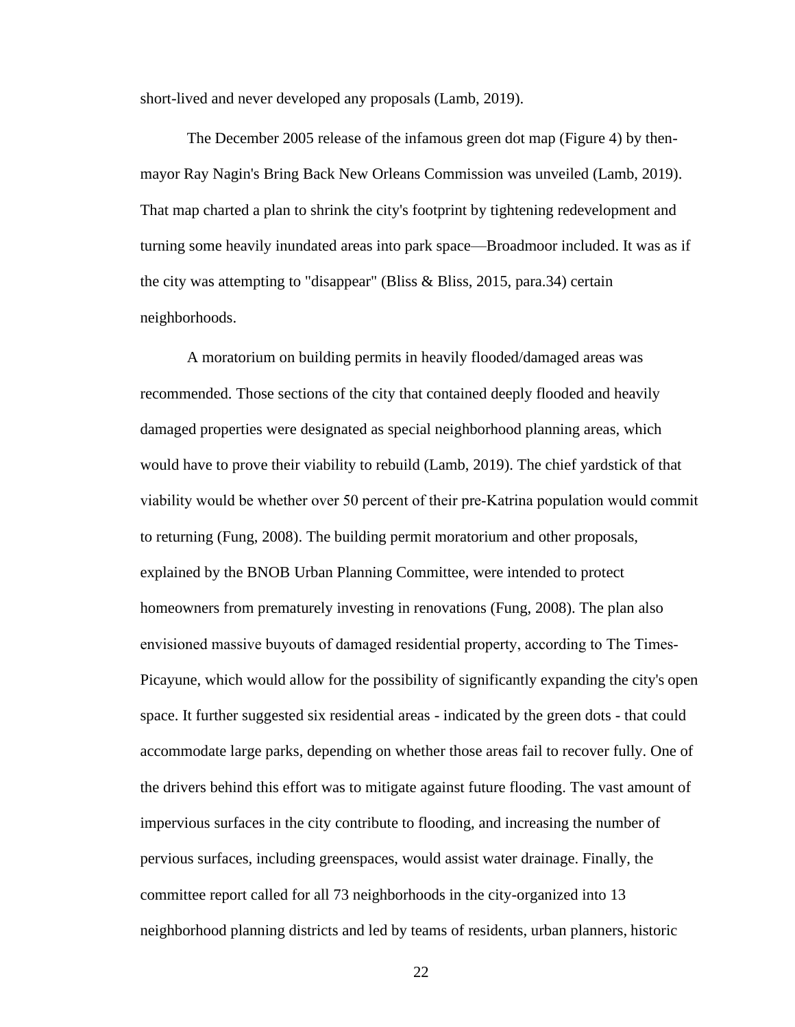short-lived and never developed any proposals (Lamb, 2019).

The December 2005 release of the infamous green dot map (Figure 4) by thenmayor Ray Nagin's Bring Back New Orleans Commission was unveiled (Lamb, 2019). That map charted a plan to shrink the city's footprint by tightening redevelopment and turning some heavily inundated areas into park space—Broadmoor included. It was as if the city was attempting to "disappear" (Bliss & Bliss, 2015, para.34) certain neighborhoods.

A moratorium on building permits in heavily flooded/damaged areas was recommended. Those sections of the city that contained deeply flooded and heavily damaged properties were designated as special neighborhood planning areas, which would have to prove their viability to rebuild (Lamb, 2019). The chief yardstick of that viability would be whether over 50 percent of their pre‐Katrina population would commit to returning (Fung, 2008). The building permit moratorium and other proposals, explained by the BNOB Urban Planning Committee, were intended to protect homeowners from prematurely investing in renovations (Fung, 2008). The plan also envisioned massive buyouts of damaged residential property, according to The Times-Picayune, which would allow for the possibility of significantly expanding the city's open space. It further suggested six residential areas - indicated by the green dots - that could accommodate large parks, depending on whether those areas fail to recover fully. One of the drivers behind this effort was to mitigate against future flooding. The vast amount of impervious surfaces in the city contribute to flooding, and increasing the number of pervious surfaces, including greenspaces, would assist water drainage. Finally, the committee report called for all 73 neighborhoods in the city-organized into 13 neighborhood planning districts and led by teams of residents, urban planners, historic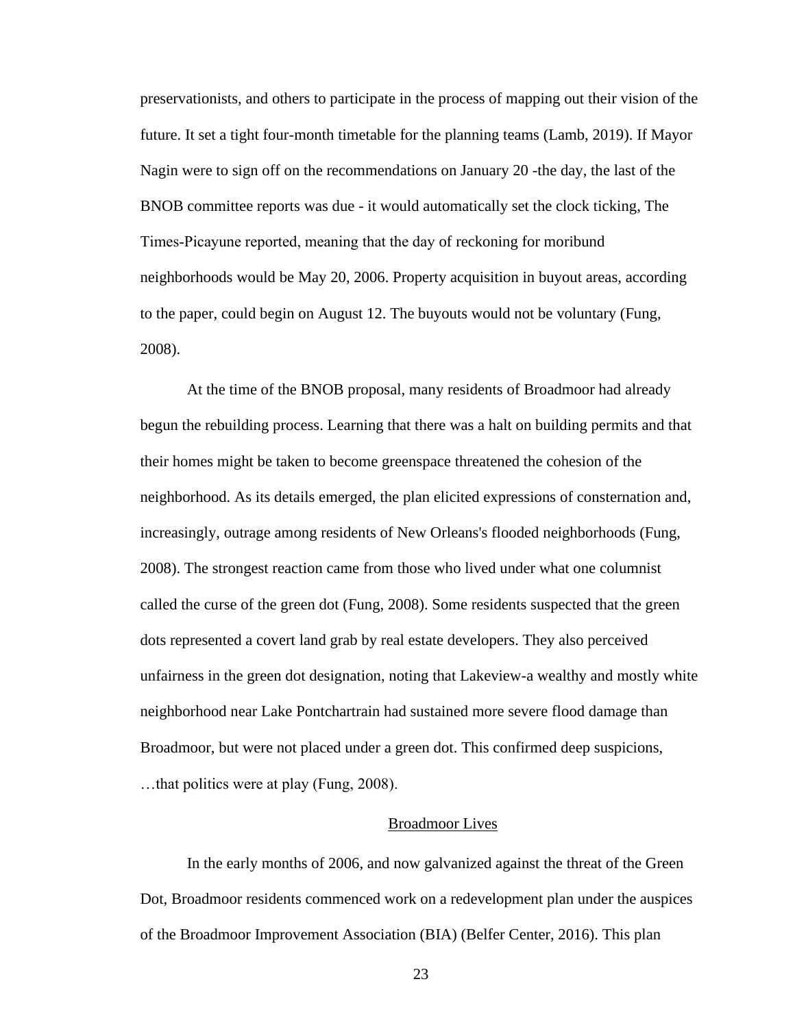preservationists, and others to participate in the process of mapping out their vision of the future. It set a tight four-month timetable for the planning teams (Lamb, 2019). If Mayor Nagin were to sign off on the recommendations on January 20 -the day, the last of the BNOB committee reports was due - it would automatically set the clock ticking, The Times‐Picayune reported, meaning that the day of reckoning for moribund neighborhoods would be May 20, 2006. Property acquisition in buyout areas, according to the paper, could begin on August 12. The buyouts would not be voluntary (Fung, 2008).

At the time of the BNOB proposal, many residents of Broadmoor had already begun the rebuilding process. Learning that there was a halt on building permits and that their homes might be taken to become greenspace threatened the cohesion of the neighborhood. As its details emerged, the plan elicited expressions of consternation and, increasingly, outrage among residents of New Orleans's flooded neighborhoods (Fung, 2008). The strongest reaction came from those who lived under what one columnist called the curse of the green dot (Fung, 2008). Some residents suspected that the green dots represented a covert land grab by real estate developers. They also perceived unfairness in the green dot designation, noting that Lakeview-a wealthy and mostly white neighborhood near Lake Pontchartrain had sustained more severe flood damage than Broadmoor, but were not placed under a green dot. This confirmed deep suspicions, …that politics were at play (Fung, 2008).

### Broadmoor Lives

In the early months of 2006, and now galvanized against the threat of the Green Dot, Broadmoor residents commenced work on a redevelopment plan under the auspices of the Broadmoor Improvement Association (BIA) (Belfer Center, 2016). This plan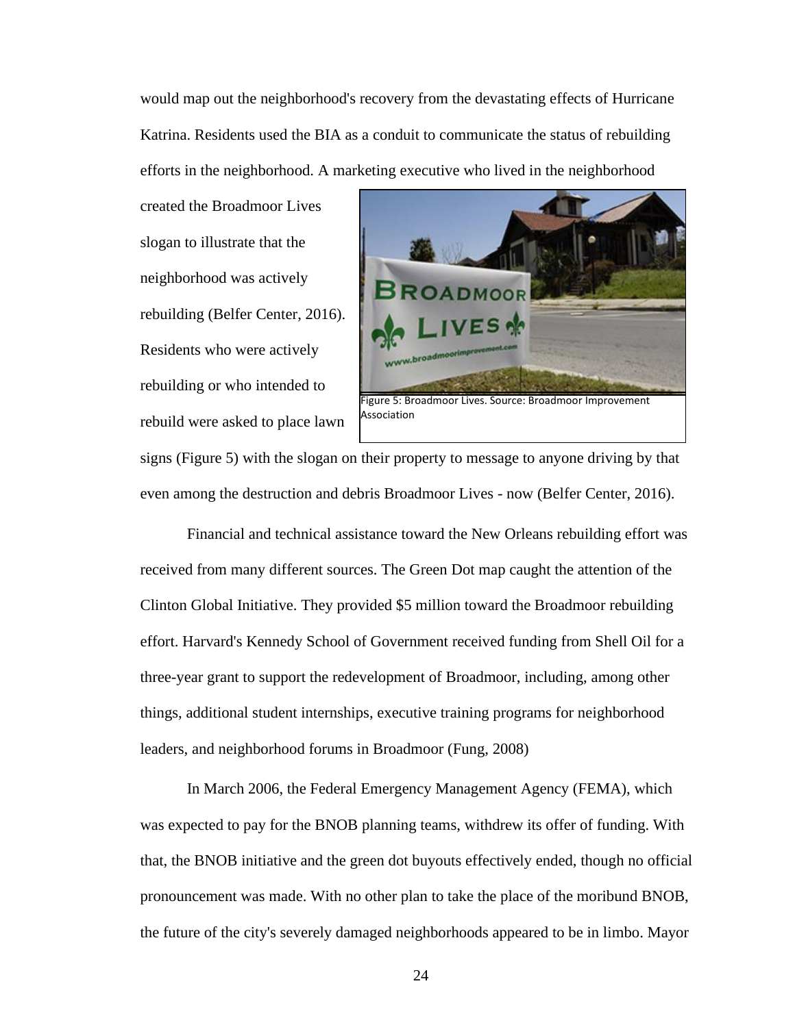would map out the neighborhood's recovery from the devastating effects of Hurricane Katrina. Residents used the BIA as a conduit to communicate the status of rebuilding efforts in the neighborhood. A marketing executive who lived in the neighborhood

created the Broadmoor Lives slogan to illustrate that the neighborhood was actively rebuilding (Belfer Center, 2016). Residents who were actively rebuilding or who intended to rebuild were asked to place lawn



signs (Figure 5) with the slogan on their property to message to anyone driving by that even among the destruction and debris Broadmoor Lives - now (Belfer Center, 2016).

Financial and technical assistance toward the New Orleans rebuilding effort was received from many different sources. The Green Dot map caught the attention of the Clinton Global Initiative. They provided \$5 million toward the Broadmoor rebuilding effort. Harvard's Kennedy School of Government received funding from Shell Oil for a three-year grant to support the redevelopment of Broadmoor, including, among other things, additional student internships, executive training programs for neighborhood leaders, and neighborhood forums in Broadmoor (Fung, 2008)

In March 2006, the Federal Emergency Management Agency (FEMA), which was expected to pay for the BNOB planning teams, withdrew its offer of funding. With that, the BNOB initiative and the green dot buyouts effectively ended, though no official pronouncement was made. With no other plan to take the place of the moribund BNOB, the future of the city's severely damaged neighborhoods appeared to be in limbo. Mayor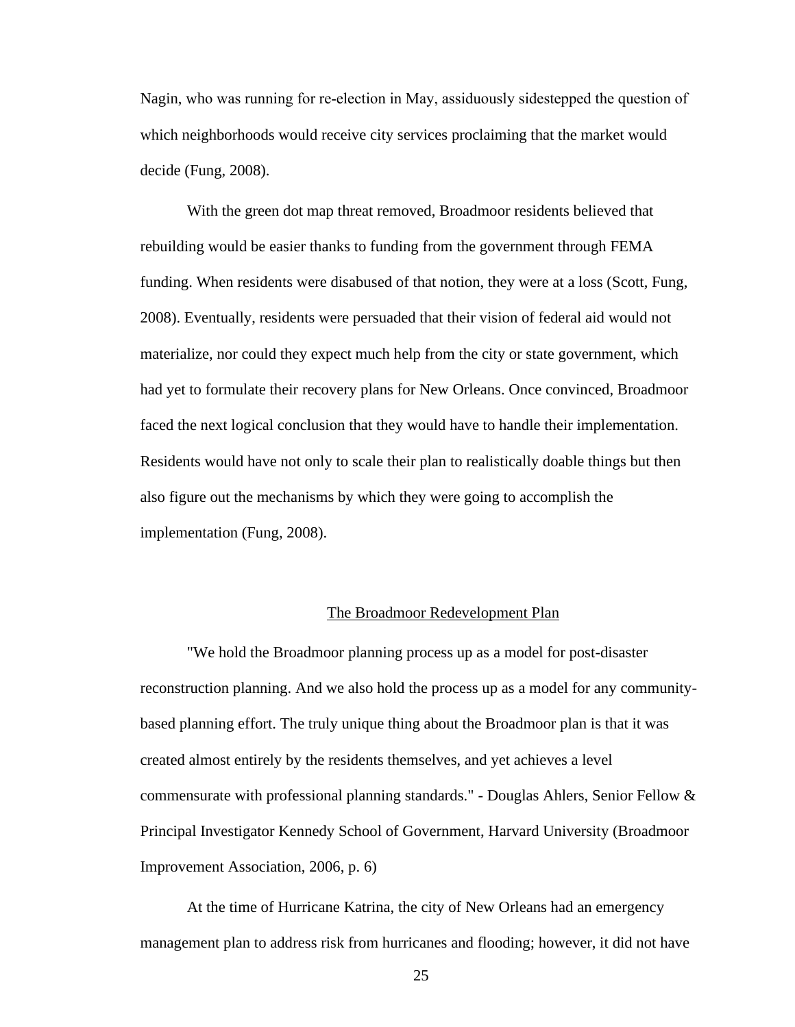Nagin, who was running for re‐election in May, assiduously sidestepped the question of which neighborhoods would receive city services proclaiming that the market would decide (Fung, 2008).

With the green dot map threat removed, Broadmoor residents believed that rebuilding would be easier thanks to funding from the government through FEMA funding. When residents were disabused of that notion, they were at a loss (Scott, Fung, 2008). Eventually, residents were persuaded that their vision of federal aid would not materialize, nor could they expect much help from the city or state government, which had yet to formulate their recovery plans for New Orleans. Once convinced, Broadmoor faced the next logical conclusion that they would have to handle their implementation. Residents would have not only to scale their plan to realistically doable things but then also figure out the mechanisms by which they were going to accomplish the implementation (Fung, 2008).

#### The Broadmoor Redevelopment Plan

"We hold the Broadmoor planning process up as a model for post-disaster reconstruction planning. And we also hold the process up as a model for any communitybased planning effort. The truly unique thing about the Broadmoor plan is that it was created almost entirely by the residents themselves, and yet achieves a level commensurate with professional planning standards." - Douglas Ahlers, Senior Fellow & Principal Investigator Kennedy School of Government, Harvard University (Broadmoor Improvement Association, 2006, p. 6)

At the time of Hurricane Katrina, the city of New Orleans had an emergency management plan to address risk from hurricanes and flooding; however, it did not have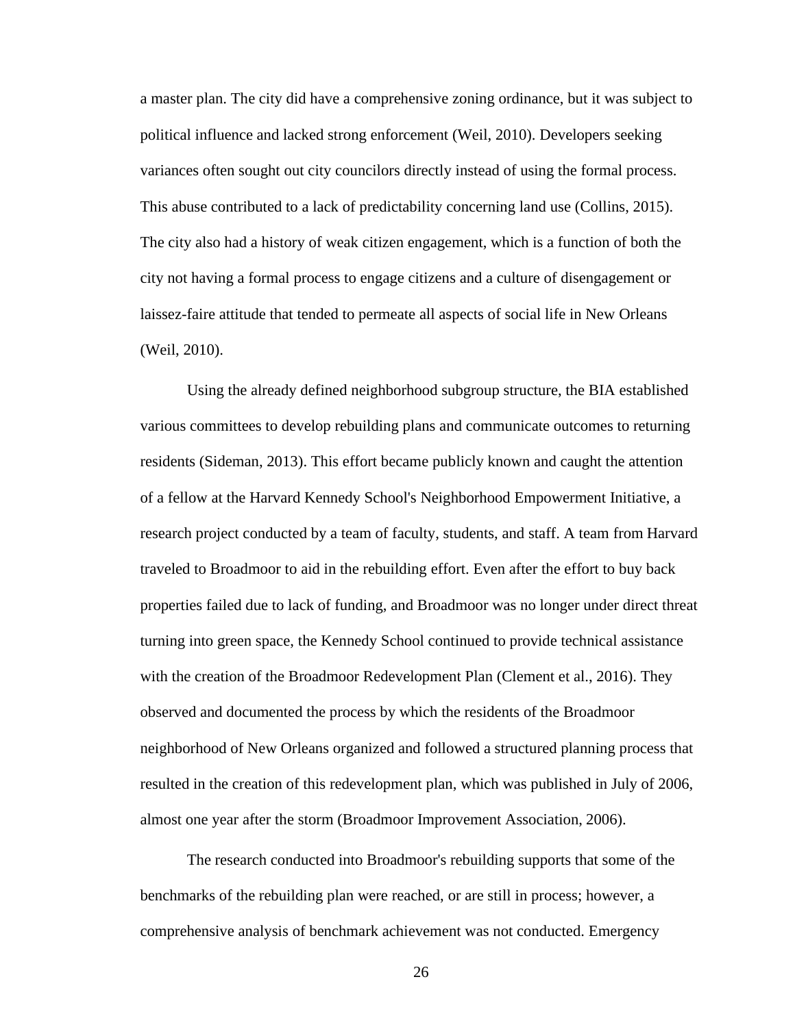a master plan. The city did have a comprehensive zoning ordinance, but it was subject to political influence and lacked strong enforcement (Weil, 2010). Developers seeking variances often sought out city councilors directly instead of using the formal process. This abuse contributed to a lack of predictability concerning land use (Collins, 2015). The city also had a history of weak citizen engagement, which is a function of both the city not having a formal process to engage citizens and a culture of disengagement or laissez-faire attitude that tended to permeate all aspects of social life in New Orleans (Weil, 2010).

Using the already defined neighborhood subgroup structure, the BIA established various committees to develop rebuilding plans and communicate outcomes to returning residents (Sideman, 2013). This effort became publicly known and caught the attention of a fellow at the Harvard Kennedy School's Neighborhood Empowerment Initiative, a research project conducted by a team of faculty, students, and staff. A team from Harvard traveled to Broadmoor to aid in the rebuilding effort. Even after the effort to buy back properties failed due to lack of funding, and Broadmoor was no longer under direct threat turning into green space, the Kennedy School continued to provide technical assistance with the creation of the Broadmoor Redevelopment Plan (Clement et al., 2016). They observed and documented the process by which the residents of the Broadmoor neighborhood of New Orleans organized and followed a structured planning process that resulted in the creation of this redevelopment plan, which was published in July of 2006, almost one year after the storm (Broadmoor Improvement Association, 2006).

The research conducted into Broadmoor's rebuilding supports that some of the benchmarks of the rebuilding plan were reached, or are still in process; however, a comprehensive analysis of benchmark achievement was not conducted. Emergency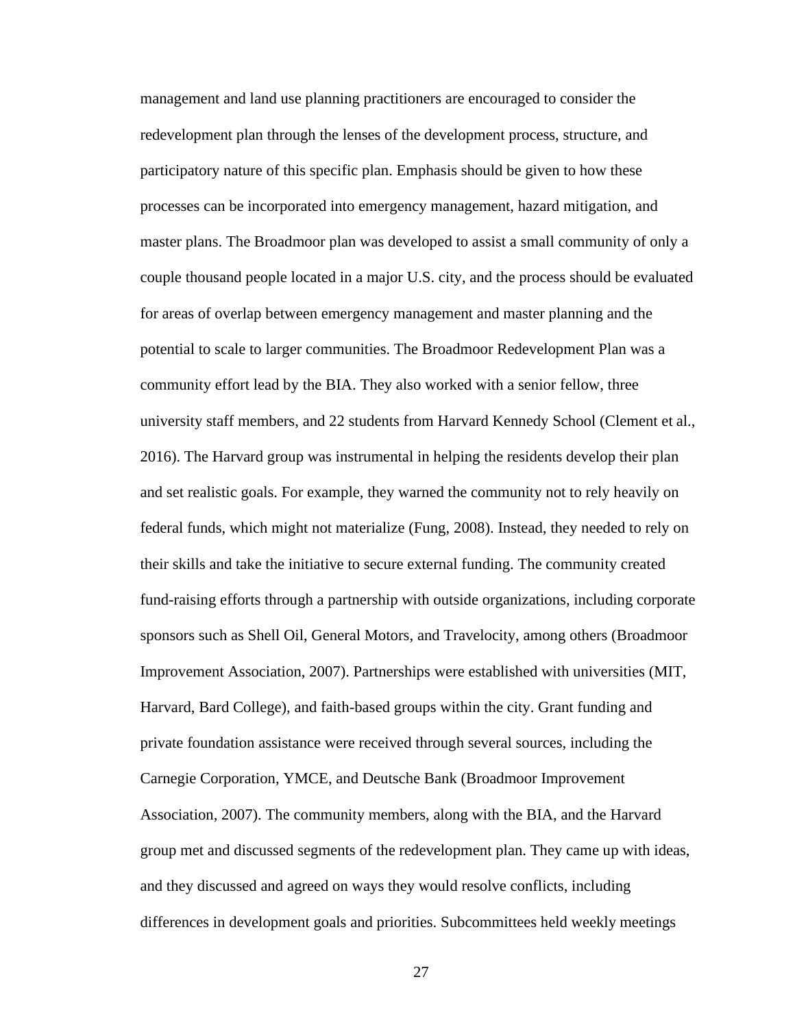management and land use planning practitioners are encouraged to consider the redevelopment plan through the lenses of the development process, structure, and participatory nature of this specific plan. Emphasis should be given to how these processes can be incorporated into emergency management, hazard mitigation, and master plans. The Broadmoor plan was developed to assist a small community of only a couple thousand people located in a major U.S. city, and the process should be evaluated for areas of overlap between emergency management and master planning and the potential to scale to larger communities. The Broadmoor Redevelopment Plan was a community effort lead by the BIA. They also worked with a senior fellow, three university staff members, and 22 students from Harvard Kennedy School (Clement et al., 2016). The Harvard group was instrumental in helping the residents develop their plan and set realistic goals. For example, they warned the community not to rely heavily on federal funds, which might not materialize (Fung, 2008). Instead, they needed to rely on their skills and take the initiative to secure external funding. The community created fund-raising efforts through a partnership with outside organizations, including corporate sponsors such as Shell Oil, General Motors, and Travelocity, among others (Broadmoor Improvement Association, 2007). Partnerships were established with universities (MIT, Harvard, Bard College), and faith-based groups within the city. Grant funding and private foundation assistance were received through several sources, including the Carnegie Corporation, YMCE, and Deutsche Bank (Broadmoor Improvement Association, 2007). The community members, along with the BIA, and the Harvard group met and discussed segments of the redevelopment plan. They came up with ideas, and they discussed and agreed on ways they would resolve conflicts, including differences in development goals and priorities. Subcommittees held weekly meetings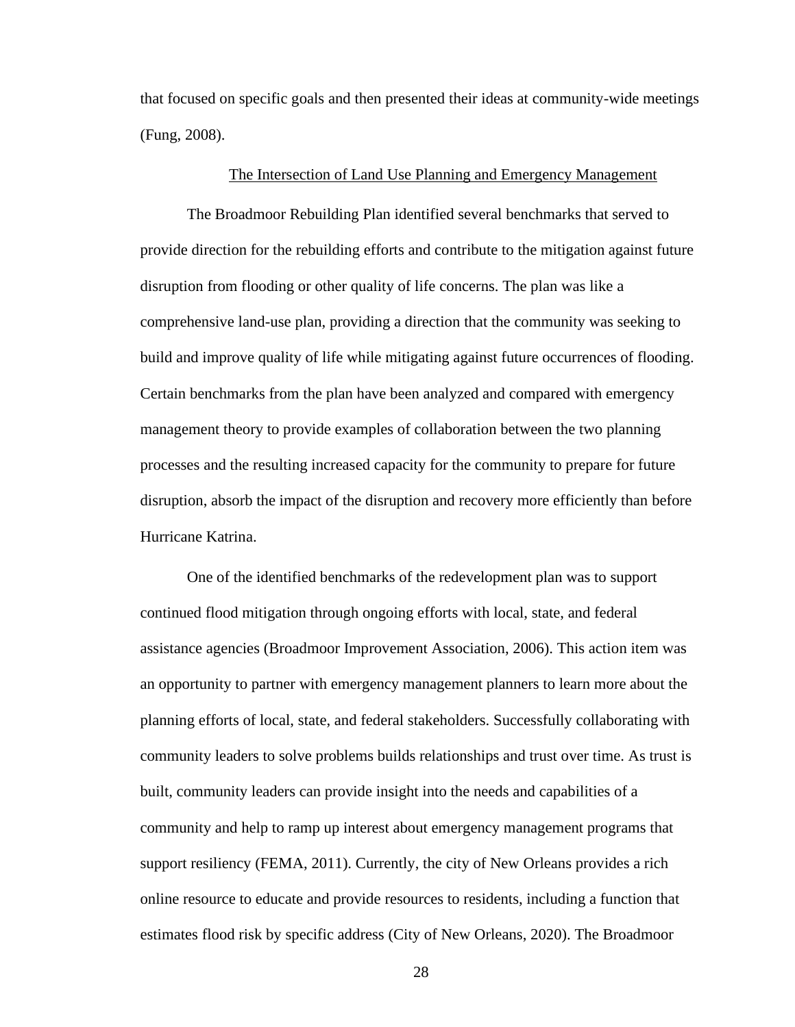that focused on specific goals and then presented their ideas at community-wide meetings (Fung, 2008).

## The Intersection of Land Use Planning and Emergency Management

The Broadmoor Rebuilding Plan identified several benchmarks that served to provide direction for the rebuilding efforts and contribute to the mitigation against future disruption from flooding or other quality of life concerns. The plan was like a comprehensive land-use plan, providing a direction that the community was seeking to build and improve quality of life while mitigating against future occurrences of flooding. Certain benchmarks from the plan have been analyzed and compared with emergency management theory to provide examples of collaboration between the two planning processes and the resulting increased capacity for the community to prepare for future disruption, absorb the impact of the disruption and recovery more efficiently than before Hurricane Katrina.

One of the identified benchmarks of the redevelopment plan was to support continued flood mitigation through ongoing efforts with local, state, and federal assistance agencies (Broadmoor Improvement Association, 2006). This action item was an opportunity to partner with emergency management planners to learn more about the planning efforts of local, state, and federal stakeholders. Successfully collaborating with community leaders to solve problems builds relationships and trust over time. As trust is built, community leaders can provide insight into the needs and capabilities of a community and help to ramp up interest about emergency management programs that support resiliency (FEMA, 2011). Currently, the city of New Orleans provides a rich online resource to educate and provide resources to residents, including a function that estimates flood risk by specific address (City of New Orleans, 2020). The Broadmoor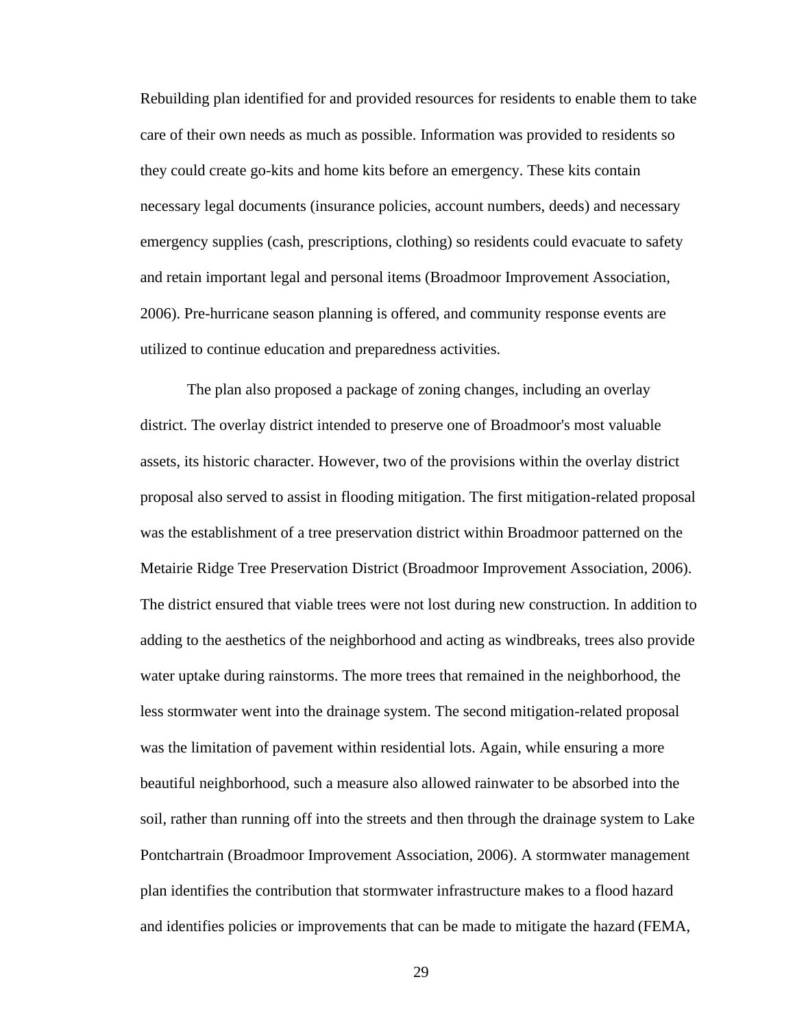Rebuilding plan identified for and provided resources for residents to enable them to take care of their own needs as much as possible. Information was provided to residents so they could create go-kits and home kits before an emergency. These kits contain necessary legal documents (insurance policies, account numbers, deeds) and necessary emergency supplies (cash, prescriptions, clothing) so residents could evacuate to safety and retain important legal and personal items (Broadmoor Improvement Association, 2006). Pre-hurricane season planning is offered, and community response events are utilized to continue education and preparedness activities.

The plan also proposed a package of zoning changes, including an overlay district. The overlay district intended to preserve one of Broadmoor's most valuable assets, its historic character. However, two of the provisions within the overlay district proposal also served to assist in flooding mitigation. The first mitigation-related proposal was the establishment of a tree preservation district within Broadmoor patterned on the Metairie Ridge Tree Preservation District (Broadmoor Improvement Association, 2006). The district ensured that viable trees were not lost during new construction. In addition to adding to the aesthetics of the neighborhood and acting as windbreaks, trees also provide water uptake during rainstorms. The more trees that remained in the neighborhood, the less stormwater went into the drainage system. The second mitigation-related proposal was the limitation of pavement within residential lots. Again, while ensuring a more beautiful neighborhood, such a measure also allowed rainwater to be absorbed into the soil, rather than running off into the streets and then through the drainage system to Lake Pontchartrain (Broadmoor Improvement Association, 2006). A stormwater management plan identifies the contribution that stormwater infrastructure makes to a flood hazard and identifies policies or improvements that can be made to mitigate the hazard (FEMA,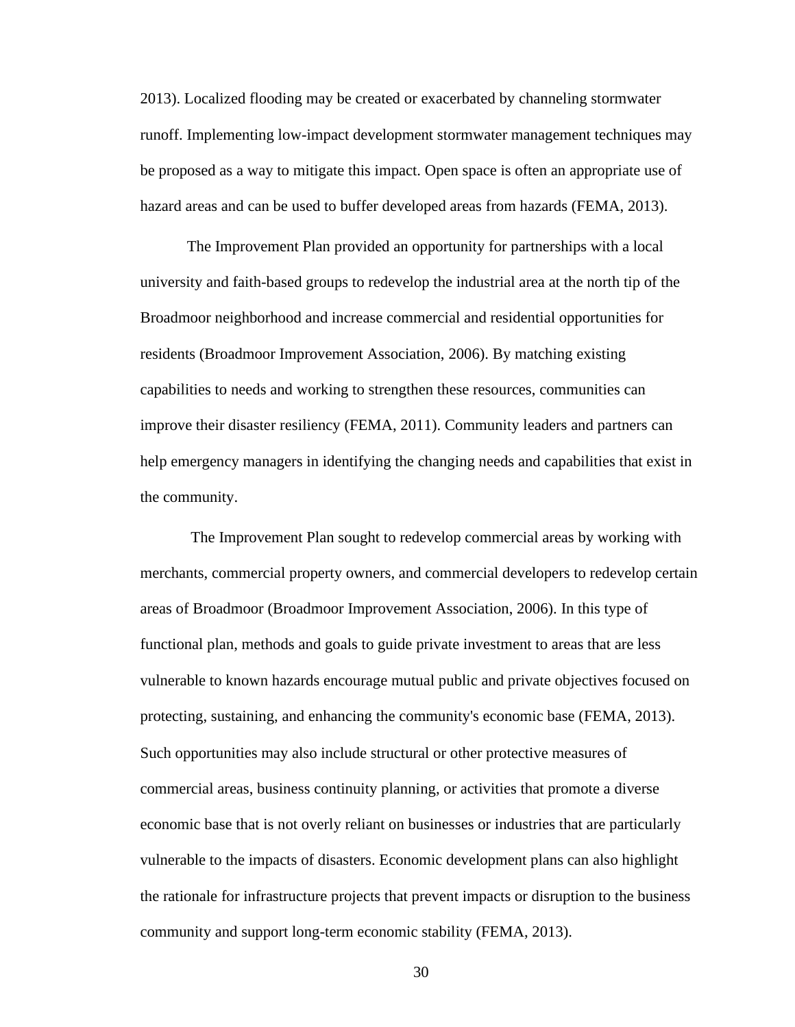2013). Localized flooding may be created or exacerbated by channeling stormwater runoff. Implementing low-impact development stormwater management techniques may be proposed as a way to mitigate this impact. Open space is often an appropriate use of hazard areas and can be used to buffer developed areas from hazards (FEMA, 2013).

The Improvement Plan provided an opportunity for partnerships with a local university and faith-based groups to redevelop the industrial area at the north tip of the Broadmoor neighborhood and increase commercial and residential opportunities for residents (Broadmoor Improvement Association, 2006). By matching existing capabilities to needs and working to strengthen these resources, communities can improve their disaster resiliency (FEMA, 2011). Community leaders and partners can help emergency managers in identifying the changing needs and capabilities that exist in the community.

The Improvement Plan sought to redevelop commercial areas by working with merchants, commercial property owners, and commercial developers to redevelop certain areas of Broadmoor (Broadmoor Improvement Association, 2006). In this type of functional plan, methods and goals to guide private investment to areas that are less vulnerable to known hazards encourage mutual public and private objectives focused on protecting, sustaining, and enhancing the community's economic base (FEMA, 2013). Such opportunities may also include structural or other protective measures of commercial areas, business continuity planning, or activities that promote a diverse economic base that is not overly reliant on businesses or industries that are particularly vulnerable to the impacts of disasters. Economic development plans can also highlight the rationale for infrastructure projects that prevent impacts or disruption to the business community and support long-term economic stability (FEMA, 2013).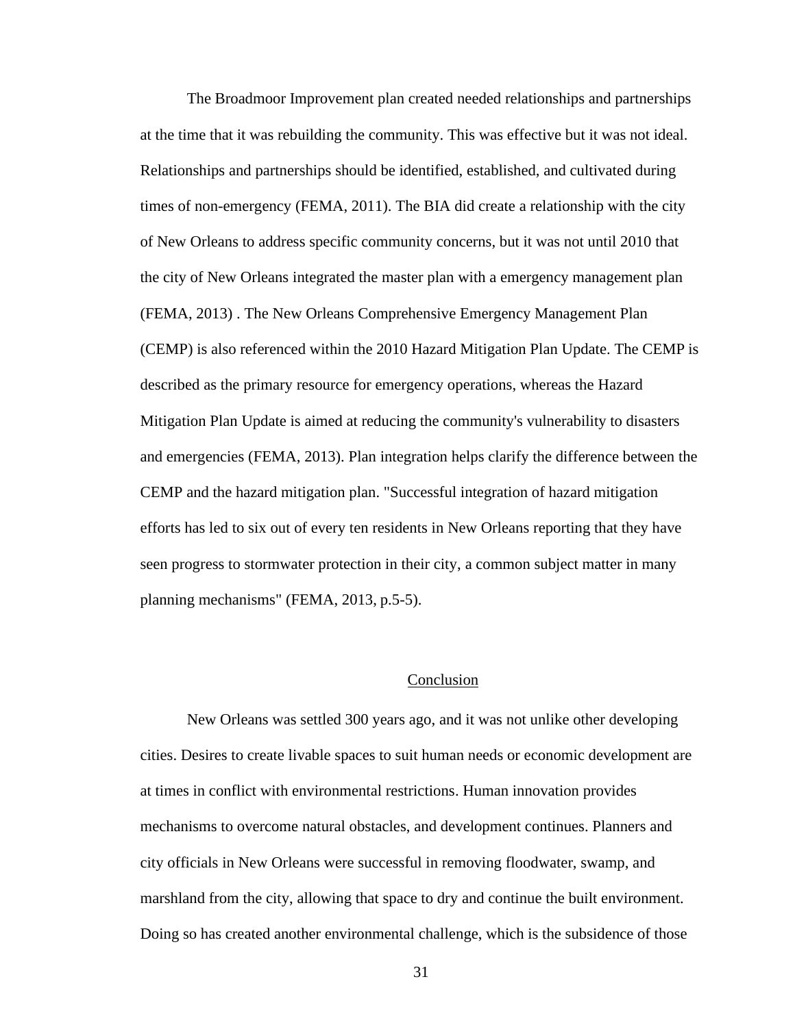The Broadmoor Improvement plan created needed relationships and partnerships at the time that it was rebuilding the community. This was effective but it was not ideal. Relationships and partnerships should be identified, established, and cultivated during times of non-emergency (FEMA, 2011). The BIA did create a relationship with the city of New Orleans to address specific community concerns, but it was not until 2010 that the city of New Orleans integrated the master plan with a emergency management plan (FEMA, 2013) . The New Orleans Comprehensive Emergency Management Plan (CEMP) is also referenced within the 2010 Hazard Mitigation Plan Update. The CEMP is described as the primary resource for emergency operations, whereas the Hazard Mitigation Plan Update is aimed at reducing the community's vulnerability to disasters and emergencies (FEMA, 2013). Plan integration helps clarify the difference between the CEMP and the hazard mitigation plan. "Successful integration of hazard mitigation efforts has led to six out of every ten residents in New Orleans reporting that they have seen progress to stormwater protection in their city, a common subject matter in many planning mechanisms" (FEMA, 2013, p.5-5).

# Conclusion

New Orleans was settled 300 years ago, and it was not unlike other developing cities. Desires to create livable spaces to suit human needs or economic development are at times in conflict with environmental restrictions. Human innovation provides mechanisms to overcome natural obstacles, and development continues. Planners and city officials in New Orleans were successful in removing floodwater, swamp, and marshland from the city, allowing that space to dry and continue the built environment. Doing so has created another environmental challenge, which is the subsidence of those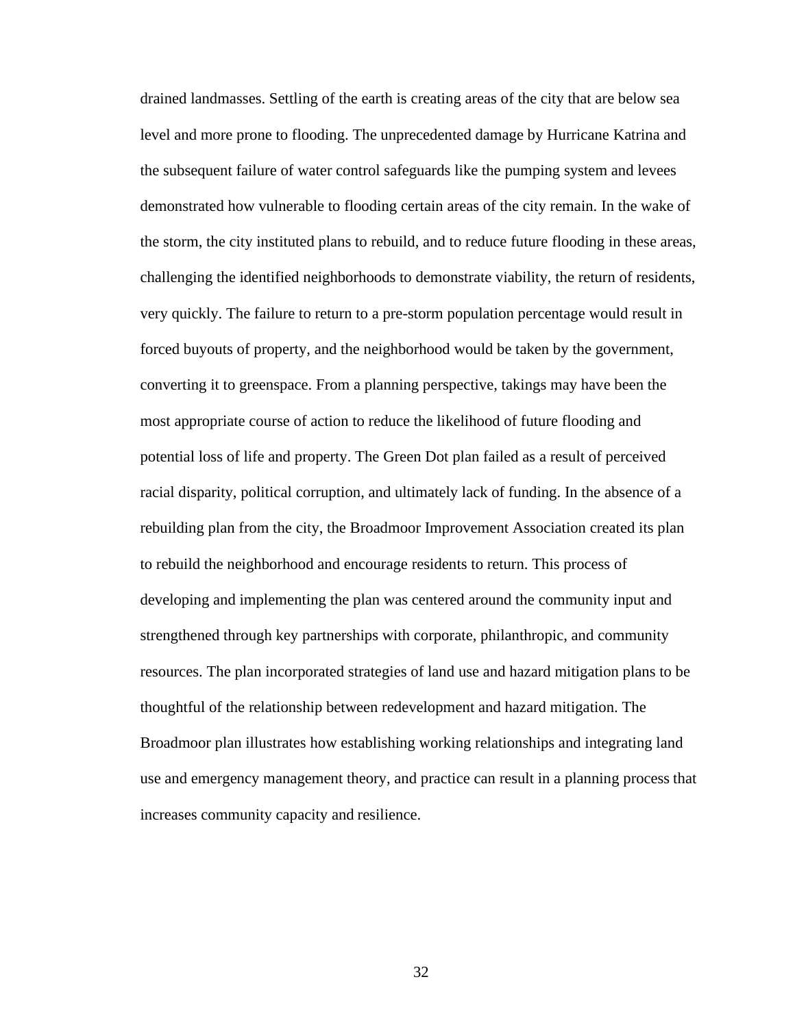drained landmasses. Settling of the earth is creating areas of the city that are below sea level and more prone to flooding. The unprecedented damage by Hurricane Katrina and the subsequent failure of water control safeguards like the pumping system and levees demonstrated how vulnerable to flooding certain areas of the city remain. In the wake of the storm, the city instituted plans to rebuild, and to reduce future flooding in these areas, challenging the identified neighborhoods to demonstrate viability, the return of residents, very quickly. The failure to return to a pre-storm population percentage would result in forced buyouts of property, and the neighborhood would be taken by the government, converting it to greenspace. From a planning perspective, takings may have been the most appropriate course of action to reduce the likelihood of future flooding and potential loss of life and property. The Green Dot plan failed as a result of perceived racial disparity, political corruption, and ultimately lack of funding. In the absence of a rebuilding plan from the city, the Broadmoor Improvement Association created its plan to rebuild the neighborhood and encourage residents to return. This process of developing and implementing the plan was centered around the community input and strengthened through key partnerships with corporate, philanthropic, and community resources. The plan incorporated strategies of land use and hazard mitigation plans to be thoughtful of the relationship between redevelopment and hazard mitigation. The Broadmoor plan illustrates how establishing working relationships and integrating land use and emergency management theory, and practice can result in a planning process that increases community capacity and resilience.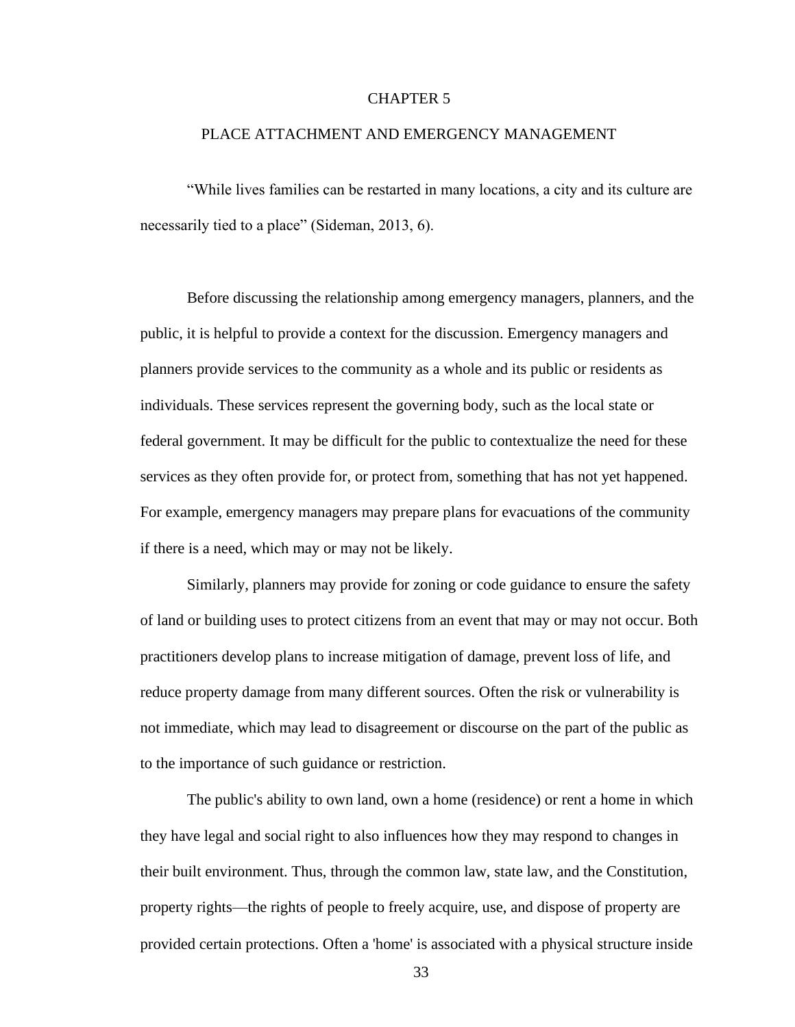## CHAPTER 5

## PLACE ATTACHMENT AND EMERGENCY MANAGEMENT

"While lives families can be restarted in many locations, a city and its culture are necessarily tied to a place" (Sideman, 2013, 6).

Before discussing the relationship among emergency managers, planners, and the public, it is helpful to provide a context for the discussion. Emergency managers and planners provide services to the community as a whole and its public or residents as individuals. These services represent the governing body, such as the local state or federal government. It may be difficult for the public to contextualize the need for these services as they often provide for, or protect from, something that has not yet happened. For example, emergency managers may prepare plans for evacuations of the community if there is a need, which may or may not be likely.

Similarly, planners may provide for zoning or code guidance to ensure the safety of land or building uses to protect citizens from an event that may or may not occur. Both practitioners develop plans to increase mitigation of damage, prevent loss of life, and reduce property damage from many different sources. Often the risk or vulnerability is not immediate, which may lead to disagreement or discourse on the part of the public as to the importance of such guidance or restriction.

The public's ability to own land, own a home (residence) or rent a home in which they have legal and social right to also influences how they may respond to changes in their built environment. Thus, through the common law, state law, and the Constitution, property rights—the rights of people to freely acquire, use, and dispose of property are provided certain protections. Often a 'home' is associated with a physical structure inside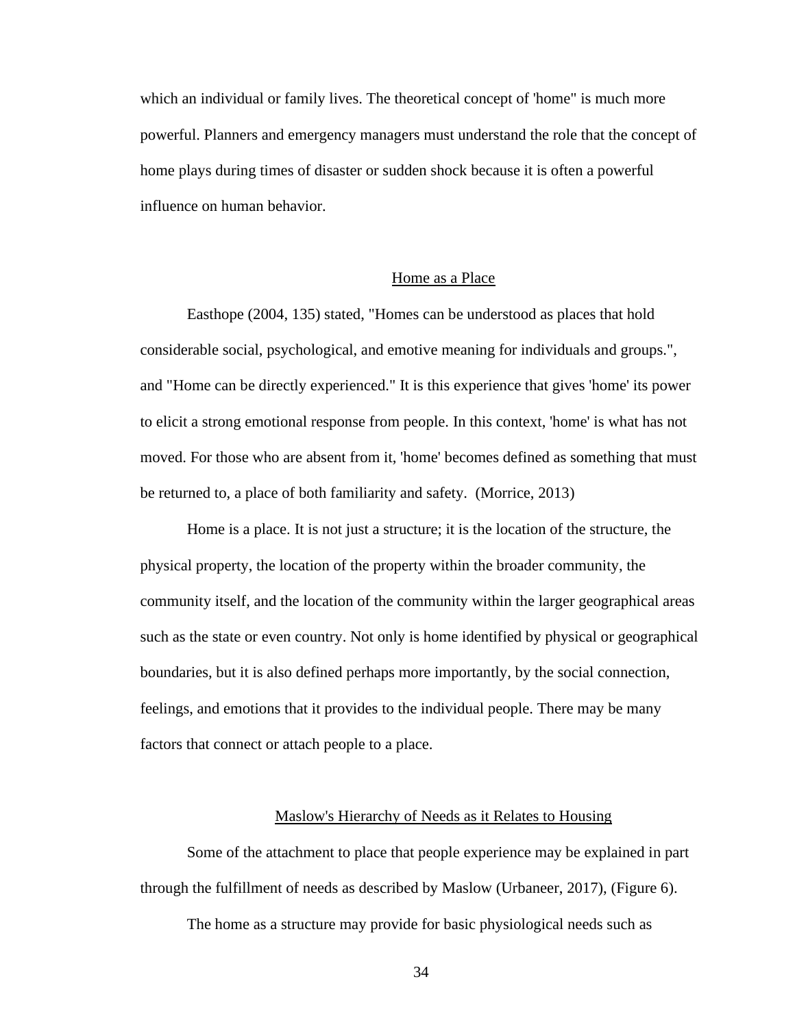which an individual or family lives. The theoretical concept of 'home" is much more powerful. Planners and emergency managers must understand the role that the concept of home plays during times of disaster or sudden shock because it is often a powerful influence on human behavior.

# Home as a Place

Easthope (2004, 135) stated, "Homes can be understood as places that hold considerable social, psychological, and emotive meaning for individuals and groups.", and "Home can be directly experienced." It is this experience that gives 'home' its power to elicit a strong emotional response from people. In this context, 'home' is what has not moved. For those who are absent from it, 'home' becomes defined as something that must be returned to, a place of both familiarity and safety. (Morrice, 2013)

Home is a place. It is not just a structure; it is the location of the structure, the physical property, the location of the property within the broader community, the community itself, and the location of the community within the larger geographical areas such as the state or even country. Not only is home identified by physical or geographical boundaries, but it is also defined perhaps more importantly, by the social connection, feelings, and emotions that it provides to the individual people. There may be many factors that connect or attach people to a place.

#### Maslow's Hierarchy of Needs as it Relates to Housing

Some of the attachment to place that people experience may be explained in part through the fulfillment of needs as described by Maslow (Urbaneer, 2017), (Figure 6).

The home as a structure may provide for basic physiological needs such as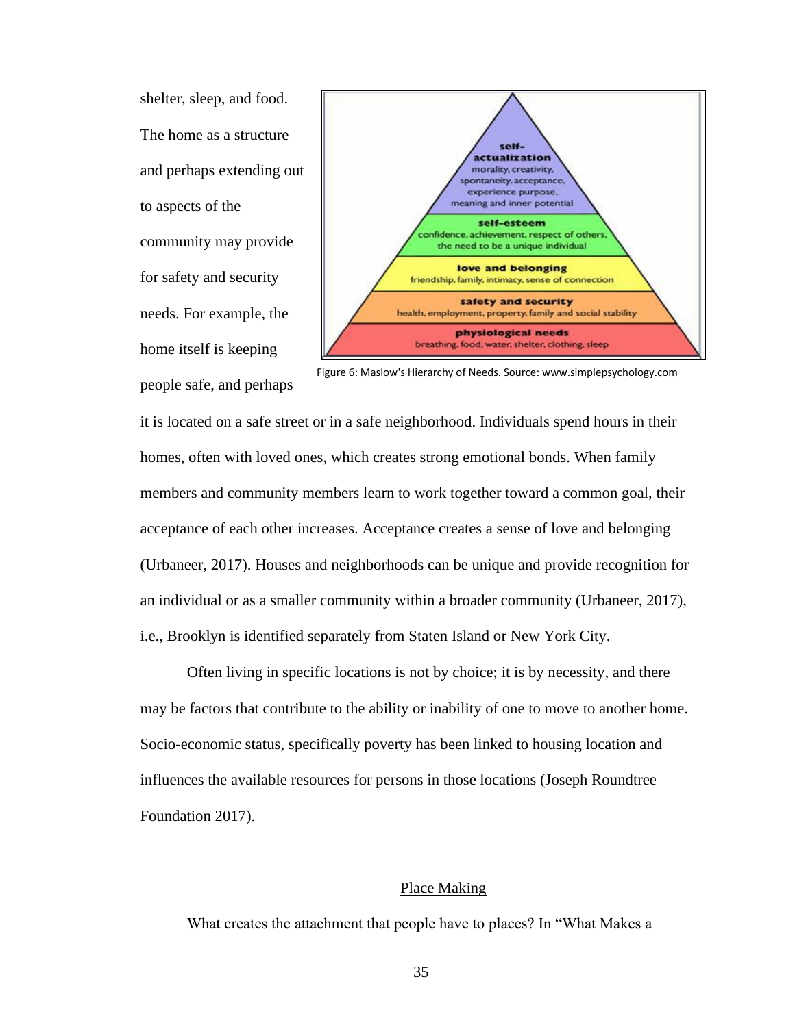shelter, sleep, and food. The home as a structure and perhaps extending out to aspects of the community may provide for safety and security needs. For example, the home itself is keeping people safe, and perhaps



Figure 6: Maslow's Hierarchy of Needs. Sourc[e: www.simplepsychology.com](http://www.simplepsychology.com/)

it is located on a safe street or in a safe neighborhood. Individuals spend hours in their homes, often with loved ones, which creates strong emotional bonds. When family members and community members learn to work together toward a common goal, their acceptance of each other increases. Acceptance creates a sense of love and belonging (Urbaneer, 2017). Houses and neighborhoods can be unique and provide recognition for an individual or as a smaller community within a broader community (Urbaneer, 2017), i.e., Brooklyn is identified separately from Staten Island or New York City.

Often living in specific locations is not by choice; it is by necessity, and there may be factors that contribute to the ability or inability of one to move to another home. Socio-economic status, specifically poverty has been linked to housing location and influences the available resources for persons in those locations (Joseph Roundtree Foundation 2017).

# Place Making

What creates the attachment that people have to places? In "What Makes a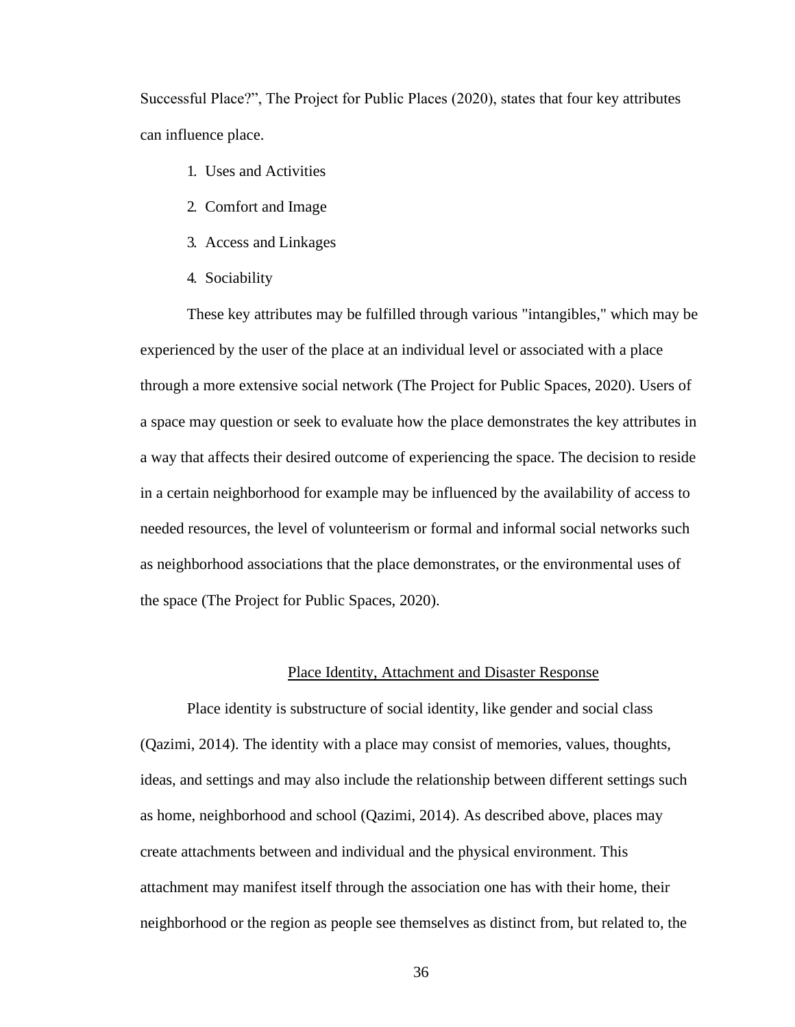Successful Place?", The Project for Public Places (2020), states that four key attributes can influence place.

- 1. Uses and Activities
- 2. Comfort and Image
- 3. Access and Linkages
- 4. Sociability

These key attributes may be fulfilled through various "intangibles," which may be experienced by the user of the place at an individual level or associated with a place through a more extensive social network (The Project for Public Spaces, 2020). Users of a space may question or seek to evaluate how the place demonstrates the key attributes in a way that affects their desired outcome of experiencing the space. The decision to reside in a certain neighborhood for example may be influenced by the availability of access to needed resources, the level of volunteerism or formal and informal social networks such as neighborhood associations that the place demonstrates, or the environmental uses of the space (The Project for Public Spaces, 2020).

# Place Identity, Attachment and Disaster Response

Place identity is substructure of social identity, like gender and social class (Qazimi, 2014). The identity with a place may consist of memories, values, thoughts, ideas, and settings and may also include the relationship between different settings such as home, neighborhood and school (Qazimi, 2014). As described above, places may create attachments between and individual and the physical environment. This attachment may manifest itself through the association one has with their home, their neighborhood or the region as people see themselves as distinct from, but related to, the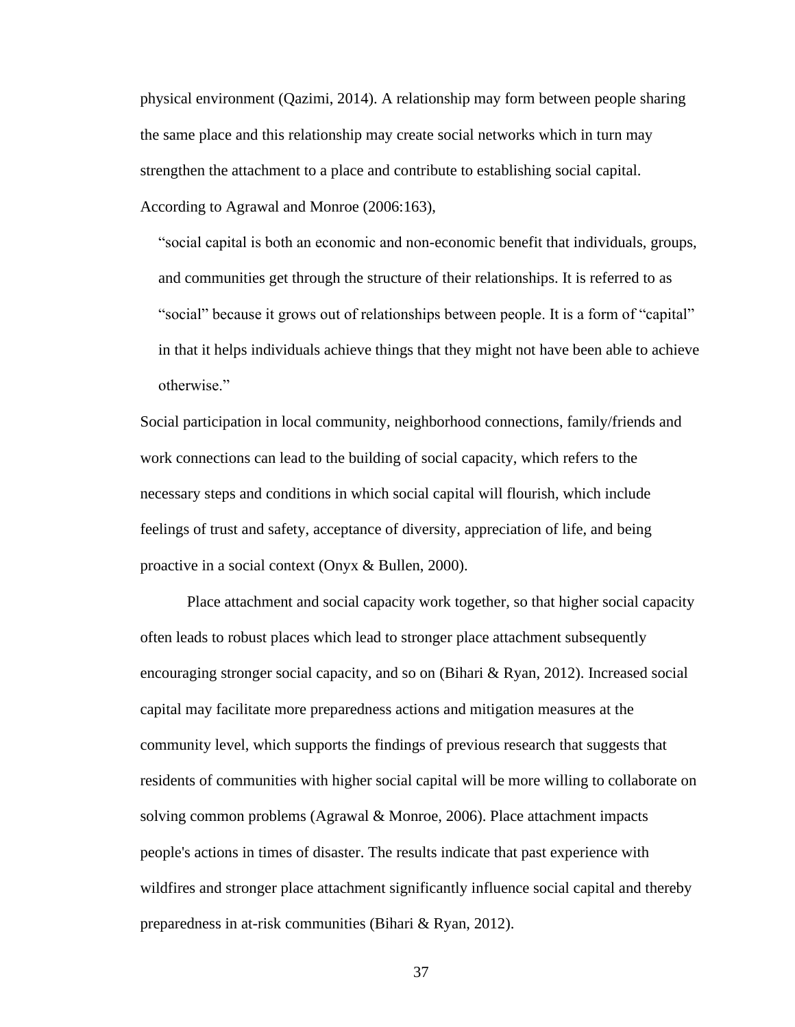physical environment (Qazimi, 2014). A relationship may form between people sharing the same place and this relationship may create social networks which in turn may strengthen the attachment to a place and contribute to establishing social capital. According to Agrawal and Monroe (2006:163),

"social capital is both an economic and non-economic benefit that individuals, groups, and communities get through the structure of their relationships. It is referred to as "social" because it grows out of relationships between people. It is a form of "capital" in that it helps individuals achieve things that they might not have been able to achieve otherwise."

Social participation in local community, neighborhood connections, family/friends and work connections can lead to the building of social capacity, which refers to the necessary steps and conditions in which social capital will flourish, which include feelings of trust and safety, acceptance of diversity, appreciation of life, and being proactive in a social context (Onyx & Bullen, 2000).

Place attachment and social capacity work together, so that higher social capacity often leads to robust places which lead to stronger place attachment subsequently encouraging stronger social capacity, and so on (Bihari & Ryan, 2012). Increased social capital may facilitate more preparedness actions and mitigation measures at the community level, which supports the findings of previous research that suggests that residents of communities with higher social capital will be more willing to collaborate on solving common problems (Agrawal & Monroe, 2006). Place attachment impacts people's actions in times of disaster. The results indicate that past experience with wildfires and stronger place attachment significantly influence social capital and thereby preparedness in at-risk communities (Bihari & Ryan, 2012).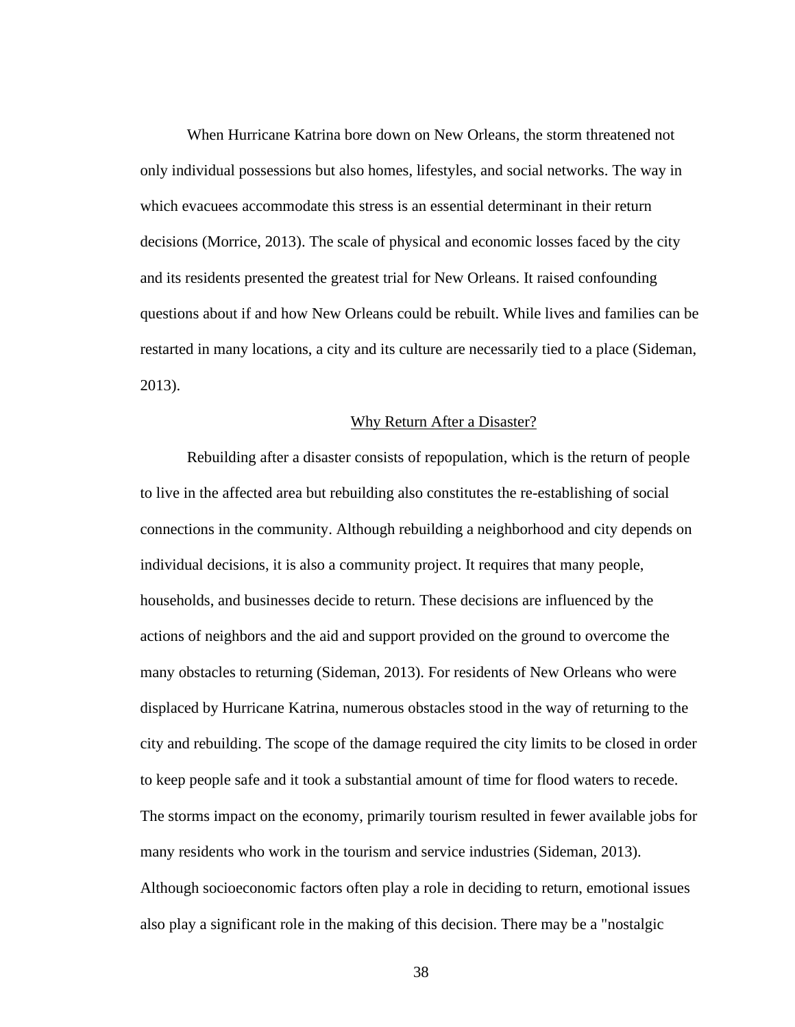When Hurricane Katrina bore down on New Orleans, the storm threatened not only individual possessions but also homes, lifestyles, and social networks. The way in which evacuees accommodate this stress is an essential determinant in their return decisions (Morrice, 2013). The scale of physical and economic losses faced by the city and its residents presented the greatest trial for New Orleans. It raised confounding questions about if and how New Orleans could be rebuilt. While lives and families can be restarted in many locations, a city and its culture are necessarily tied to a place (Sideman, 2013).

#### Why Return After a Disaster?

Rebuilding after a disaster consists of repopulation, which is the return of people to live in the affected area but rebuilding also constitutes the re-establishing of social connections in the community. Although rebuilding a neighborhood and city depends on individual decisions, it is also a community project. It requires that many people, households, and businesses decide to return. These decisions are influenced by the actions of neighbors and the aid and support provided on the ground to overcome the many obstacles to returning (Sideman, 2013). For residents of New Orleans who were displaced by Hurricane Katrina, numerous obstacles stood in the way of returning to the city and rebuilding. The scope of the damage required the city limits to be closed in order to keep people safe and it took a substantial amount of time for flood waters to recede. The storms impact on the economy, primarily tourism resulted in fewer available jobs for many residents who work in the tourism and service industries (Sideman, 2013). Although socioeconomic factors often play a role in deciding to return, emotional issues also play a significant role in the making of this decision. There may be a "nostalgic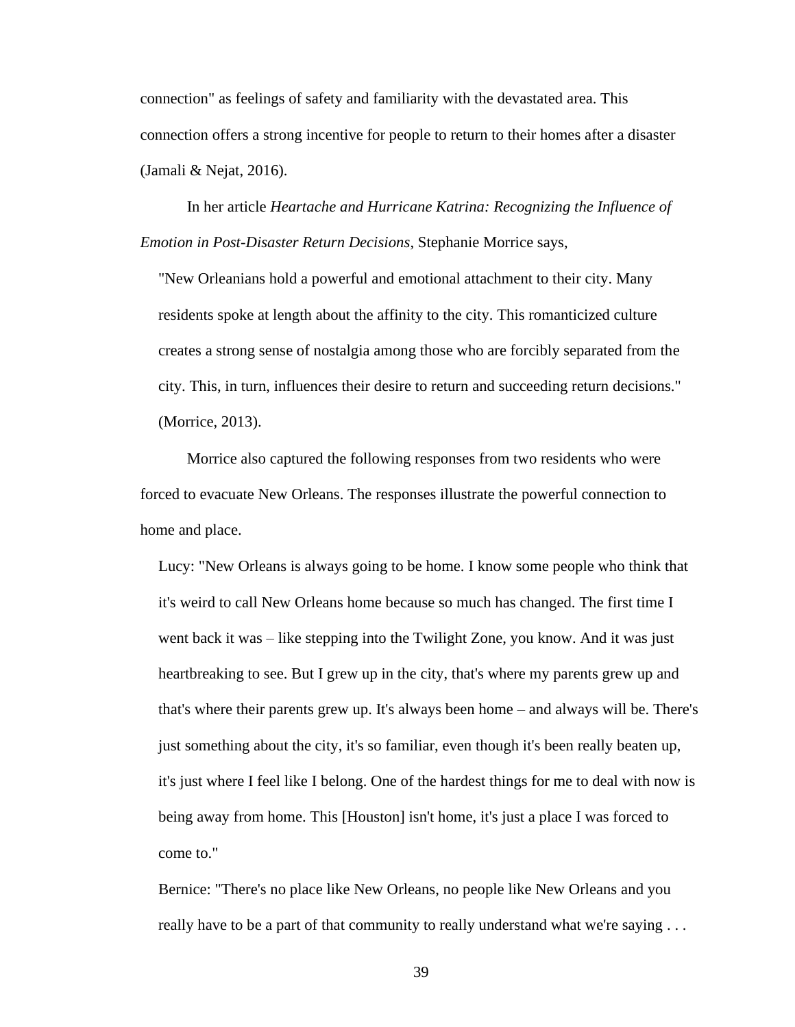connection" as feelings of safety and familiarity with the devastated area. This connection offers a strong incentive for people to return to their homes after a disaster (Jamali & Nejat, 2016).

In her article *Heartache and Hurricane Katrina: Recognizing the Influence of Emotion in Post-Disaster Return Decisions*, Stephanie Morrice says,

"New Orleanians hold a powerful and emotional attachment to their city. Many residents spoke at length about the affinity to the city. This romanticized culture creates a strong sense of nostalgia among those who are forcibly separated from the city. This, in turn, influences their desire to return and succeeding return decisions." (Morrice, 2013).

Morrice also captured the following responses from two residents who were forced to evacuate New Orleans. The responses illustrate the powerful connection to home and place.

Lucy: "New Orleans is always going to be home. I know some people who think that it's weird to call New Orleans home because so much has changed. The first time I went back it was – like stepping into the Twilight Zone, you know. And it was just heartbreaking to see. But I grew up in the city, that's where my parents grew up and that's where their parents grew up. It's always been home – and always will be. There's just something about the city, it's so familiar, even though it's been really beaten up, it's just where I feel like I belong. One of the hardest things for me to deal with now is being away from home. This [Houston] isn't home, it's just a place I was forced to come to."

Bernice: "There's no place like New Orleans, no people like New Orleans and you really have to be a part of that community to really understand what we're saying . . .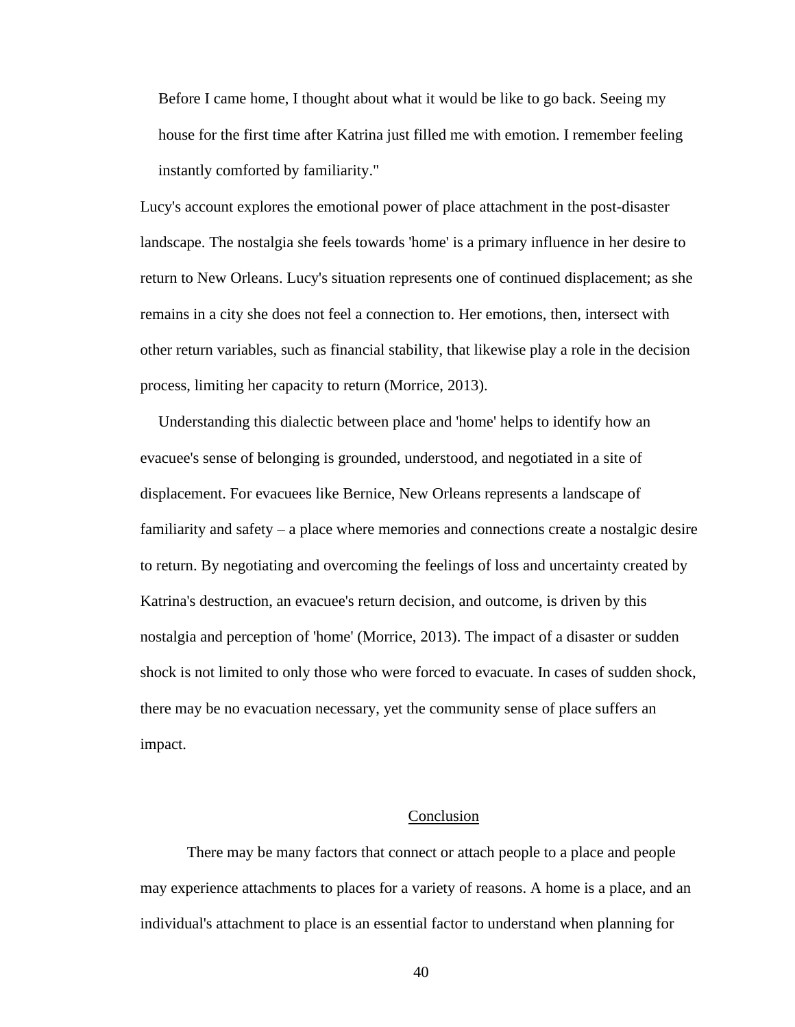Before I came home, I thought about what it would be like to go back. Seeing my house for the first time after Katrina just filled me with emotion. I remember feeling instantly comforted by familiarity."

Lucy's account explores the emotional power of place attachment in the post-disaster landscape. The nostalgia she feels towards 'home' is a primary influence in her desire to return to New Orleans. Lucy's situation represents one of continued displacement; as she remains in a city she does not feel a connection to. Her emotions, then, intersect with other return variables, such as financial stability, that likewise play a role in the decision process, limiting her capacity to return (Morrice, 2013).

Understanding this dialectic between place and 'home' helps to identify how an evacuee's sense of belonging is grounded, understood, and negotiated in a site of displacement. For evacuees like Bernice, New Orleans represents a landscape of familiarity and safety – a place where memories and connections create a nostalgic desire to return. By negotiating and overcoming the feelings of loss and uncertainty created by Katrina's destruction, an evacuee's return decision, and outcome, is driven by this nostalgia and perception of 'home' (Morrice, 2013). The impact of a disaster or sudden shock is not limited to only those who were forced to evacuate. In cases of sudden shock, there may be no evacuation necessary, yet the community sense of place suffers an impact.

## Conclusion

There may be many factors that connect or attach people to a place and people may experience attachments to places for a variety of reasons. A home is a place, and an individual's attachment to place is an essential factor to understand when planning for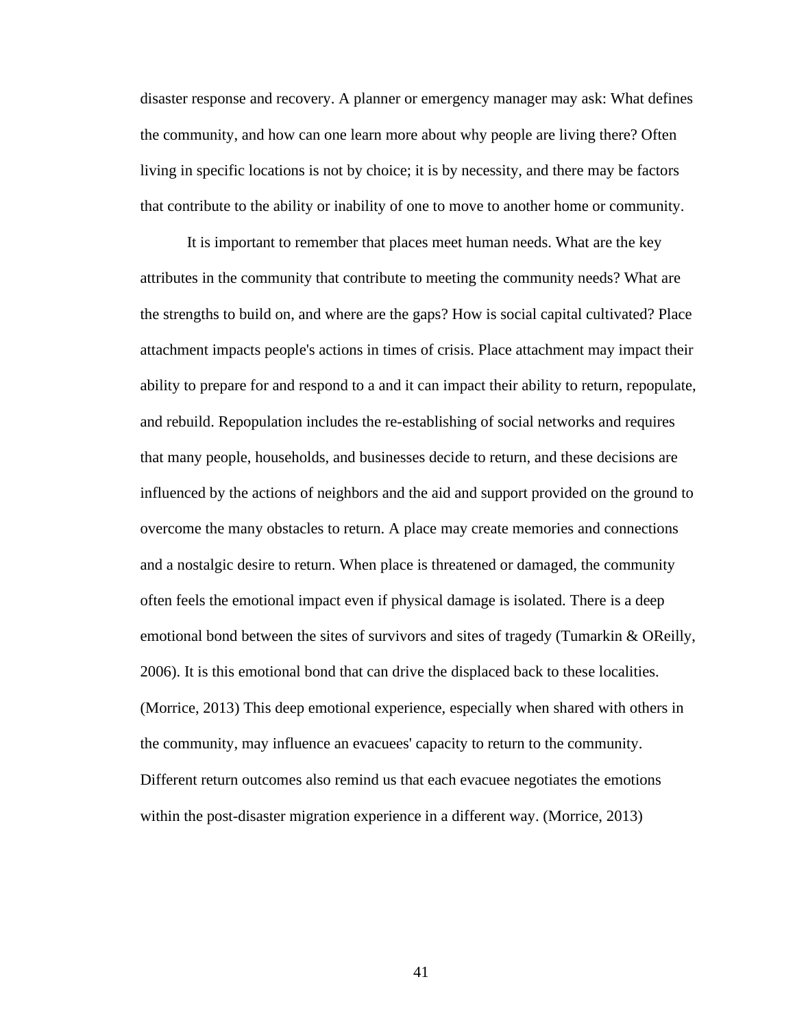disaster response and recovery. A planner or emergency manager may ask: What defines the community, and how can one learn more about why people are living there? Often living in specific locations is not by choice; it is by necessity, and there may be factors that contribute to the ability or inability of one to move to another home or community.

It is important to remember that places meet human needs. What are the key attributes in the community that contribute to meeting the community needs? What are the strengths to build on, and where are the gaps? How is social capital cultivated? Place attachment impacts people's actions in times of crisis. Place attachment may impact their ability to prepare for and respond to a and it can impact their ability to return, repopulate, and rebuild. Repopulation includes the re-establishing of social networks and requires that many people, households, and businesses decide to return, and these decisions are influenced by the actions of neighbors and the aid and support provided on the ground to overcome the many obstacles to return. A place may create memories and connections and a nostalgic desire to return. When place is threatened or damaged, the community often feels the emotional impact even if physical damage is isolated. There is a deep emotional bond between the sites of survivors and sites of tragedy (Tumarkin & OReilly, 2006). It is this emotional bond that can drive the displaced back to these localities. (Morrice, 2013) This deep emotional experience, especially when shared with others in the community, may influence an evacuees' capacity to return to the community. Different return outcomes also remind us that each evacuee negotiates the emotions within the post-disaster migration experience in a different way. (Morrice, 2013)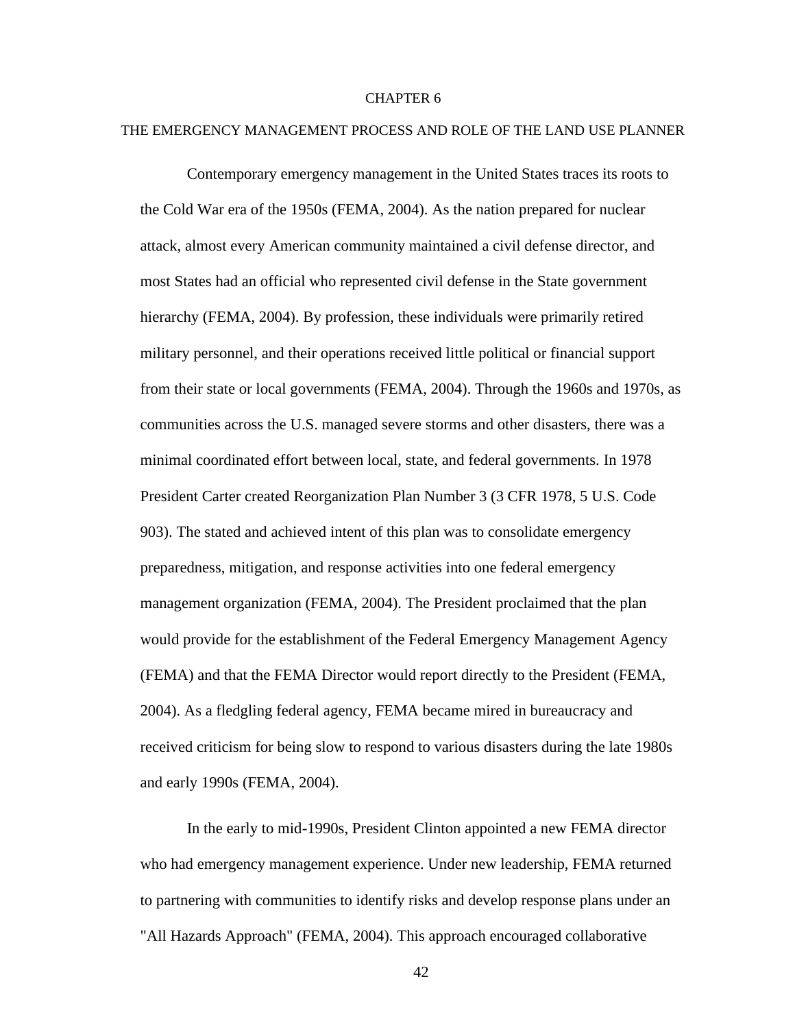#### CHAPTER 6

#### THE EMERGENCY MANAGEMENT PROCESS AND ROLE OF THE LAND USE PLANNER

Contemporary emergency management in the United States traces its roots to the Cold War era of the 1950s (FEMA, 2004). As the nation prepared for nuclear attack, almost every American community maintained a civil defense director, and most States had an official who represented civil defense in the State government hierarchy (FEMA, 2004). By profession, these individuals were primarily retired military personnel, and their operations received little political or financial support from their state or local governments (FEMA, 2004). Through the 1960s and 1970s, as communities across the U.S. managed severe storms and other disasters, there was a minimal coordinated effort between local, state, and federal governments. In 1978 President Carter created Reorganization Plan Number 3 (3 CFR 1978, 5 U.S. Code 903). The stated and achieved intent of this plan was to consolidate emergency preparedness, mitigation, and response activities into one federal emergency management organization (FEMA, 2004). The President proclaimed that the plan would provide for the establishment of the Federal Emergency Management Agency (FEMA) and that the FEMA Director would report directly to the President (FEMA, 2004). As a fledgling federal agency, FEMA became mired in bureaucracy and received criticism for being slow to respond to various disasters during the late 1980s and early 1990s (FEMA, 2004).

In the early to mid-1990s, President Clinton appointed a new FEMA director who had emergency management experience. Under new leadership, FEMA returned to partnering with communities to identify risks and develop response plans under an "All Hazards Approach" (FEMA, 2004). This approach encouraged collaborative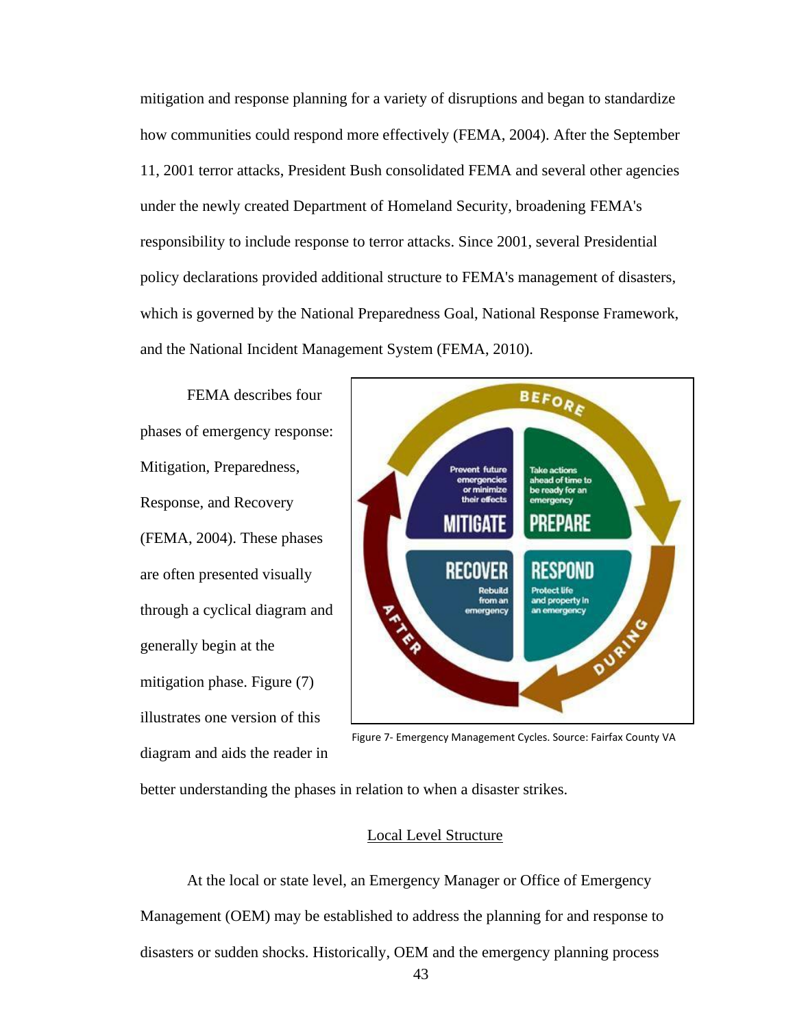mitigation and response planning for a variety of disruptions and began to standardize how communities could respond more effectively (FEMA, 2004). After the September 11, 2001 terror attacks, President Bush consolidated FEMA and several other agencies under the newly created Department of Homeland Security, broadening FEMA's responsibility to include response to terror attacks. Since 2001, several Presidential policy declarations provided additional structure to FEMA's management of disasters, which is governed by the National Preparedness Goal, National Response Framework, and the National Incident Management System (FEMA, 2010).

FEMA describes four phases of emergency response: Mitigation, Preparedness, Response, and Recovery (FEMA, 2004). These phases are often presented visually through a cyclical diagram and generally begin at the mitigation phase. Figure (7) illustrates one version of this diagram and aids the reader in



Figure 7- Emergency Management Cycles. Source: Fairfax County VA

better understanding the phases in relation to when a disaster strikes.

# Local Level Structure

At the local or state level, an Emergency Manager or Office of Emergency Management (OEM) may be established to address the planning for and response to disasters or sudden shocks. Historically, OEM and the emergency planning process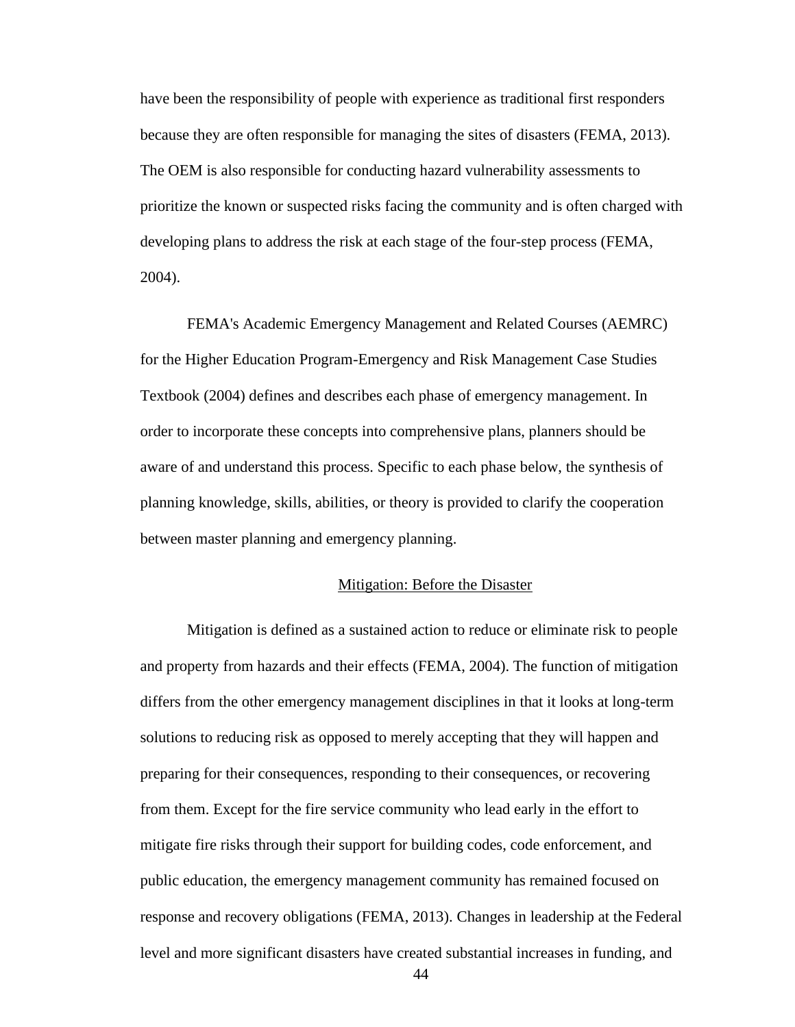have been the responsibility of people with experience as traditional first responders because they are often responsible for managing the sites of disasters (FEMA, 2013). The OEM is also responsible for conducting hazard vulnerability assessments to prioritize the known or suspected risks facing the community and is often charged with developing plans to address the risk at each stage of the four-step process (FEMA, 2004).

FEMA's Academic Emergency Management and Related Courses (AEMRC) for the Higher Education Program-Emergency and Risk Management Case Studies Textbook (2004) defines and describes each phase of emergency management. In order to incorporate these concepts into comprehensive plans, planners should be aware of and understand this process. Specific to each phase below, the synthesis of planning knowledge, skills, abilities, or theory is provided to clarify the cooperation between master planning and emergency planning.

# Mitigation: Before the Disaster

Mitigation is defined as a sustained action to reduce or eliminate risk to people and property from hazards and their effects (FEMA, 2004). The function of mitigation differs from the other emergency management disciplines in that it looks at long-term solutions to reducing risk as opposed to merely accepting that they will happen and preparing for their consequences, responding to their consequences, or recovering from them. Except for the fire service community who lead early in the effort to mitigate fire risks through their support for building codes, code enforcement, and public education, the emergency management community has remained focused on response and recovery obligations (FEMA, 2013). Changes in leadership at the Federal level and more significant disasters have created substantial increases in funding, and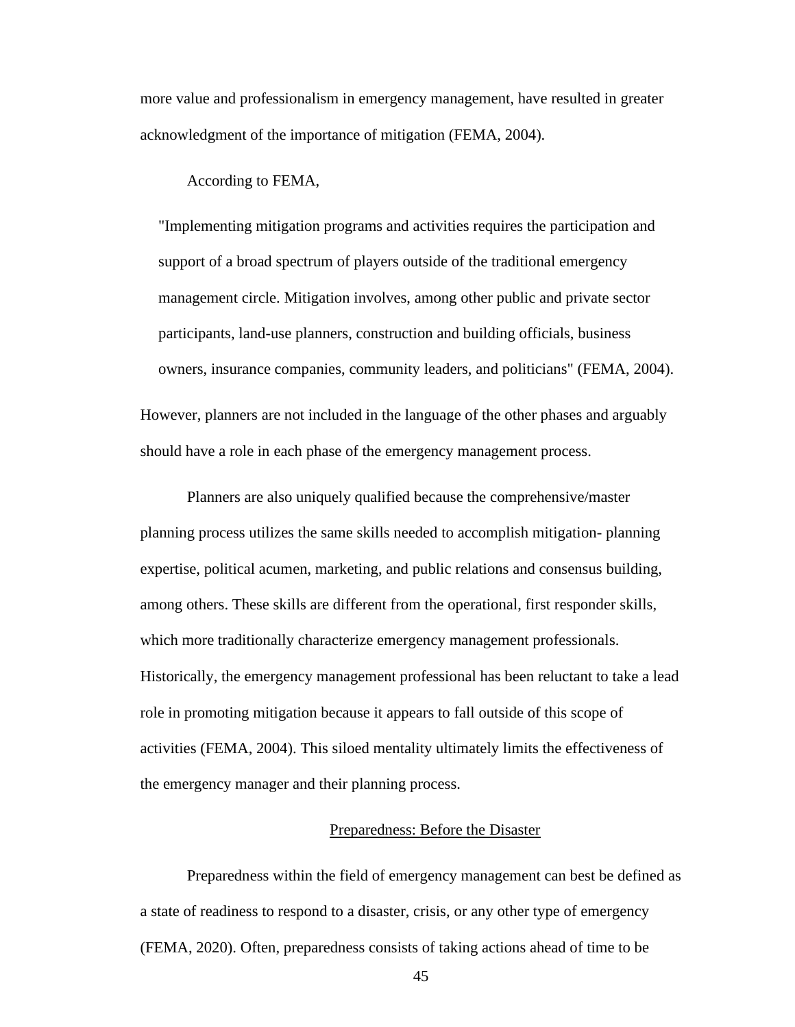more value and professionalism in emergency management, have resulted in greater acknowledgment of the importance of mitigation (FEMA, 2004).

According to FEMA,

"Implementing mitigation programs and activities requires the participation and support of a broad spectrum of players outside of the traditional emergency management circle. Mitigation involves, among other public and private sector participants, land-use planners, construction and building officials, business owners, insurance companies, community leaders, and politicians" (FEMA, 2004). However, planners are not included in the language of the other phases and arguably should have a role in each phase of the emergency management process.

Planners are also uniquely qualified because the comprehensive/master planning process utilizes the same skills needed to accomplish mitigation- planning expertise, political acumen, marketing, and public relations and consensus building, among others. These skills are different from the operational, first responder skills, which more traditionally characterize emergency management professionals. Historically, the emergency management professional has been reluctant to take a lead role in promoting mitigation because it appears to fall outside of this scope of activities (FEMA, 2004). This siloed mentality ultimately limits the effectiveness of the emergency manager and their planning process.

## Preparedness: Before the Disaster

Preparedness within the field of emergency management can best be defined as a state of readiness to respond to a disaster, crisis, or any other type of emergency (FEMA, 2020). Often, preparedness consists of taking actions ahead of time to be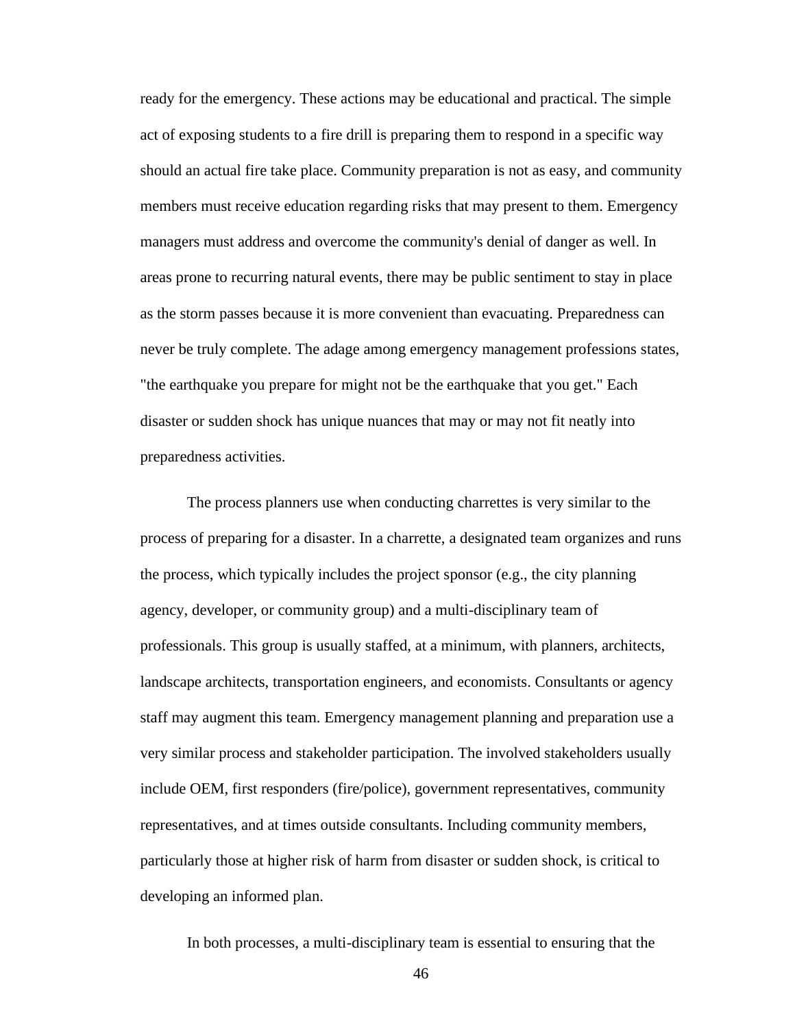ready for the emergency. These actions may be educational and practical. The simple act of exposing students to a fire drill is preparing them to respond in a specific way should an actual fire take place. Community preparation is not as easy, and community members must receive education regarding risks that may present to them. Emergency managers must address and overcome the community's denial of danger as well. In areas prone to recurring natural events, there may be public sentiment to stay in place as the storm passes because it is more convenient than evacuating. Preparedness can never be truly complete. The adage among emergency management professions states, "the earthquake you prepare for might not be the earthquake that you get." Each disaster or sudden shock has unique nuances that may or may not fit neatly into preparedness activities.

The process planners use when conducting charrettes is very similar to the process of preparing for a disaster. In a charrette, a designated team organizes and runs the process, which typically includes the project sponsor (e.g., the city planning agency, developer, or community group) and a multi-disciplinary team of professionals. This group is usually staffed, at a minimum, with planners, architects, landscape architects, transportation engineers, and economists. Consultants or agency staff may augment this team. Emergency management planning and preparation use a very similar process and stakeholder participation. The involved stakeholders usually include OEM, first responders (fire/police), government representatives, community representatives, and at times outside consultants. Including community members, particularly those at higher risk of harm from disaster or sudden shock, is critical to developing an informed plan.

In both processes, a multi-disciplinary team is essential to ensuring that the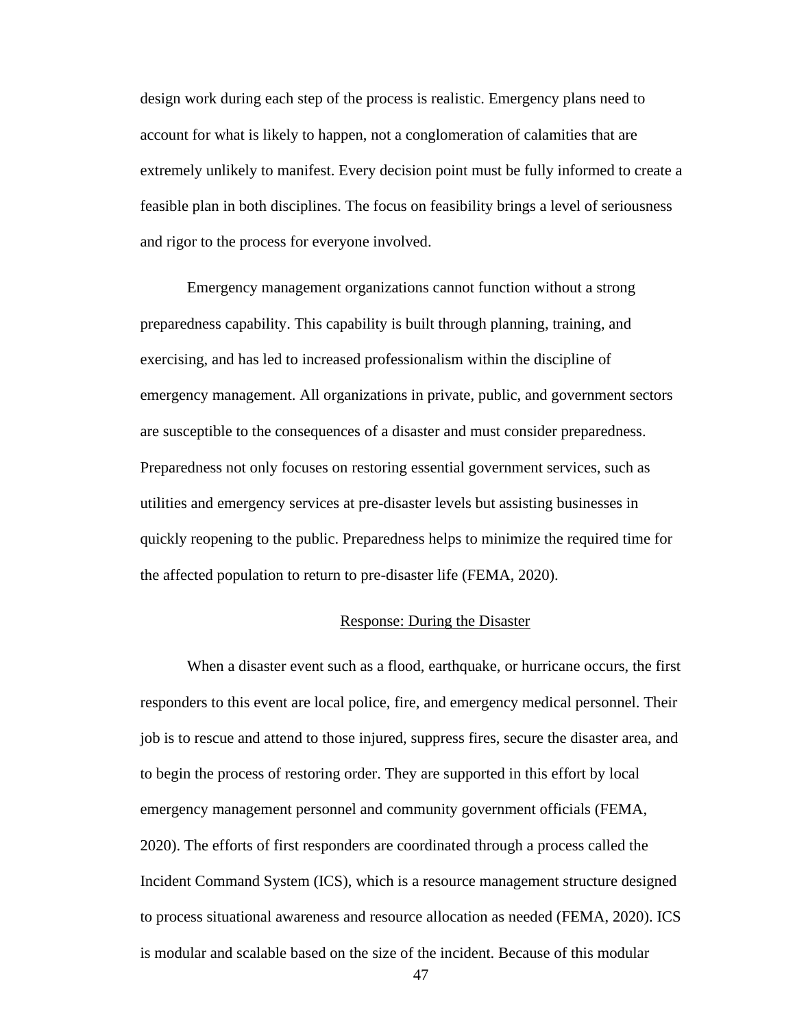design work during each step of the process is realistic. Emergency plans need to account for what is likely to happen, not a conglomeration of calamities that are extremely unlikely to manifest. Every decision point must be fully informed to create a feasible plan in both disciplines. The focus on feasibility brings a level of seriousness and rigor to the process for everyone involved.

Emergency management organizations cannot function without a strong preparedness capability. This capability is built through planning, training, and exercising, and has led to increased professionalism within the discipline of emergency management. All organizations in private, public, and government sectors are susceptible to the consequences of a disaster and must consider preparedness. Preparedness not only focuses on restoring essential government services, such as utilities and emergency services at pre-disaster levels but assisting businesses in quickly reopening to the public. Preparedness helps to minimize the required time for the affected population to return to pre-disaster life (FEMA, 2020).

#### Response: During the Disaster

When a disaster event such as a flood, earthquake, or hurricane occurs, the first responders to this event are local police, fire, and emergency medical personnel. Their job is to rescue and attend to those injured, suppress fires, secure the disaster area, and to begin the process of restoring order. They are supported in this effort by local emergency management personnel and community government officials (FEMA, 2020). The efforts of first responders are coordinated through a process called the Incident Command System (ICS), which is a resource management structure designed to process situational awareness and resource allocation as needed (FEMA, 2020). ICS is modular and scalable based on the size of the incident. Because of this modular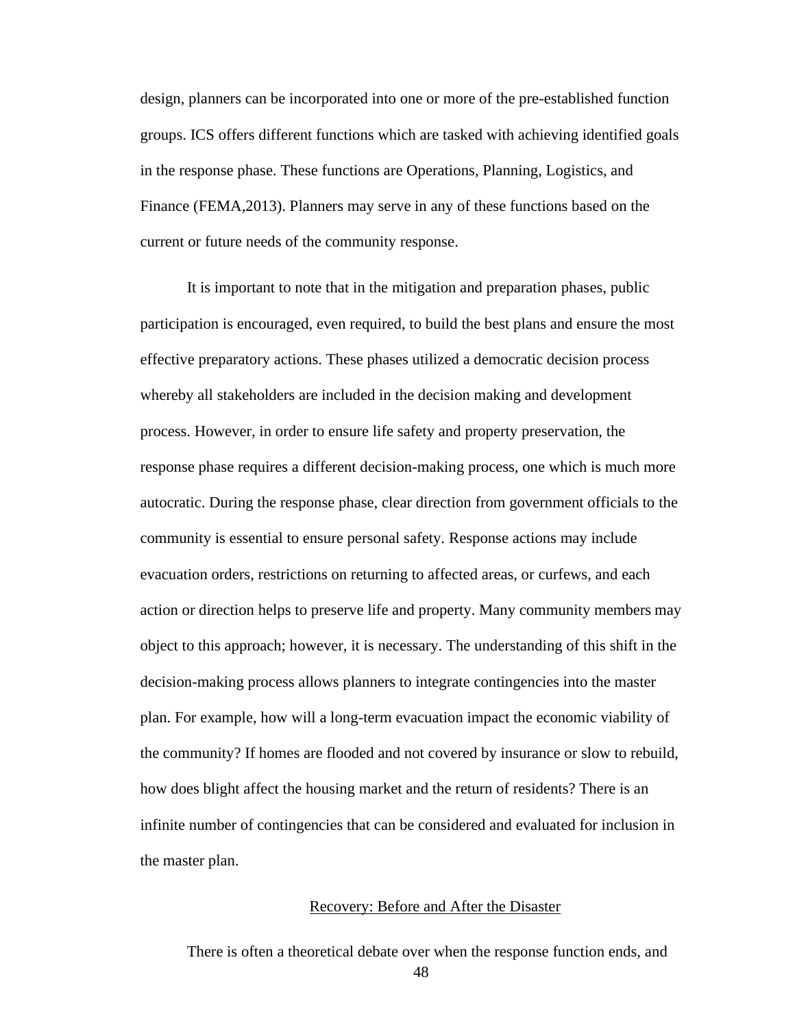design, planners can be incorporated into one or more of the pre-established function groups. ICS offers different functions which are tasked with achieving identified goals in the response phase. These functions are Operations, Planning, Logistics, and Finance (FEMA,2013). Planners may serve in any of these functions based on the current or future needs of the community response.

It is important to note that in the mitigation and preparation phases, public participation is encouraged, even required, to build the best plans and ensure the most effective preparatory actions. These phases utilized a democratic decision process whereby all stakeholders are included in the decision making and development process. However, in order to ensure life safety and property preservation, the response phase requires a different decision-making process, one which is much more autocratic. During the response phase, clear direction from government officials to the community is essential to ensure personal safety. Response actions may include evacuation orders, restrictions on returning to affected areas, or curfews, and each action or direction helps to preserve life and property. Many community members may object to this approach; however, it is necessary. The understanding of this shift in the decision-making process allows planners to integrate contingencies into the master plan. For example, how will a long-term evacuation impact the economic viability of the community? If homes are flooded and not covered by insurance or slow to rebuild, how does blight affect the housing market and the return of residents? There is an infinite number of contingencies that can be considered and evaluated for inclusion in the master plan.

## Recovery: Before and After the Disaster

There is often a theoretical debate over when the response function ends, and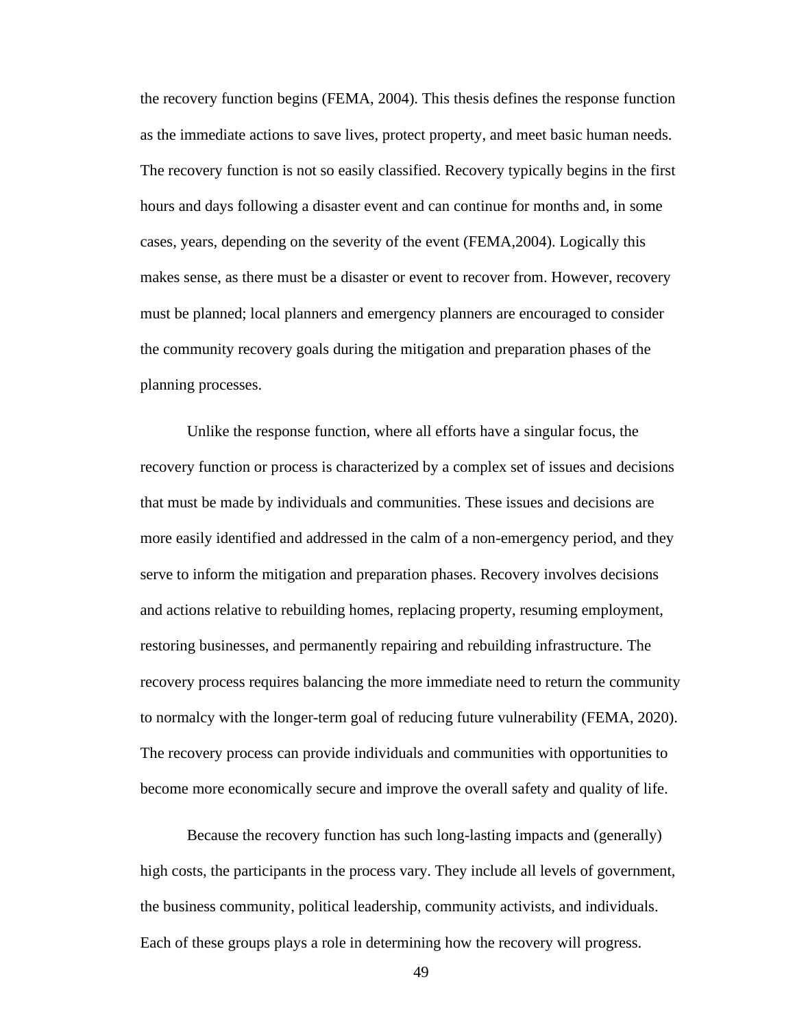the recovery function begins (FEMA, 2004). This thesis defines the response function as the immediate actions to save lives, protect property, and meet basic human needs. The recovery function is not so easily classified. Recovery typically begins in the first hours and days following a disaster event and can continue for months and, in some cases, years, depending on the severity of the event (FEMA,2004). Logically this makes sense, as there must be a disaster or event to recover from. However, recovery must be planned; local planners and emergency planners are encouraged to consider the community recovery goals during the mitigation and preparation phases of the planning processes.

Unlike the response function, where all efforts have a singular focus, the recovery function or process is characterized by a complex set of issues and decisions that must be made by individuals and communities. These issues and decisions are more easily identified and addressed in the calm of a non-emergency period, and they serve to inform the mitigation and preparation phases. Recovery involves decisions and actions relative to rebuilding homes, replacing property, resuming employment, restoring businesses, and permanently repairing and rebuilding infrastructure. The recovery process requires balancing the more immediate need to return the community to normalcy with the longer-term goal of reducing future vulnerability (FEMA, 2020). The recovery process can provide individuals and communities with opportunities to become more economically secure and improve the overall safety and quality of life.

Because the recovery function has such long-lasting impacts and (generally) high costs, the participants in the process vary. They include all levels of government, the business community, political leadership, community activists, and individuals. Each of these groups plays a role in determining how the recovery will progress.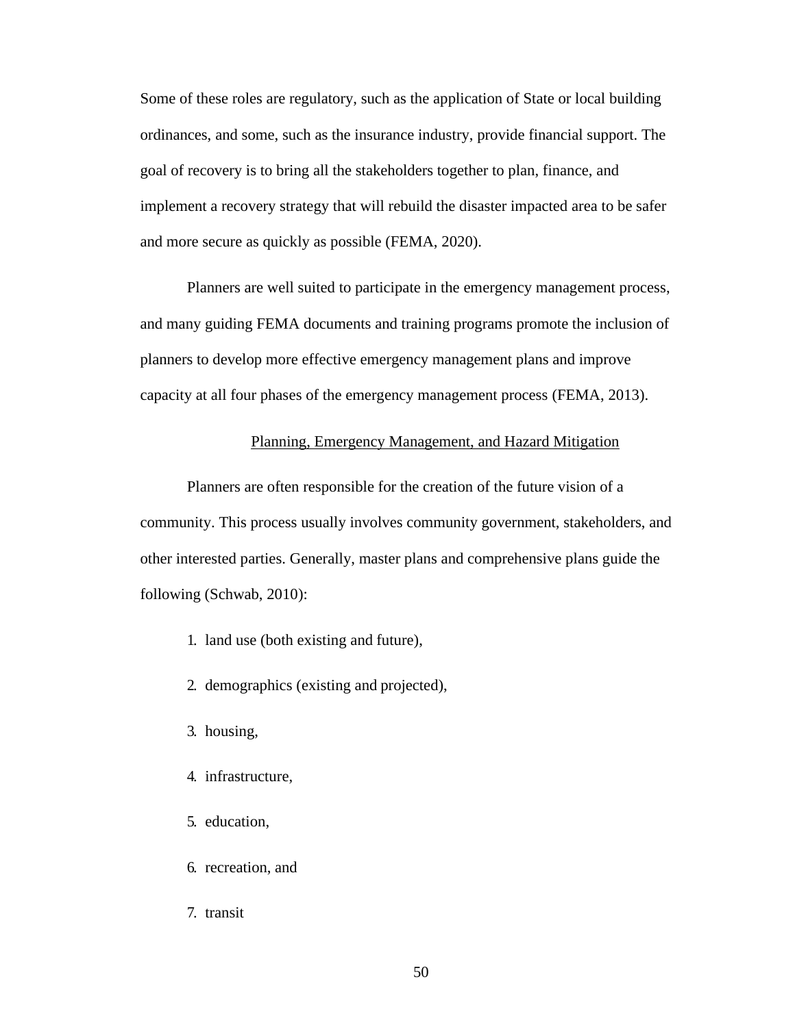Some of these roles are regulatory, such as the application of State or local building ordinances, and some, such as the insurance industry, provide financial support. The goal of recovery is to bring all the stakeholders together to plan, finance, and implement a recovery strategy that will rebuild the disaster impacted area to be safer and more secure as quickly as possible (FEMA, 2020).

Planners are well suited to participate in the emergency management process, and many guiding FEMA documents and training programs promote the inclusion of planners to develop more effective emergency management plans and improve capacity at all four phases of the emergency management process (FEMA, 2013).

# Planning, Emergency Management, and Hazard Mitigation

Planners are often responsible for the creation of the future vision of a community. This process usually involves community government, stakeholders, and other interested parties. Generally, master plans and comprehensive plans guide the following (Schwab, 2010):

- 1. land use (both existing and future),
- 2. demographics (existing and projected),
- 3. housing,
- 4. infrastructure,
- 5. education,
- 6. recreation, and
- 7. transit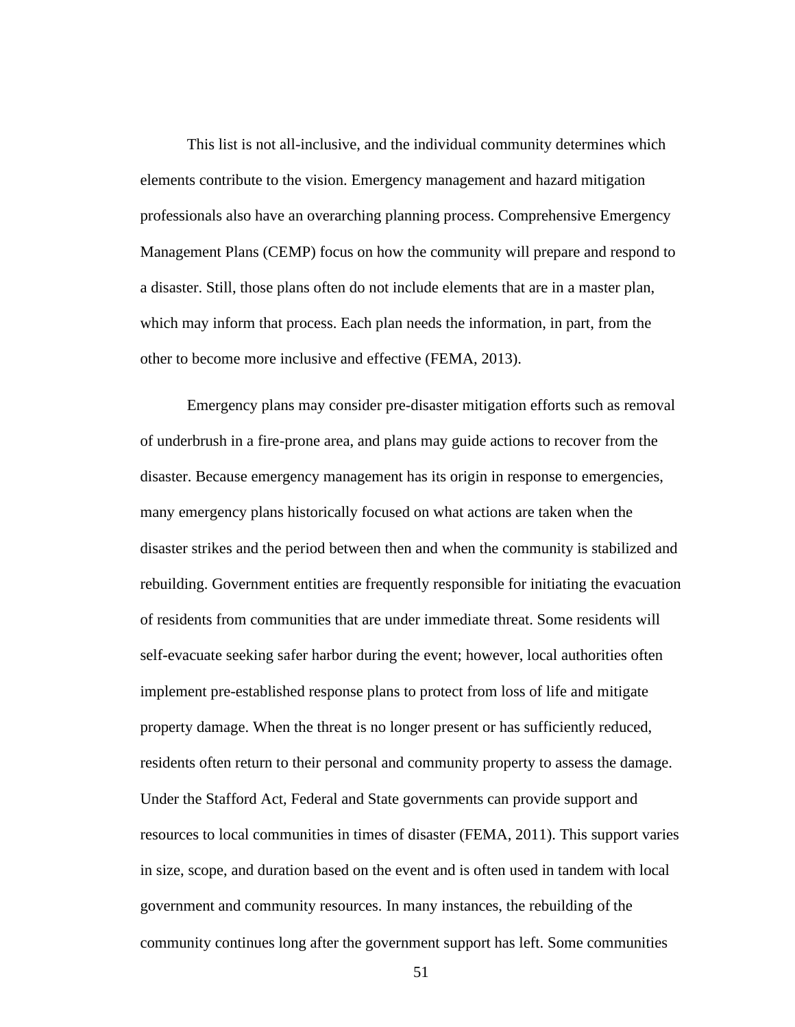This list is not all-inclusive, and the individual community determines which elements contribute to the vision. Emergency management and hazard mitigation professionals also have an overarching planning process. Comprehensive Emergency Management Plans (CEMP) focus on how the community will prepare and respond to a disaster. Still, those plans often do not include elements that are in a master plan, which may inform that process. Each plan needs the information, in part, from the other to become more inclusive and effective (FEMA, 2013).

Emergency plans may consider pre-disaster mitigation efforts such as removal of underbrush in a fire-prone area, and plans may guide actions to recover from the disaster. Because emergency management has its origin in response to emergencies, many emergency plans historically focused on what actions are taken when the disaster strikes and the period between then and when the community is stabilized and rebuilding. Government entities are frequently responsible for initiating the evacuation of residents from communities that are under immediate threat. Some residents will self-evacuate seeking safer harbor during the event; however, local authorities often implement pre-established response plans to protect from loss of life and mitigate property damage. When the threat is no longer present or has sufficiently reduced, residents often return to their personal and community property to assess the damage. Under the Stafford Act, Federal and State governments can provide support and resources to local communities in times of disaster (FEMA, 2011). This support varies in size, scope, and duration based on the event and is often used in tandem with local government and community resources. In many instances, the rebuilding of the community continues long after the government support has left. Some communities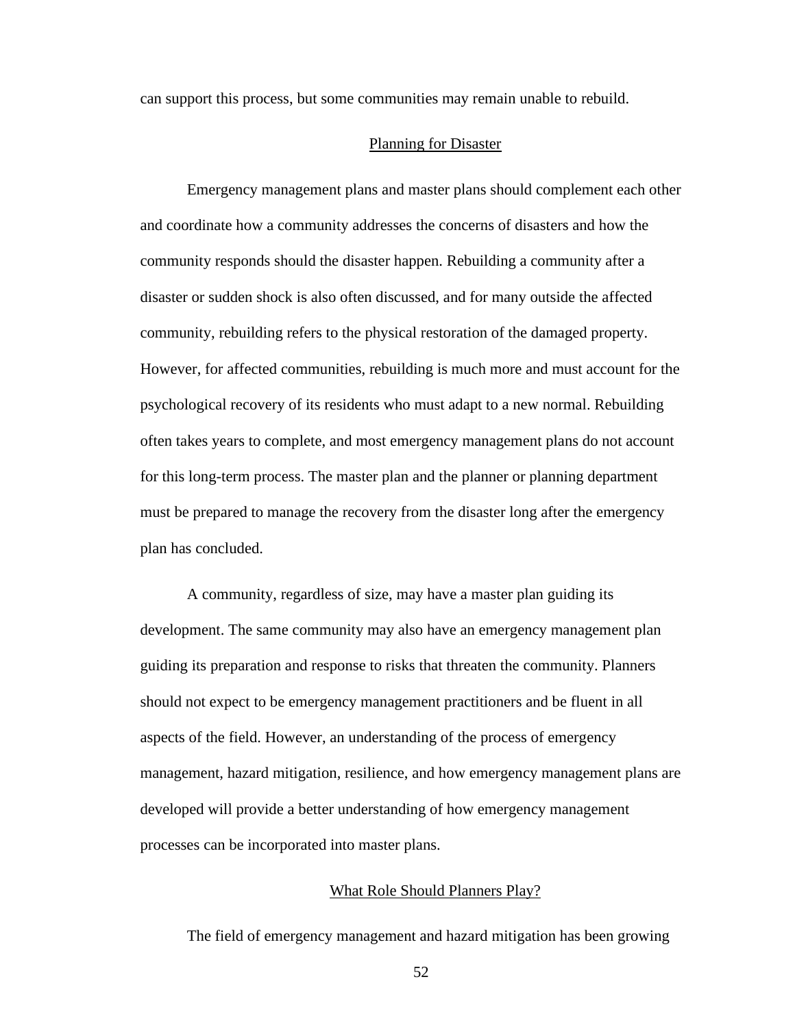can support this process, but some communities may remain unable to rebuild.

#### Planning for Disaster

Emergency management plans and master plans should complement each other and coordinate how a community addresses the concerns of disasters and how the community responds should the disaster happen. Rebuilding a community after a disaster or sudden shock is also often discussed, and for many outside the affected community, rebuilding refers to the physical restoration of the damaged property. However, for affected communities, rebuilding is much more and must account for the psychological recovery of its residents who must adapt to a new normal. Rebuilding often takes years to complete, and most emergency management plans do not account for this long-term process. The master plan and the planner or planning department must be prepared to manage the recovery from the disaster long after the emergency plan has concluded.

A community, regardless of size, may have a master plan guiding its development. The same community may also have an emergency management plan guiding its preparation and response to risks that threaten the community. Planners should not expect to be emergency management practitioners and be fluent in all aspects of the field. However, an understanding of the process of emergency management, hazard mitigation, resilience, and how emergency management plans are developed will provide a better understanding of how emergency management processes can be incorporated into master plans.

# What Role Should Planners Play?

The field of emergency management and hazard mitigation has been growing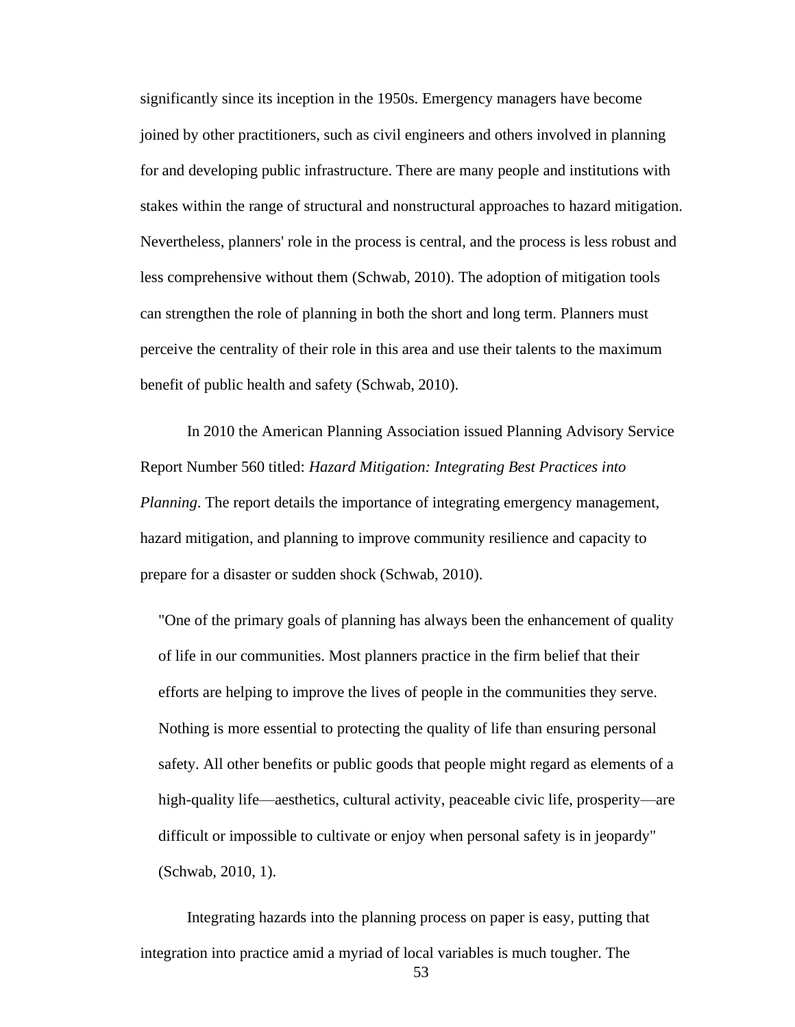significantly since its inception in the 1950s. Emergency managers have become joined by other practitioners, such as civil engineers and others involved in planning for and developing public infrastructure. There are many people and institutions with stakes within the range of structural and nonstructural approaches to hazard mitigation. Nevertheless, planners' role in the process is central, and the process is less robust and less comprehensive without them (Schwab, 2010). The adoption of mitigation tools can strengthen the role of planning in both the short and long term. Planners must perceive the centrality of their role in this area and use their talents to the maximum benefit of public health and safety (Schwab, 2010).

In 2010 the American Planning Association issued Planning Advisory Service Report Number 560 titled: *Hazard Mitigation: Integrating Best Practices into Planning*. The report details the importance of integrating emergency management, hazard mitigation, and planning to improve community resilience and capacity to prepare for a disaster or sudden shock (Schwab, 2010).

"One of the primary goals of planning has always been the enhancement of quality of life in our communities. Most planners practice in the firm belief that their efforts are helping to improve the lives of people in the communities they serve. Nothing is more essential to protecting the quality of life than ensuring personal safety. All other benefits or public goods that people might regard as elements of a high-quality life—aesthetics, cultural activity, peaceable civic life, prosperity—are difficult or impossible to cultivate or enjoy when personal safety is in jeopardy" (Schwab, 2010, 1).

Integrating hazards into the planning process on paper is easy, putting that integration into practice amid a myriad of local variables is much tougher. The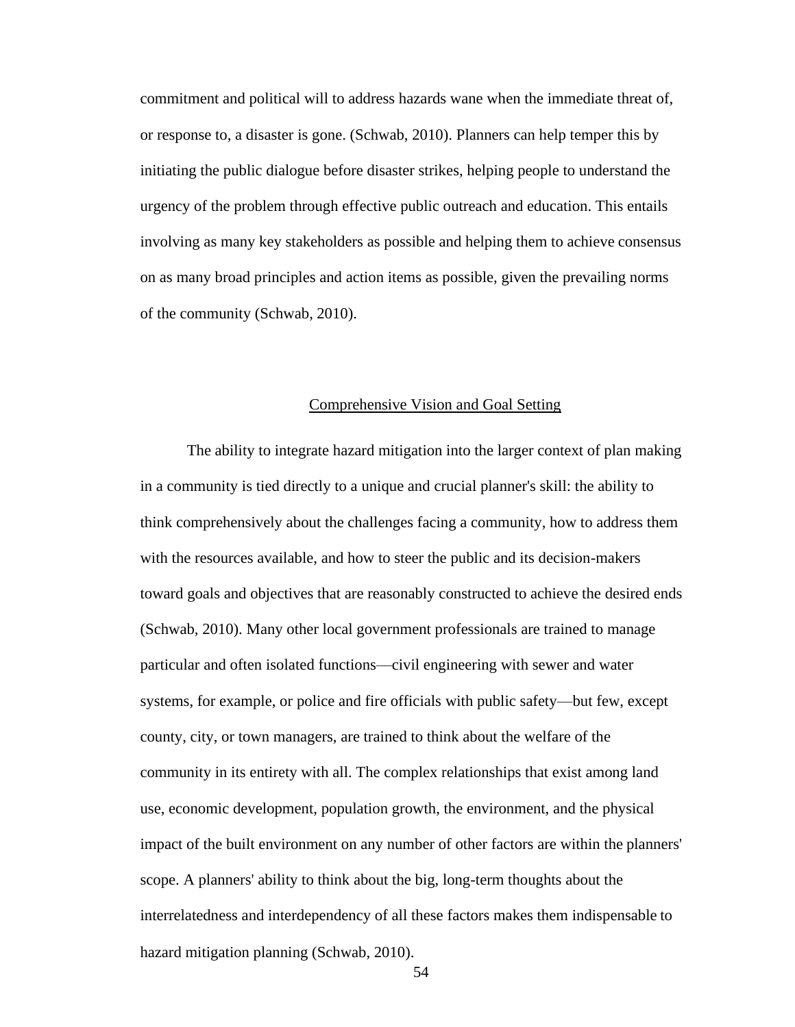commitment and political will to address hazards wane when the immediate threat of, or response to, a disaster is gone. (Schwab, 2010). Planners can help temper this by initiating the public dialogue before disaster strikes, helping people to understand the urgency of the problem through effective public outreach and education. This entails involving as many key stakeholders as possible and helping them to achieve consensus on as many broad principles and action items as possible, given the prevailing norms of the community (Schwab, 2010).

## Comprehensive Vision and Goal Setting

The ability to integrate hazard mitigation into the larger context of plan making in a community is tied directly to a unique and crucial planner's skill: the ability to think comprehensively about the challenges facing a community, how to address them with the resources available, and how to steer the public and its decision-makers toward goals and objectives that are reasonably constructed to achieve the desired ends (Schwab, 2010). Many other local government professionals are trained to manage particular and often isolated functions—civil engineering with sewer and water systems, for example, or police and fire officials with public safety—but few, except county, city, or town managers, are trained to think about the welfare of the community in its entirety with all. The complex relationships that exist among land use, economic development, population growth, the environment, and the physical impact of the built environment on any number of other factors are within the planners' scope. A planners' ability to think about the big, long-term thoughts about the interrelatedness and interdependency of all these factors makes them indispensable to hazard mitigation planning (Schwab, 2010).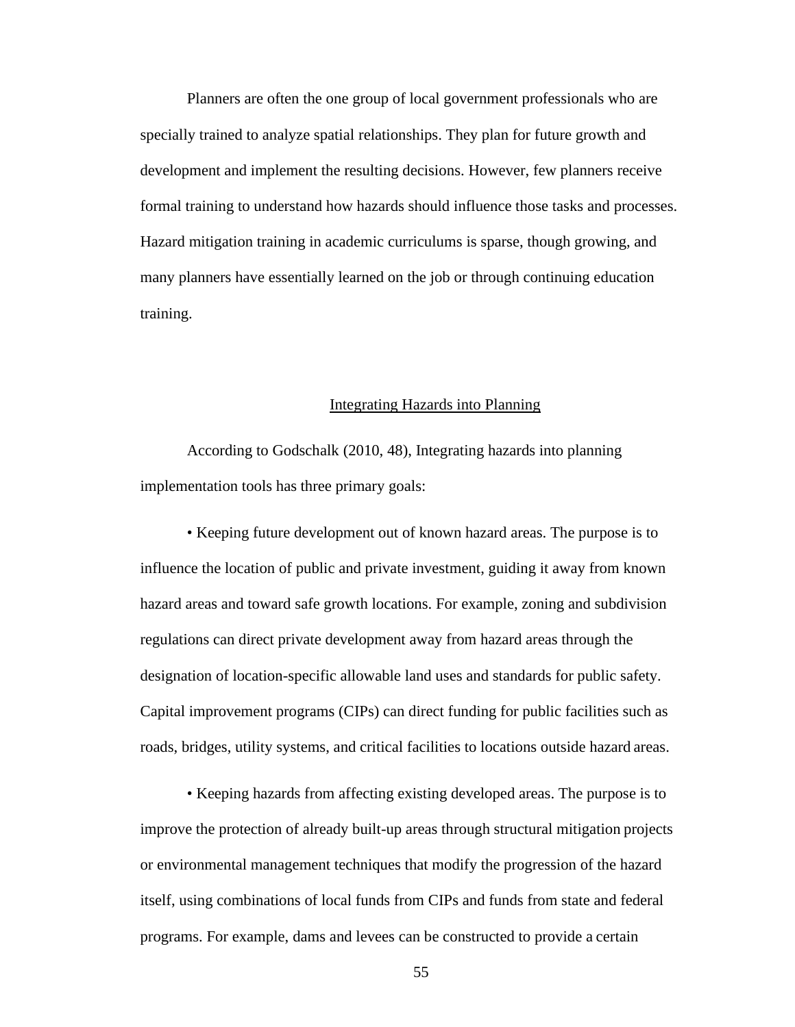Planners are often the one group of local government professionals who are specially trained to analyze spatial relationships. They plan for future growth and development and implement the resulting decisions. However, few planners receive formal training to understand how hazards should influence those tasks and processes. Hazard mitigation training in academic curriculums is sparse, though growing, and many planners have essentially learned on the job or through continuing education training.

# Integrating Hazards into Planning

According to Godschalk (2010, 48), Integrating hazards into planning implementation tools has three primary goals:

• Keeping future development out of known hazard areas. The purpose is to influence the location of public and private investment, guiding it away from known hazard areas and toward safe growth locations. For example, zoning and subdivision regulations can direct private development away from hazard areas through the designation of location-specific allowable land uses and standards for public safety. Capital improvement programs (CIPs) can direct funding for public facilities such as roads, bridges, utility systems, and critical facilities to locations outside hazard areas.

• Keeping hazards from affecting existing developed areas. The purpose is to improve the protection of already built-up areas through structural mitigation projects or environmental management techniques that modify the progression of the hazard itself, using combinations of local funds from CIPs and funds from state and federal programs. For example, dams and levees can be constructed to provide a certain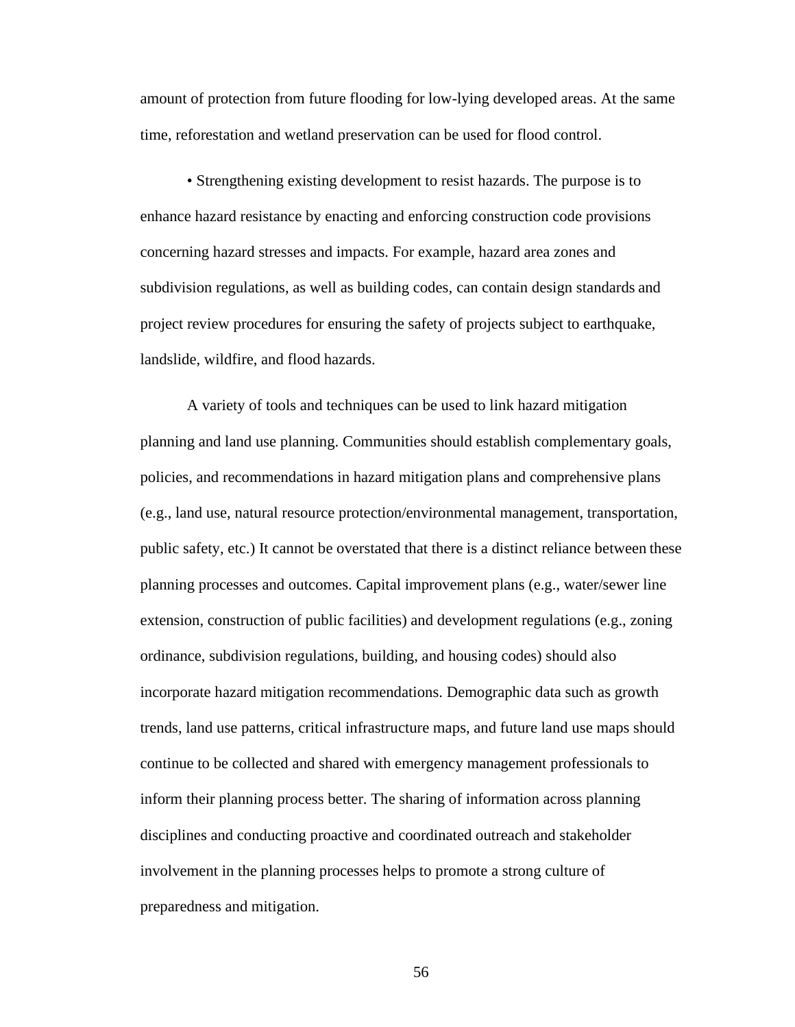amount of protection from future flooding for low-lying developed areas. At the same time, reforestation and wetland preservation can be used for flood control.

• Strengthening existing development to resist hazards. The purpose is to enhance hazard resistance by enacting and enforcing construction code provisions concerning hazard stresses and impacts. For example, hazard area zones and subdivision regulations, as well as building codes, can contain design standards and project review procedures for ensuring the safety of projects subject to earthquake, landslide, wildfire, and flood hazards.

A variety of tools and techniques can be used to link hazard mitigation planning and land use planning. Communities should establish complementary goals, policies, and recommendations in hazard mitigation plans and comprehensive plans (e.g., land use, natural resource protection/environmental management, transportation, public safety, etc.) It cannot be overstated that there is a distinct reliance between these planning processes and outcomes. Capital improvement plans (e.g., water/sewer line extension, construction of public facilities) and development regulations (e.g., zoning ordinance, subdivision regulations, building, and housing codes) should also incorporate hazard mitigation recommendations. Demographic data such as growth trends, land use patterns, critical infrastructure maps, and future land use maps should continue to be collected and shared with emergency management professionals to inform their planning process better. The sharing of information across planning disciplines and conducting proactive and coordinated outreach and stakeholder involvement in the planning processes helps to promote a strong culture of preparedness and mitigation.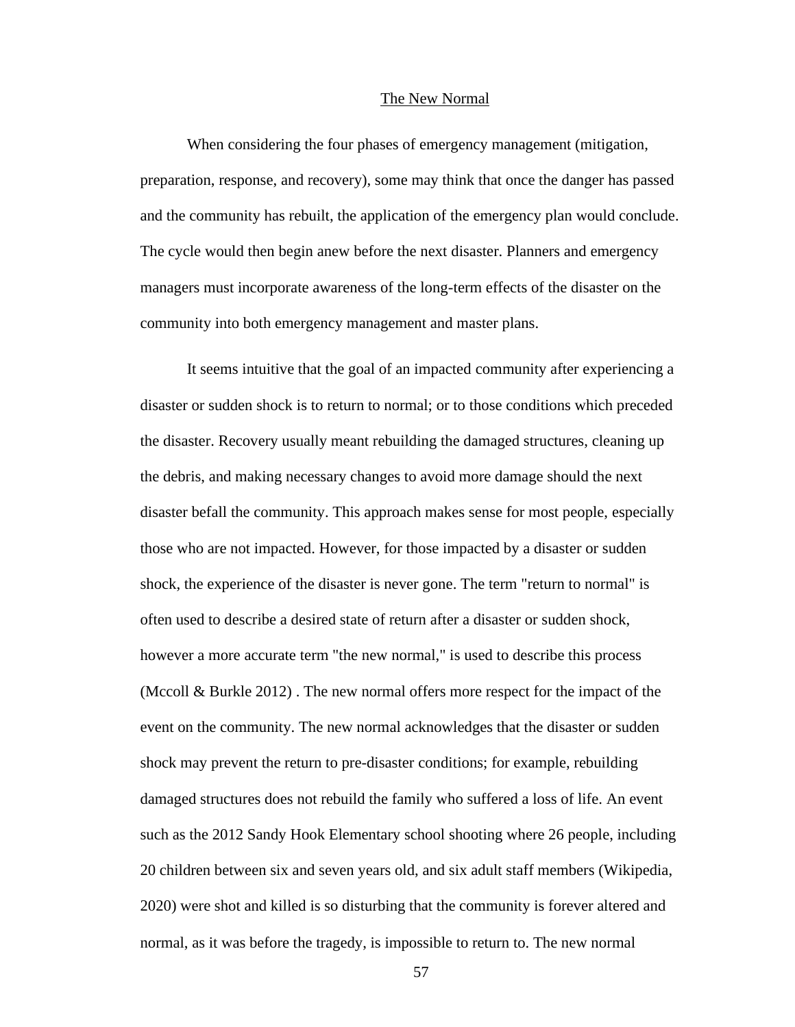## The New Normal

When considering the four phases of emergency management (mitigation, preparation, response, and recovery), some may think that once the danger has passed and the community has rebuilt, the application of the emergency plan would conclude. The cycle would then begin anew before the next disaster. Planners and emergency managers must incorporate awareness of the long-term effects of the disaster on the community into both emergency management and master plans.

It seems intuitive that the goal of an impacted community after experiencing a disaster or sudden shock is to return to normal; or to those conditions which preceded the disaster. Recovery usually meant rebuilding the damaged structures, cleaning up the debris, and making necessary changes to avoid more damage should the next disaster befall the community. This approach makes sense for most people, especially those who are not impacted. However, for those impacted by a disaster or sudden shock, the experience of the disaster is never gone. The term "return to normal" is often used to describe a desired state of return after a disaster or sudden shock, however a more accurate term "the new normal," is used to describe this process (Mccoll & Burkle 2012) . The new normal offers more respect for the impact of the event on the community. The new normal acknowledges that the disaster or sudden shock may prevent the return to pre-disaster conditions; for example, rebuilding damaged structures does not rebuild the family who suffered a loss of life. An event such as the 2012 Sandy Hook Elementary school shooting where 26 people, including 20 children between six and seven years old, and six adult staff members (Wikipedia, 2020) were shot and killed is so disturbing that the community is forever altered and normal, as it was before the tragedy, is impossible to return to. The new normal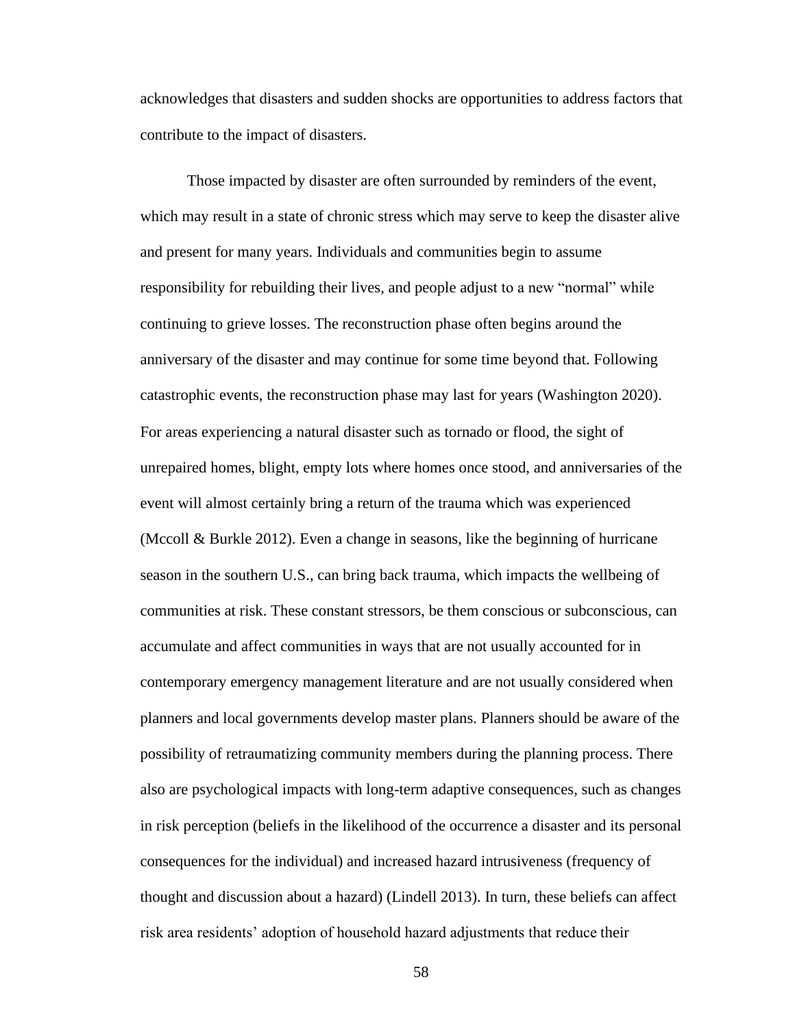acknowledges that disasters and sudden shocks are opportunities to address factors that contribute to the impact of disasters.

Those impacted by disaster are often surrounded by reminders of the event, which may result in a state of chronic stress which may serve to keep the disaster alive and present for many years. Individuals and communities begin to assume responsibility for rebuilding their lives, and people adjust to a new "normal" while continuing to grieve losses. The reconstruction phase often begins around the anniversary of the disaster and may continue for some time beyond that. Following catastrophic events, the reconstruction phase may last for years (Washington 2020). For areas experiencing a natural disaster such as tornado or flood, the sight of unrepaired homes, blight, empty lots where homes once stood, and anniversaries of the event will almost certainly bring a return of the trauma which was experienced (Mccoll & Burkle 2012). Even a change in seasons, like the beginning of hurricane season in the southern U.S., can bring back trauma, which impacts the wellbeing of communities at risk. These constant stressors, be them conscious or subconscious, can accumulate and affect communities in ways that are not usually accounted for in contemporary emergency management literature and are not usually considered when planners and local governments develop master plans. Planners should be aware of the possibility of retraumatizing community members during the planning process. There also are psychological impacts with long-term adaptive consequences, such as changes in risk perception (beliefs in the likelihood of the occurrence a disaster and its personal consequences for the individual) and increased hazard intrusiveness (frequency of thought and discussion about a hazard) (Lindell 2013). In turn, these beliefs can affect risk area residents' adoption of household hazard adjustments that reduce their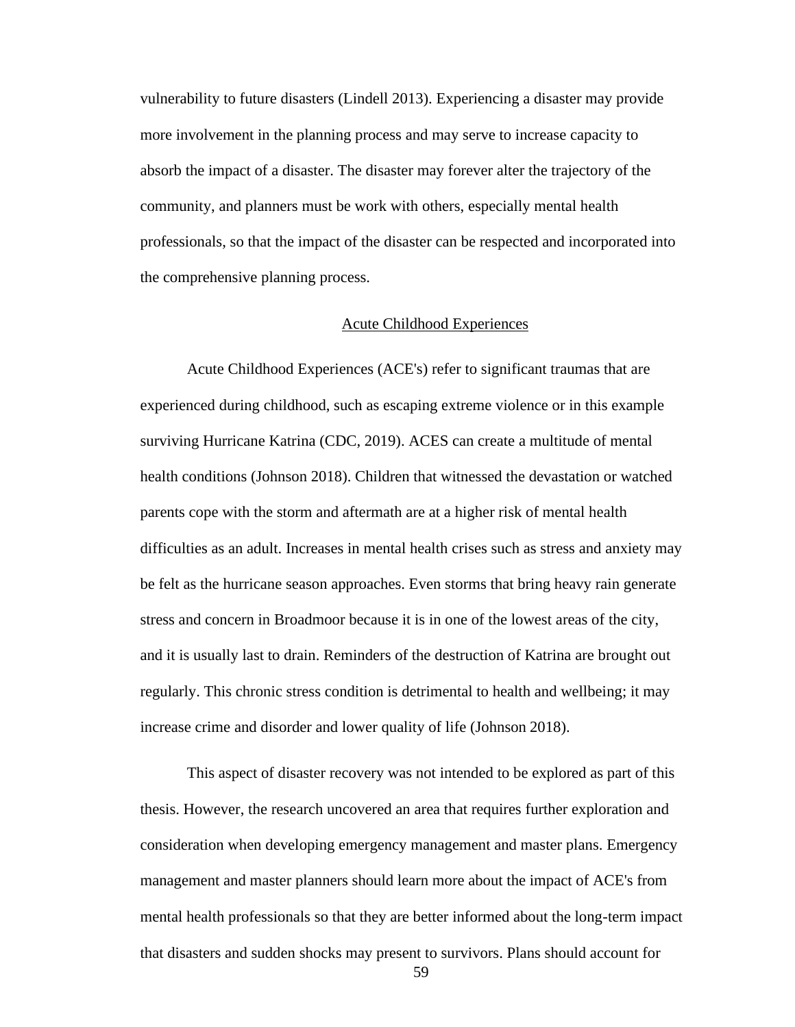vulnerability to future disasters (Lindell 2013). Experiencing a disaster may provide more involvement in the planning process and may serve to increase capacity to absorb the impact of a disaster. The disaster may forever alter the trajectory of the community, and planners must be work with others, especially mental health professionals, so that the impact of the disaster can be respected and incorporated into the comprehensive planning process.

#### Acute Childhood Experiences

Acute Childhood Experiences (ACE's) refer to significant traumas that are experienced during childhood, such as escaping extreme violence or in this example surviving Hurricane Katrina (CDC, 2019). ACES can create a multitude of mental health conditions (Johnson 2018). Children that witnessed the devastation or watched parents cope with the storm and aftermath are at a higher risk of mental health difficulties as an adult. Increases in mental health crises such as stress and anxiety may be felt as the hurricane season approaches. Even storms that bring heavy rain generate stress and concern in Broadmoor because it is in one of the lowest areas of the city, and it is usually last to drain. Reminders of the destruction of Katrina are brought out regularly. This chronic stress condition is detrimental to health and wellbeing; it may increase crime and disorder and lower quality of life (Johnson 2018).

This aspect of disaster recovery was not intended to be explored as part of this thesis. However, the research uncovered an area that requires further exploration and consideration when developing emergency management and master plans. Emergency management and master planners should learn more about the impact of ACE's from mental health professionals so that they are better informed about the long-term impact that disasters and sudden shocks may present to survivors. Plans should account for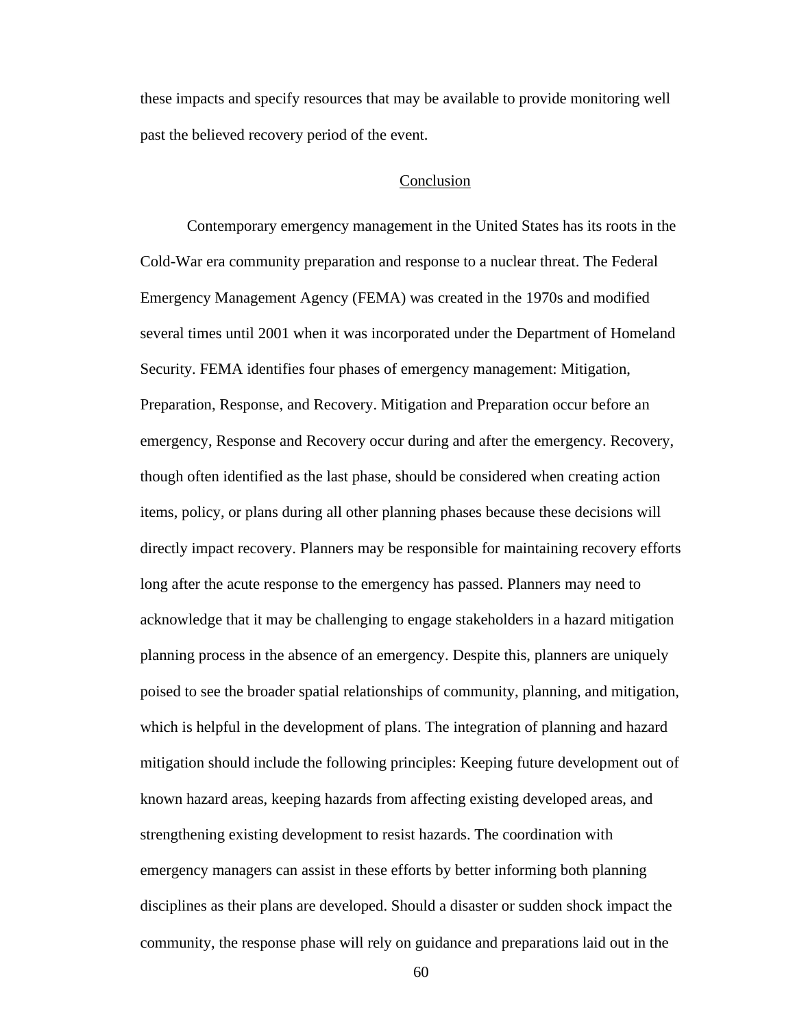these impacts and specify resources that may be available to provide monitoring well past the believed recovery period of the event.

#### Conclusion

Contemporary emergency management in the United States has its roots in the Cold-War era community preparation and response to a nuclear threat. The Federal Emergency Management Agency (FEMA) was created in the 1970s and modified several times until 2001 when it was incorporated under the Department of Homeland Security. FEMA identifies four phases of emergency management: Mitigation, Preparation, Response, and Recovery. Mitigation and Preparation occur before an emergency, Response and Recovery occur during and after the emergency. Recovery, though often identified as the last phase, should be considered when creating action items, policy, or plans during all other planning phases because these decisions will directly impact recovery. Planners may be responsible for maintaining recovery efforts long after the acute response to the emergency has passed. Planners may need to acknowledge that it may be challenging to engage stakeholders in a hazard mitigation planning process in the absence of an emergency. Despite this, planners are uniquely poised to see the broader spatial relationships of community, planning, and mitigation, which is helpful in the development of plans. The integration of planning and hazard mitigation should include the following principles: Keeping future development out of known hazard areas, keeping hazards from affecting existing developed areas, and strengthening existing development to resist hazards. The coordination with emergency managers can assist in these efforts by better informing both planning disciplines as their plans are developed. Should a disaster or sudden shock impact the community, the response phase will rely on guidance and preparations laid out in the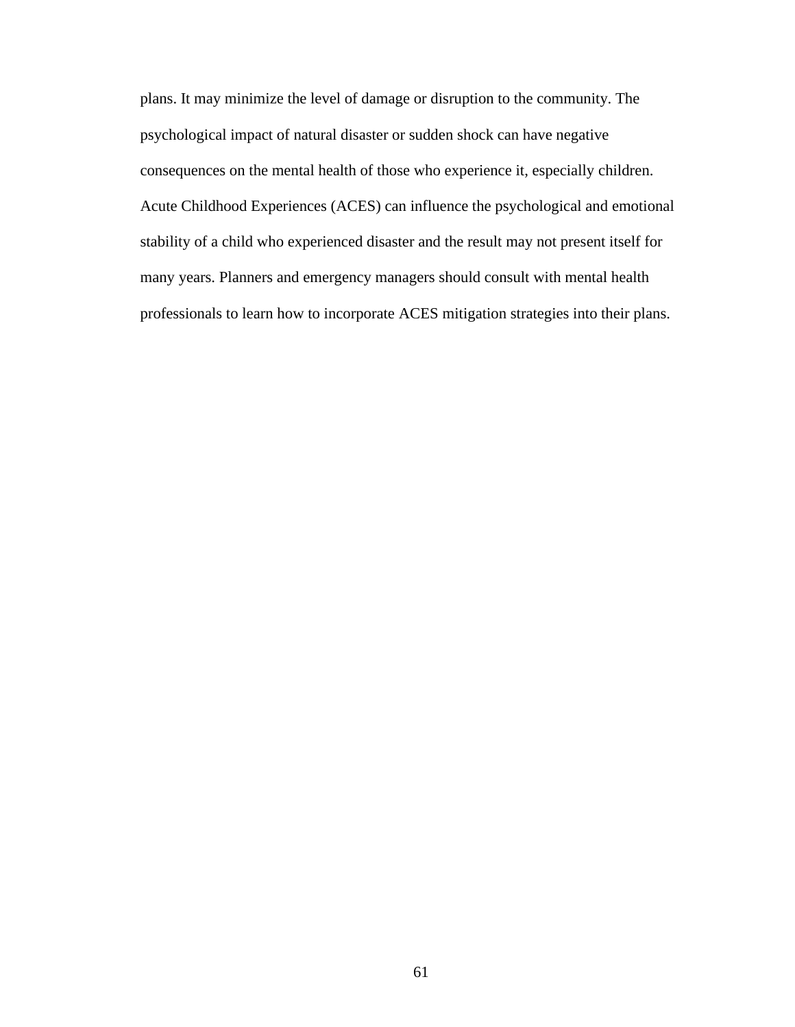plans. It may minimize the level of damage or disruption to the community. The psychological impact of natural disaster or sudden shock can have negative consequences on the mental health of those who experience it, especially children. Acute Childhood Experiences (ACES) can influence the psychological and emotional stability of a child who experienced disaster and the result may not present itself for many years. Planners and emergency managers should consult with mental health professionals to learn how to incorporate ACES mitigation strategies into their plans.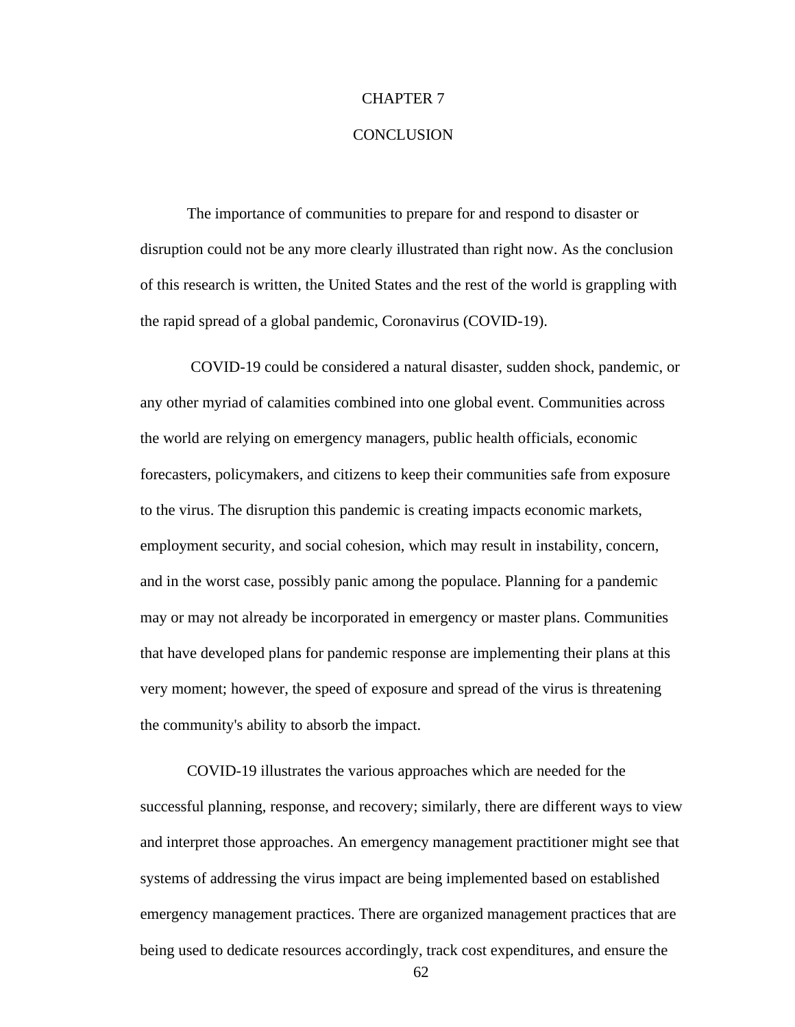## CHAPTER 7

## **CONCLUSION**

The importance of communities to prepare for and respond to disaster or disruption could not be any more clearly illustrated than right now. As the conclusion of this research is written, the United States and the rest of the world is grappling with the rapid spread of a global pandemic, Coronavirus (COVID-19).

COVID-19 could be considered a natural disaster, sudden shock, pandemic, or any other myriad of calamities combined into one global event. Communities across the world are relying on emergency managers, public health officials, economic forecasters, policymakers, and citizens to keep their communities safe from exposure to the virus. The disruption this pandemic is creating impacts economic markets, employment security, and social cohesion, which may result in instability, concern, and in the worst case, possibly panic among the populace. Planning for a pandemic may or may not already be incorporated in emergency or master plans. Communities that have developed plans for pandemic response are implementing their plans at this very moment; however, the speed of exposure and spread of the virus is threatening the community's ability to absorb the impact.

COVID-19 illustrates the various approaches which are needed for the successful planning, response, and recovery; similarly, there are different ways to view and interpret those approaches. An emergency management practitioner might see that systems of addressing the virus impact are being implemented based on established emergency management practices. There are organized management practices that are being used to dedicate resources accordingly, track cost expenditures, and ensure the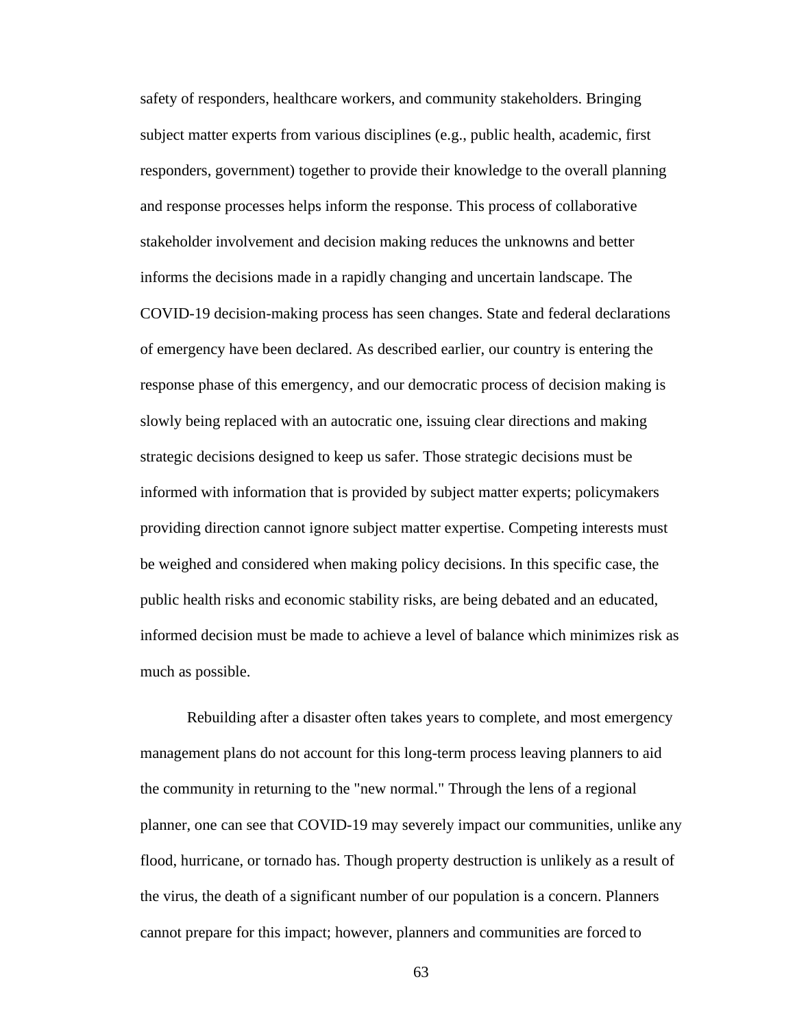safety of responders, healthcare workers, and community stakeholders. Bringing subject matter experts from various disciplines (e.g., public health, academic, first responders, government) together to provide their knowledge to the overall planning and response processes helps inform the response. This process of collaborative stakeholder involvement and decision making reduces the unknowns and better informs the decisions made in a rapidly changing and uncertain landscape. The COVID-19 decision-making process has seen changes. State and federal declarations of emergency have been declared. As described earlier, our country is entering the response phase of this emergency, and our democratic process of decision making is slowly being replaced with an autocratic one, issuing clear directions and making strategic decisions designed to keep us safer. Those strategic decisions must be informed with information that is provided by subject matter experts; policymakers providing direction cannot ignore subject matter expertise. Competing interests must be weighed and considered when making policy decisions. In this specific case, the public health risks and economic stability risks, are being debated and an educated, informed decision must be made to achieve a level of balance which minimizes risk as much as possible.

Rebuilding after a disaster often takes years to complete, and most emergency management plans do not account for this long-term process leaving planners to aid the community in returning to the "new normal." Through the lens of a regional planner, one can see that COVID-19 may severely impact our communities, unlike any flood, hurricane, or tornado has. Though property destruction is unlikely as a result of the virus, the death of a significant number of our population is a concern. Planners cannot prepare for this impact; however, planners and communities are forced to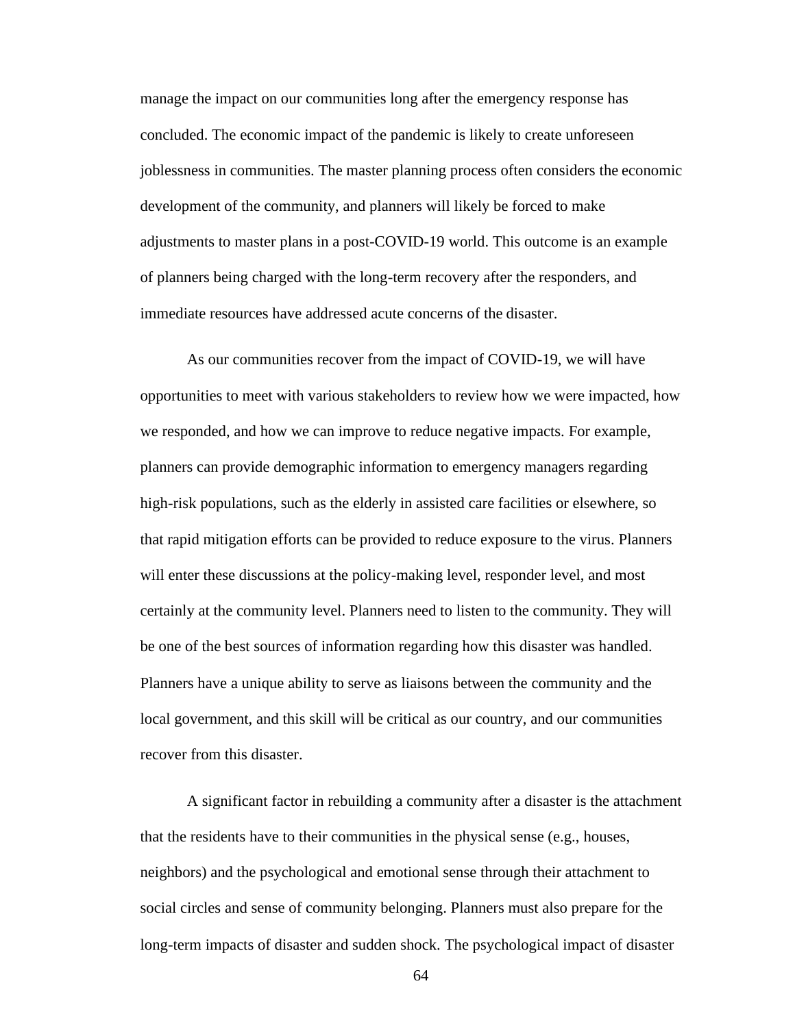manage the impact on our communities long after the emergency response has concluded. The economic impact of the pandemic is likely to create unforeseen joblessness in communities. The master planning process often considers the economic development of the community, and planners will likely be forced to make adjustments to master plans in a post-COVID-19 world. This outcome is an example of planners being charged with the long-term recovery after the responders, and immediate resources have addressed acute concerns of the disaster.

As our communities recover from the impact of COVID-19, we will have opportunities to meet with various stakeholders to review how we were impacted, how we responded, and how we can improve to reduce negative impacts. For example, planners can provide demographic information to emergency managers regarding high-risk populations, such as the elderly in assisted care facilities or elsewhere, so that rapid mitigation efforts can be provided to reduce exposure to the virus. Planners will enter these discussions at the policy-making level, responder level, and most certainly at the community level. Planners need to listen to the community. They will be one of the best sources of information regarding how this disaster was handled. Planners have a unique ability to serve as liaisons between the community and the local government, and this skill will be critical as our country, and our communities recover from this disaster.

A significant factor in rebuilding a community after a disaster is the attachment that the residents have to their communities in the physical sense (e.g., houses, neighbors) and the psychological and emotional sense through their attachment to social circles and sense of community belonging. Planners must also prepare for the long-term impacts of disaster and sudden shock. The psychological impact of disaster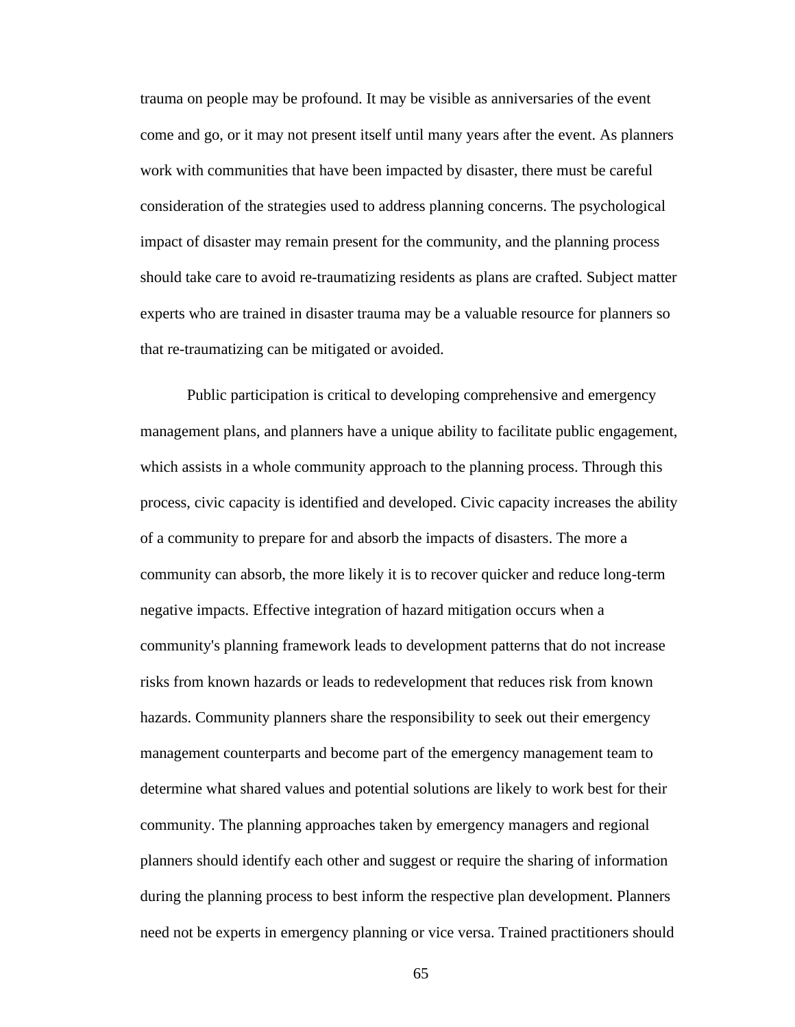trauma on people may be profound. It may be visible as anniversaries of the event come and go, or it may not present itself until many years after the event. As planners work with communities that have been impacted by disaster, there must be careful consideration of the strategies used to address planning concerns. The psychological impact of disaster may remain present for the community, and the planning process should take care to avoid re-traumatizing residents as plans are crafted. Subject matter experts who are trained in disaster trauma may be a valuable resource for planners so that re-traumatizing can be mitigated or avoided.

Public participation is critical to developing comprehensive and emergency management plans, and planners have a unique ability to facilitate public engagement, which assists in a whole community approach to the planning process. Through this process, civic capacity is identified and developed. Civic capacity increases the ability of a community to prepare for and absorb the impacts of disasters. The more a community can absorb, the more likely it is to recover quicker and reduce long-term negative impacts. Effective integration of hazard mitigation occurs when a community's planning framework leads to development patterns that do not increase risks from known hazards or leads to redevelopment that reduces risk from known hazards. Community planners share the responsibility to seek out their emergency management counterparts and become part of the emergency management team to determine what shared values and potential solutions are likely to work best for their community. The planning approaches taken by emergency managers and regional planners should identify each other and suggest or require the sharing of information during the planning process to best inform the respective plan development. Planners need not be experts in emergency planning or vice versa. Trained practitioners should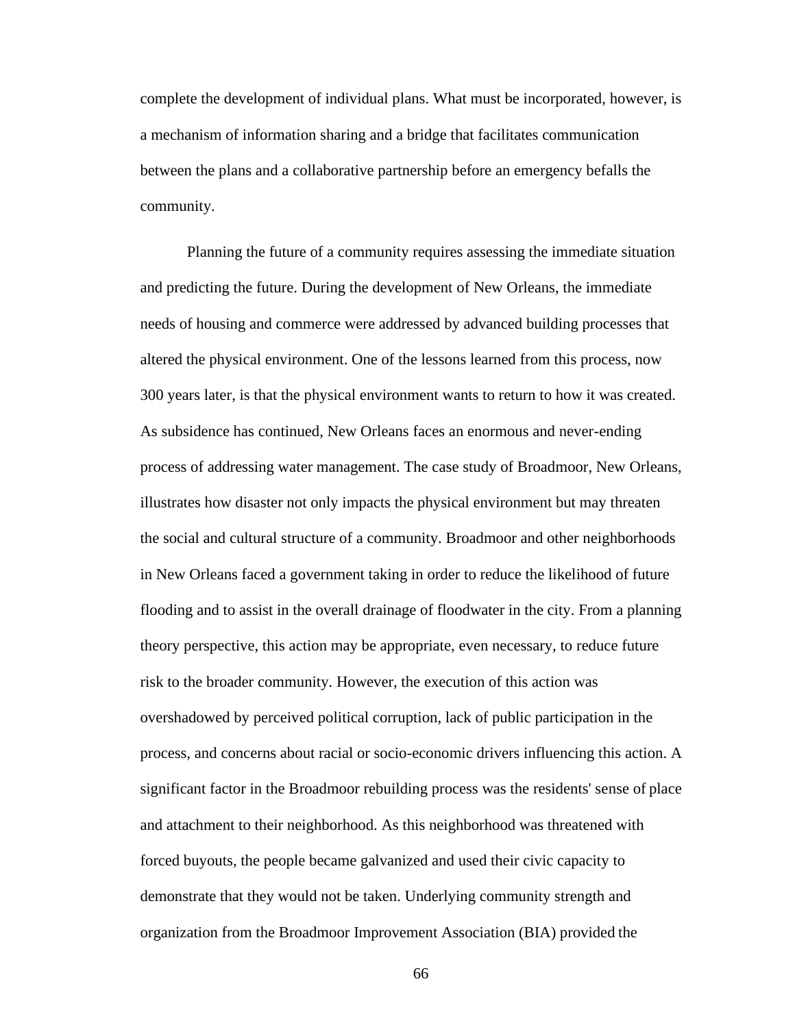complete the development of individual plans. What must be incorporated, however, is a mechanism of information sharing and a bridge that facilitates communication between the plans and a collaborative partnership before an emergency befalls the community.

Planning the future of a community requires assessing the immediate situation and predicting the future. During the development of New Orleans, the immediate needs of housing and commerce were addressed by advanced building processes that altered the physical environment. One of the lessons learned from this process, now 300 years later, is that the physical environment wants to return to how it was created. As subsidence has continued, New Orleans faces an enormous and never-ending process of addressing water management. The case study of Broadmoor, New Orleans, illustrates how disaster not only impacts the physical environment but may threaten the social and cultural structure of a community. Broadmoor and other neighborhoods in New Orleans faced a government taking in order to reduce the likelihood of future flooding and to assist in the overall drainage of floodwater in the city. From a planning theory perspective, this action may be appropriate, even necessary, to reduce future risk to the broader community. However, the execution of this action was overshadowed by perceived political corruption, lack of public participation in the process, and concerns about racial or socio-economic drivers influencing this action. A significant factor in the Broadmoor rebuilding process was the residents' sense of place and attachment to their neighborhood. As this neighborhood was threatened with forced buyouts, the people became galvanized and used their civic capacity to demonstrate that they would not be taken. Underlying community strength and organization from the Broadmoor Improvement Association (BIA) provided the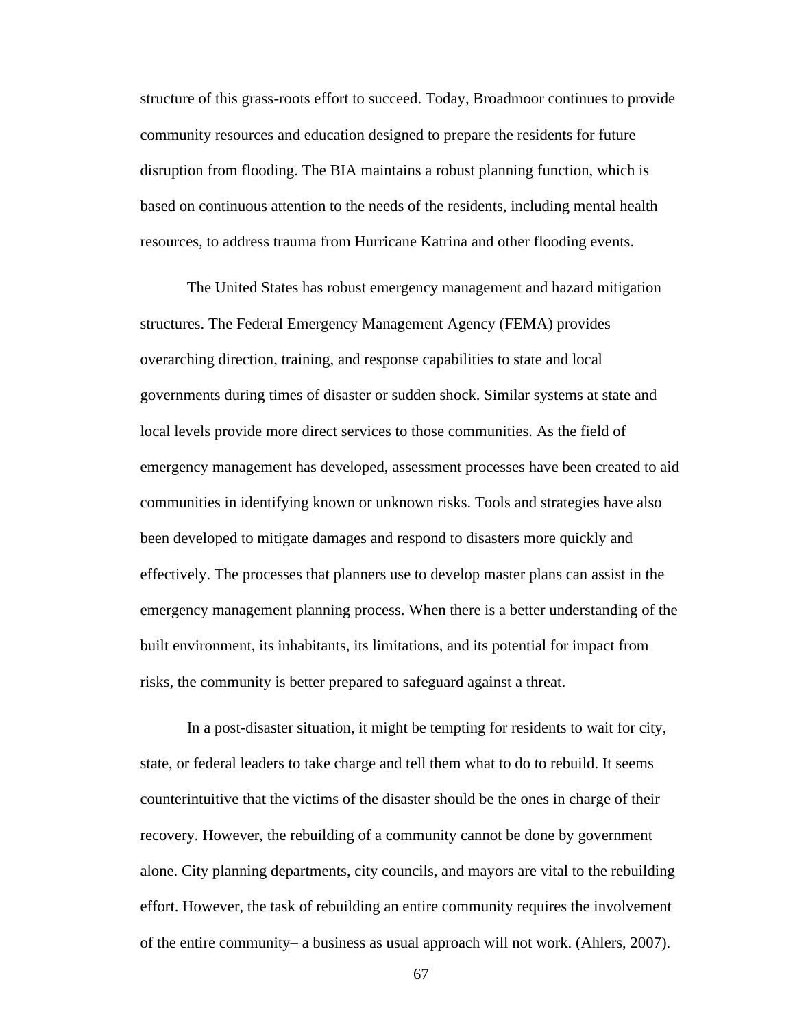structure of this grass-roots effort to succeed. Today, Broadmoor continues to provide community resources and education designed to prepare the residents for future disruption from flooding. The BIA maintains a robust planning function, which is based on continuous attention to the needs of the residents, including mental health resources, to address trauma from Hurricane Katrina and other flooding events.

The United States has robust emergency management and hazard mitigation structures. The Federal Emergency Management Agency (FEMA) provides overarching direction, training, and response capabilities to state and local governments during times of disaster or sudden shock. Similar systems at state and local levels provide more direct services to those communities. As the field of emergency management has developed, assessment processes have been created to aid communities in identifying known or unknown risks. Tools and strategies have also been developed to mitigate damages and respond to disasters more quickly and effectively. The processes that planners use to develop master plans can assist in the emergency management planning process. When there is a better understanding of the built environment, its inhabitants, its limitations, and its potential for impact from risks, the community is better prepared to safeguard against a threat.

In a post-disaster situation, it might be tempting for residents to wait for city, state, or federal leaders to take charge and tell them what to do to rebuild. It seems counterintuitive that the victims of the disaster should be the ones in charge of their recovery. However, the rebuilding of a community cannot be done by government alone. City planning departments, city councils, and mayors are vital to the rebuilding effort. However, the task of rebuilding an entire community requires the involvement of the entire community– a business as usual approach will not work. (Ahlers, 2007).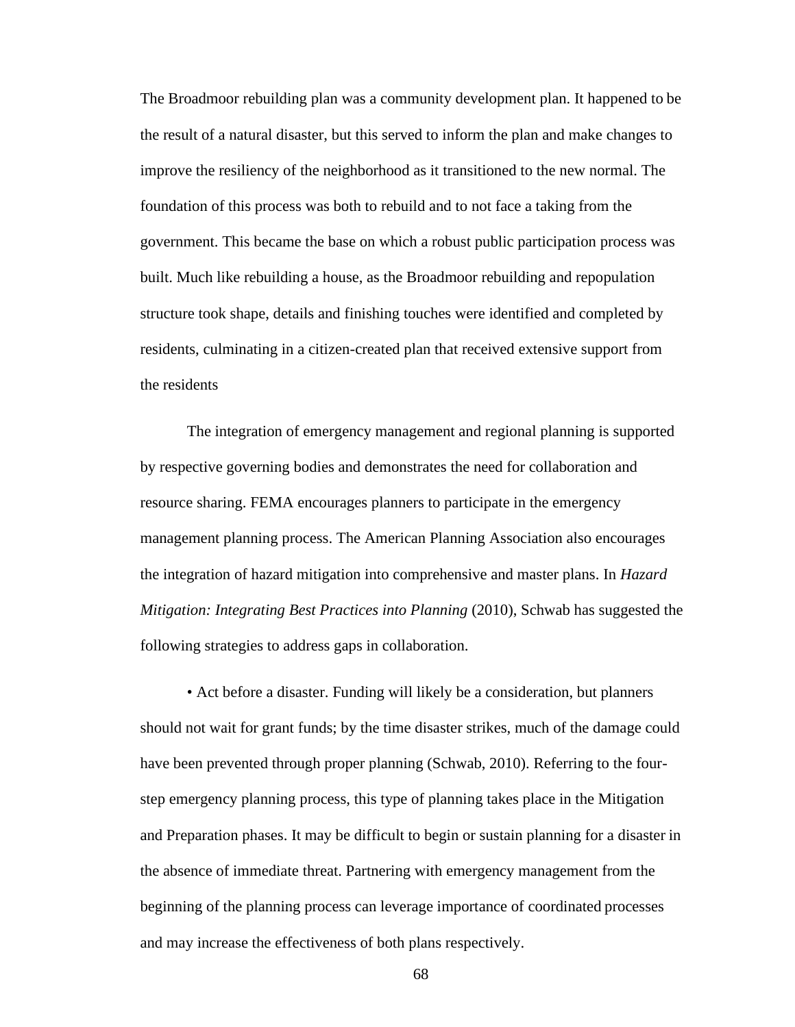The Broadmoor rebuilding plan was a community development plan. It happened to be the result of a natural disaster, but this served to inform the plan and make changes to improve the resiliency of the neighborhood as it transitioned to the new normal. The foundation of this process was both to rebuild and to not face a taking from the government. This became the base on which a robust public participation process was built. Much like rebuilding a house, as the Broadmoor rebuilding and repopulation structure took shape, details and finishing touches were identified and completed by residents, culminating in a citizen-created plan that received extensive support from the residents

The integration of emergency management and regional planning is supported by respective governing bodies and demonstrates the need for collaboration and resource sharing. FEMA encourages planners to participate in the emergency management planning process. The American Planning Association also encourages the integration of hazard mitigation into comprehensive and master plans. In *Hazard Mitigation: Integrating Best Practices into Planning* (2010), Schwab has suggested the following strategies to address gaps in collaboration.

• Act before a disaster. Funding will likely be a consideration, but planners should not wait for grant funds; by the time disaster strikes, much of the damage could have been prevented through proper planning (Schwab, 2010). Referring to the fourstep emergency planning process, this type of planning takes place in the Mitigation and Preparation phases. It may be difficult to begin or sustain planning for a disaster in the absence of immediate threat. Partnering with emergency management from the beginning of the planning process can leverage importance of coordinated processes and may increase the effectiveness of both plans respectively.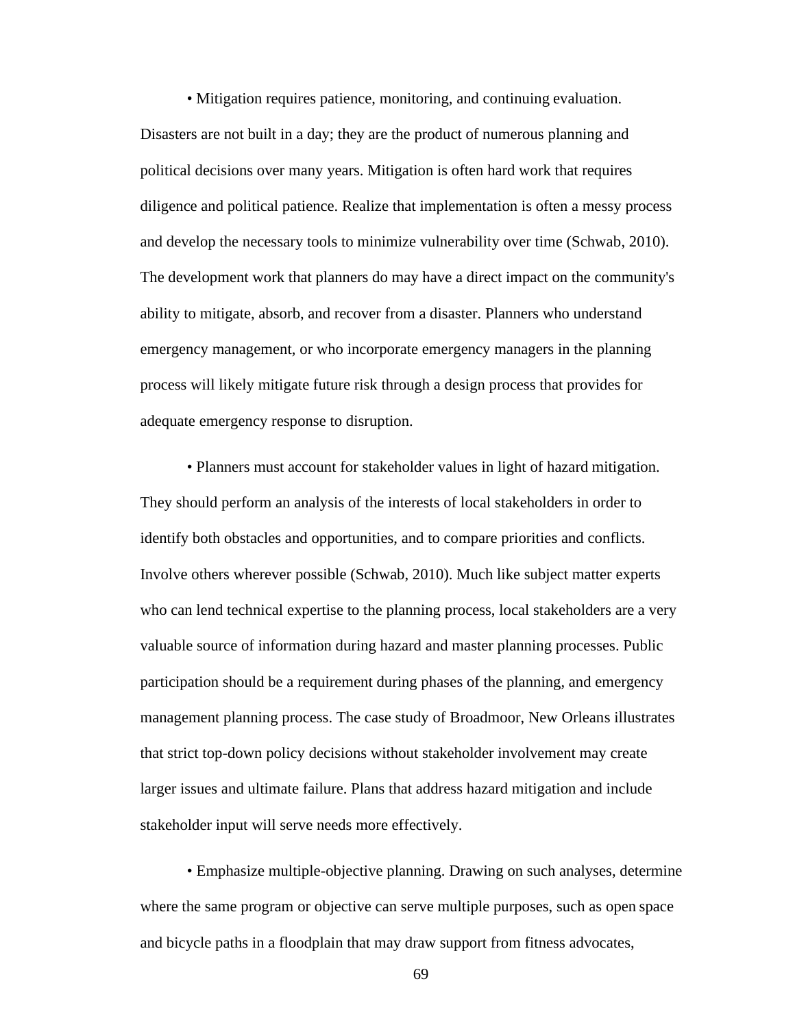• Mitigation requires patience, monitoring, and continuing evaluation. Disasters are not built in a day; they are the product of numerous planning and political decisions over many years. Mitigation is often hard work that requires diligence and political patience. Realize that implementation is often a messy process and develop the necessary tools to minimize vulnerability over time (Schwab, 2010). The development work that planners do may have a direct impact on the community's ability to mitigate, absorb, and recover from a disaster. Planners who understand emergency management, or who incorporate emergency managers in the planning process will likely mitigate future risk through a design process that provides for adequate emergency response to disruption.

• Planners must account for stakeholder values in light of hazard mitigation. They should perform an analysis of the interests of local stakeholders in order to identify both obstacles and opportunities, and to compare priorities and conflicts. Involve others wherever possible (Schwab, 2010). Much like subject matter experts who can lend technical expertise to the planning process, local stakeholders are a very valuable source of information during hazard and master planning processes. Public participation should be a requirement during phases of the planning, and emergency management planning process. The case study of Broadmoor, New Orleans illustrates that strict top-down policy decisions without stakeholder involvement may create larger issues and ultimate failure. Plans that address hazard mitigation and include stakeholder input will serve needs more effectively.

• Emphasize multiple-objective planning. Drawing on such analyses, determine where the same program or objective can serve multiple purposes, such as open space and bicycle paths in a floodplain that may draw support from fitness advocates,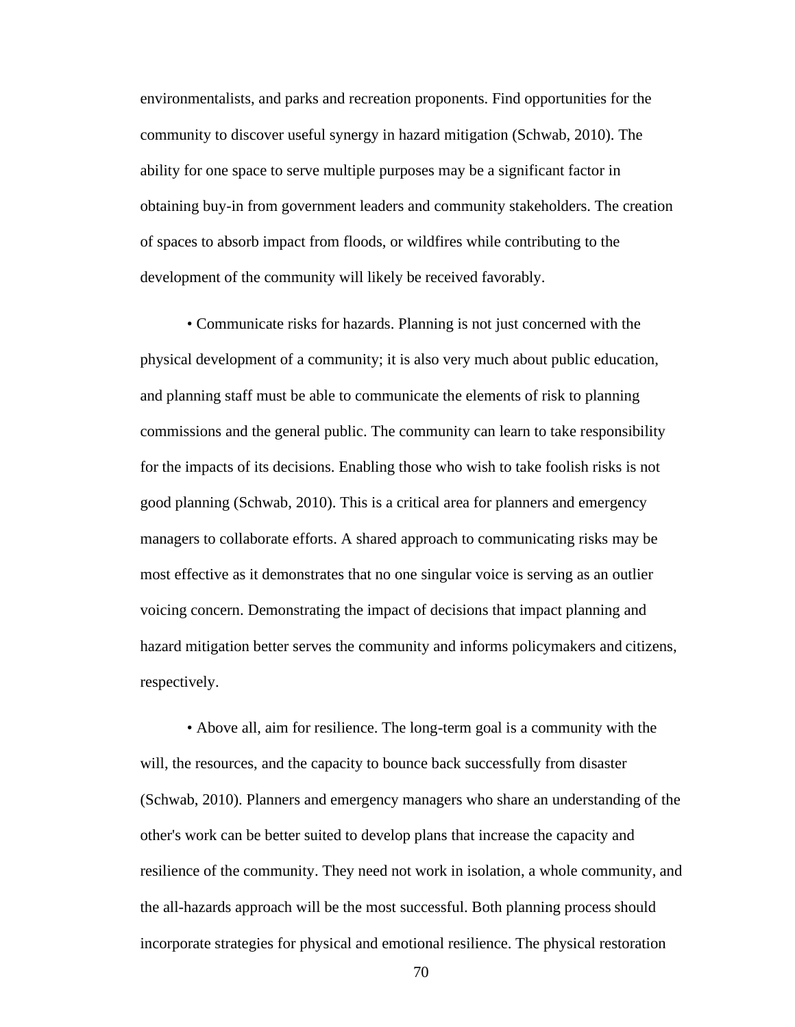environmentalists, and parks and recreation proponents. Find opportunities for the community to discover useful synergy in hazard mitigation (Schwab, 2010). The ability for one space to serve multiple purposes may be a significant factor in obtaining buy-in from government leaders and community stakeholders. The creation of spaces to absorb impact from floods, or wildfires while contributing to the development of the community will likely be received favorably.

• Communicate risks for hazards. Planning is not just concerned with the physical development of a community; it is also very much about public education, and planning staff must be able to communicate the elements of risk to planning commissions and the general public. The community can learn to take responsibility for the impacts of its decisions. Enabling those who wish to take foolish risks is not good planning (Schwab, 2010). This is a critical area for planners and emergency managers to collaborate efforts. A shared approach to communicating risks may be most effective as it demonstrates that no one singular voice is serving as an outlier voicing concern. Demonstrating the impact of decisions that impact planning and hazard mitigation better serves the community and informs policymakers and citizens, respectively.

• Above all, aim for resilience. The long-term goal is a community with the will, the resources, and the capacity to bounce back successfully from disaster (Schwab, 2010). Planners and emergency managers who share an understanding of the other's work can be better suited to develop plans that increase the capacity and resilience of the community. They need not work in isolation, a whole community, and the all-hazards approach will be the most successful. Both planning process should incorporate strategies for physical and emotional resilience. The physical restoration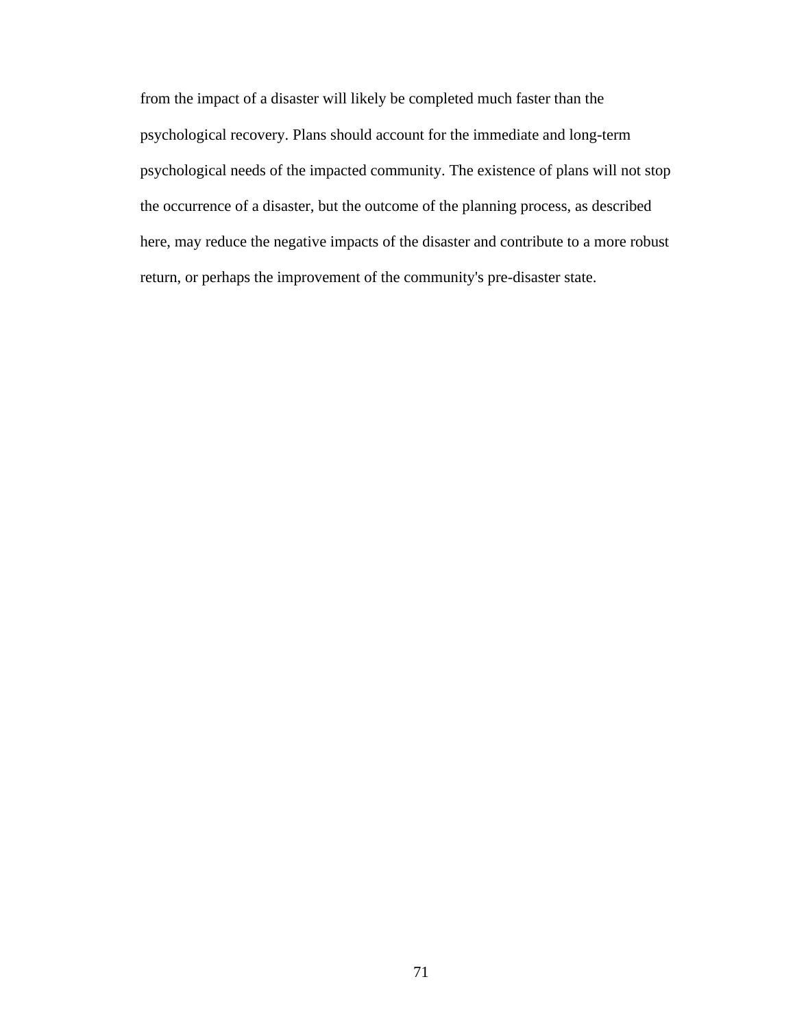from the impact of a disaster will likely be completed much faster than the psychological recovery. Plans should account for the immediate and long-term psychological needs of the impacted community. The existence of plans will not stop the occurrence of a disaster, but the outcome of the planning process, as described here, may reduce the negative impacts of the disaster and contribute to a more robust return, or perhaps the improvement of the community's pre-disaster state.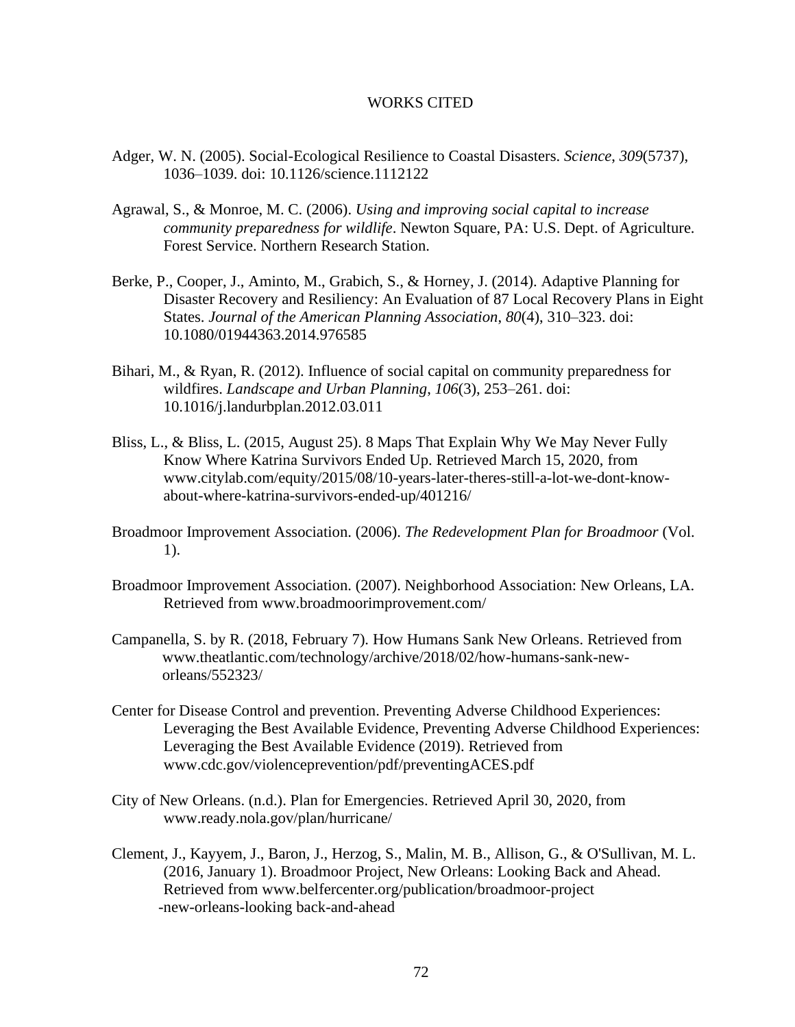## WORKS CITED

- Adger, W. N. (2005). Social-Ecological Resilience to Coastal Disasters. *Science*, *309*(5737), 1036–1039. doi: 10.1126/science.1112122
- Agrawal, S., & Monroe, M. C. (2006). *Using and improving social capital to increase community preparedness for wildlife*. Newton Square, PA: U.S. Dept. of Agriculture. Forest Service. Northern Research Station.
- Berke, P., Cooper, J., Aminto, M., Grabich, S., & Horney, J. (2014). Adaptive Planning for Disaster Recovery and Resiliency: An Evaluation of 87 Local Recovery Plans in Eight States. *Journal of the American Planning Association*, *80*(4), 310–323. doi: 10.1080/01944363.2014.976585
- Bihari, M., & Ryan, R. (2012). Influence of social capital on community preparedness for wildfires. *Landscape and Urban Planning*, *106*(3), 253–261. doi: 10.1016/j.landurbplan.2012.03.011
- Bliss, L., & Bliss, L. (2015, August 25). 8 Maps That Explain Why We May Never Fully Know Where Katrina Survivors Ended Up. Retrieved March 15, 2020, from [www.citylab.com/equity/2015/08/10-years-later-theres-still-a-lot-we-dont-know](http://www.citylab.com/equity/2015/08/10-years-later-theres-still-a-lot-we-dont-know-)about-where-katrina-survivors-ended-up/401216/
- Broadmoor Improvement Association. (2006). *The Redevelopment Plan for Broadmoor* (Vol. 1).
- Broadmoor Improvement Association. (2007). Neighborhood Association: New Orleans, LA. Retrieved from [www.broadmoorimprovement.com/](http://www.broadmoorimprovement.com/)
- Campanella, S. by R. (2018, February 7). How Humans Sank New Orleans. Retrieved from [www.theatlantic.com/technology/archive/2018/02/how-humans-sank-new](http://www.theatlantic.com/technology/archive/2018/02/how-humans-sank-new-)orleans/552323/
- Center for Disease Control and prevention. Preventing Adverse Childhood Experiences: Leveraging the Best Available Evidence, Preventing Adverse Childhood Experiences: Leveraging the Best Available Evidence (2019). Retrieved from [www.cdc.gov/violenceprevention/pdf/preventingACES.pdf](http://www.cdc.gov/violenceprevention/pdf/preventingACES.pdf)
- City of New Orleans. (n.d.). Plan for Emergencies. Retrieved April 30, 2020, from [www.ready.nola.gov/plan/hurricane/](http://www.ready.nola.gov/plan/hurricane/)
- Clement, J., Kayyem, J., Baron, J., Herzog, S., Malin, M. B., Allison, G., & O'Sullivan, M. L. (2016, January 1). Broadmoor Project, New Orleans: Looking Back and Ahead. Retrieved from [www.belfercenter.org/publication/broadmoor-project](http://www.belfercenter.org/publication/broadmoor-project) -new-orleans-looking back-and-ahead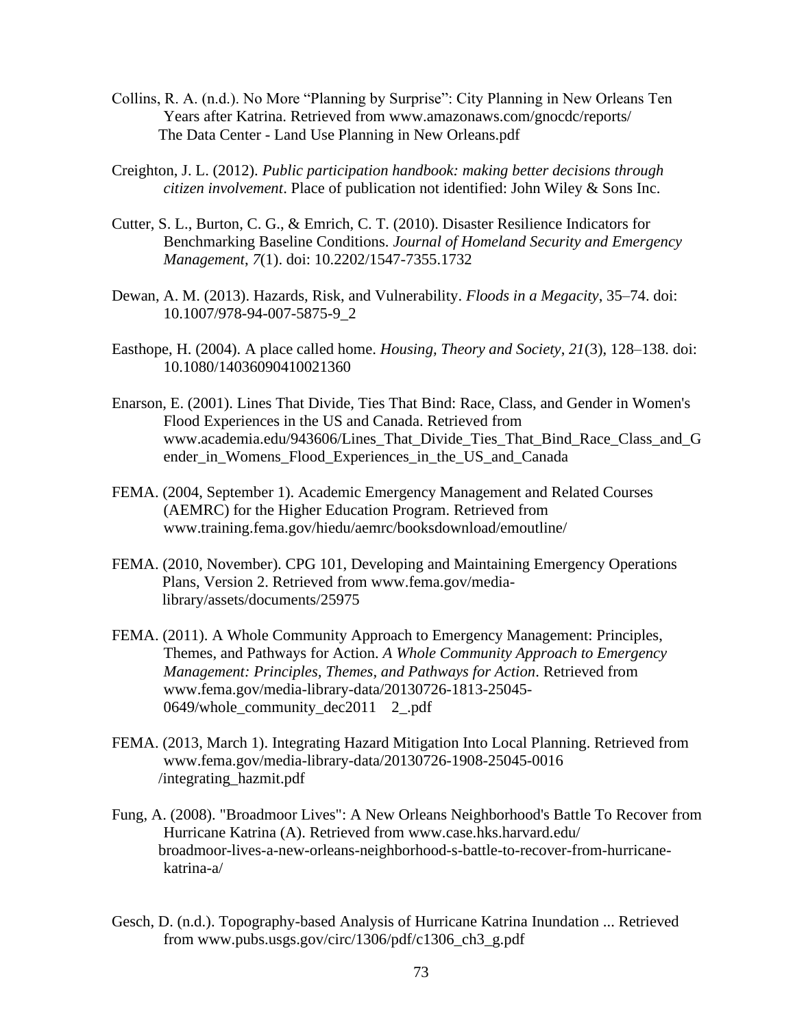- Collins, R. A. (n.d.). No More "Planning by Surprise": City Planning in New Orleans Ten Years after Katrina. Retrieved from [www.amazonaws.com/gnocdc/reports/](http://www.amazonaws.com/gnocdc/reports/) The Data Center - Land Use Planning in New Orleans.pdf
- Creighton, J. L. (2012). *Public participation handbook: making better decisions through citizen involvement*. Place of publication not identified: John Wiley & Sons Inc.
- Cutter, S. L., Burton, C. G., & Emrich, C. T. (2010). Disaster Resilience Indicators for Benchmarking Baseline Conditions. *Journal of Homeland Security and Emergency Management*, *7*(1). doi: 10.2202/1547-7355.1732
- Dewan, A. M. (2013). Hazards, Risk, and Vulnerability. *Floods in a Megacity*, 35–74. doi: 10.1007/978-94-007-5875-9\_2
- Easthope, H. (2004). A place called home. *Housing, Theory and Society*, *21*(3), 128–138. doi: 10.1080/14036090410021360
- Enarson, E. (2001). Lines That Divide, Ties That Bind: Race, Class, and Gender in Women's Flood Experiences in the US and Canada. Retrieved from [www.academia.edu/943606/Lines\\_That\\_Divide\\_Ties\\_That\\_Bind\\_Race\\_Class\\_and\\_G](http://www.academia.edu/943606/Lines_That_Divide_Ties_That_Bind_Race_Class_and_G) ender in Womens Flood Experiences in the US and Canada
- FEMA. (2004, September 1). Academic Emergency Management and Related Courses (AEMRC) for the Higher Education Program. Retrieved from [www.training.fema.gov/hiedu/aemrc/booksdownload/emoutline/](http://www.training.fema.gov/hiedu/aemrc/booksdownload/emoutline/)
- FEMA. (2010, November). CPG 101, Developing and Maintaining Emergency Operations Plans, Version 2. Retrieved from [www.fema.gov/media](http://www.fema.gov/media-)library/assets/documents/25975
- FEMA. (2011). A Whole Community Approach to Emergency Management: Principles, Themes, and Pathways for Action. *A Whole Community Approach to Emergency Management: Principles, Themes, and Pathways for Action*. Retrieved from [www.fema.gov/media-library-data/20130726-1813-25045-](http://www.fema.gov/media-library-data/20130726-1813-25045-) 0649/whole\_community\_dec2011 2\_.pdf
- FEMA. (2013, March 1). Integrating Hazard Mitigation Into Local Planning. Retrieved from [www.fema.gov/media-library-data/20130726-1908-25045-0016](http://www.fema.gov/media-library-data/20130726-1908-25045-0016) /integrating\_hazmit.pdf
- Fung, A. (2008). "Broadmoor Lives": A New Orleans Neighborhood's Battle To Recover from Hurricane Katrina (A). Retrieved from [www.case.hks.harvard.edu/](http://www.case.hks.harvard.edu/) broadmoor-lives-a-new-orleans-neighborhood-s-battle-to-recover-from-hurricanekatrina-a/
- Gesch, D. (n.d.). Topography-based Analysis of Hurricane Katrina Inundation ... Retrieved from [www.pubs.usgs.gov/circ/1306/pdf/c1306\\_ch3\\_g.pdf](http://www.pubs.usgs.gov/circ/1306/pdf/c1306_ch3_g.pdf)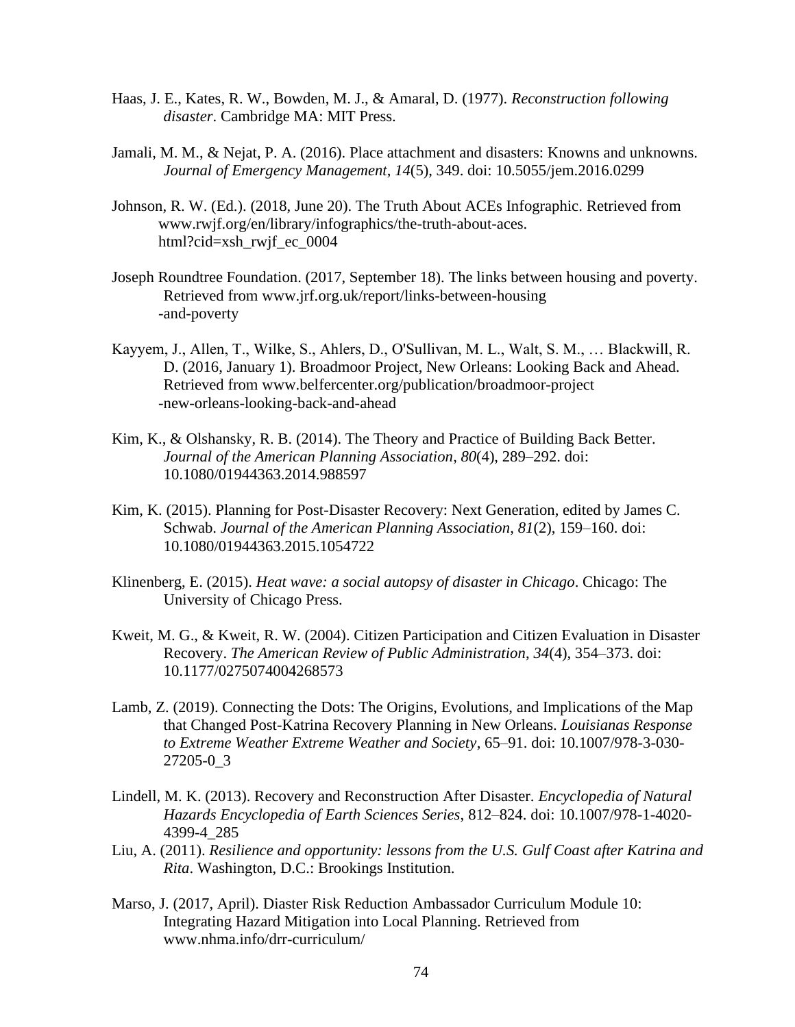- Haas, J. E., Kates, R. W., Bowden, M. J., & Amaral, D. (1977). *Reconstruction following disaster*. Cambridge MA: MIT Press.
- Jamali, M. M., & Nejat, P. A. (2016). Place attachment and disasters: Knowns and unknowns. *Journal of Emergency Management*, *14*(5), 349. doi: 10.5055/jem.2016.0299
- Johnson, R. W. (Ed.). (2018, June 20). The Truth About ACEs Infographic. Retrieved from [www.rwjf.org/en/library/infographics/the-truth-about-aces.](http://www.rwjf.org/en/library/infographics/the-truth-about-aces) html?cid=xsh\_rwjf\_ec\_0004
- Joseph Roundtree Foundation. (2017, September 18). The links between housing and poverty. Retrieved from [www.jrf.org.uk/report/links-between-housing](http://www.jrf.org.uk/report/links-between-housing) -and-poverty
- Kayyem, J., Allen, T., Wilke, S., Ahlers, D., O'Sullivan, M. L., Walt, S. M., … Blackwill, R. D. (2016, January 1). Broadmoor Project, New Orleans: Looking Back and Ahead. Retrieved from [www.belfercenter.org/publication/broadmoor-project](http://www.belfercenter.org/publication/broadmoor-project) -new-orleans-looking-back-and-ahead
- Kim, K., & Olshansky, R. B. (2014). The Theory and Practice of Building Back Better. *Journal of the American Planning Association*, *80*(4), 289–292. doi: 10.1080/01944363.2014.988597
- Kim, K. (2015). Planning for Post-Disaster Recovery: Next Generation, edited by James C. Schwab. *Journal of the American Planning Association*, *81*(2), 159–160. doi: 10.1080/01944363.2015.1054722
- Klinenberg, E. (2015). *Heat wave: a social autopsy of disaster in Chicago*. Chicago: The University of Chicago Press.
- Kweit, M. G., & Kweit, R. W. (2004). Citizen Participation and Citizen Evaluation in Disaster Recovery. *The American Review of Public Administration*, *34*(4), 354–373. doi: 10.1177/0275074004268573
- Lamb, Z. (2019). Connecting the Dots: The Origins, Evolutions, and Implications of the Map that Changed Post-Katrina Recovery Planning in New Orleans. *Louisianas Response to Extreme Weather Extreme Weather and Society*, 65–91. doi: 10.1007/978-3-030- 27205-0\_3
- Lindell, M. K. (2013). Recovery and Reconstruction After Disaster. *Encyclopedia of Natural Hazards Encyclopedia of Earth Sciences Series*, 812–824. doi: 10.1007/978-1-4020- 4399-4\_285
- Liu, A. (2011). *Resilience and opportunity: lessons from the U.S. Gulf Coast after Katrina and Rita*. Washington, D.C.: Brookings Institution.
- Marso, J. (2017, April). Diaster Risk Reduction Ambassador Curriculum Module 10: Integrating Hazard Mitigation into Local Planning. Retrieved from [www.nhma.info/drr-curriculum/](http://www.nhma.info/drr-curriculum/)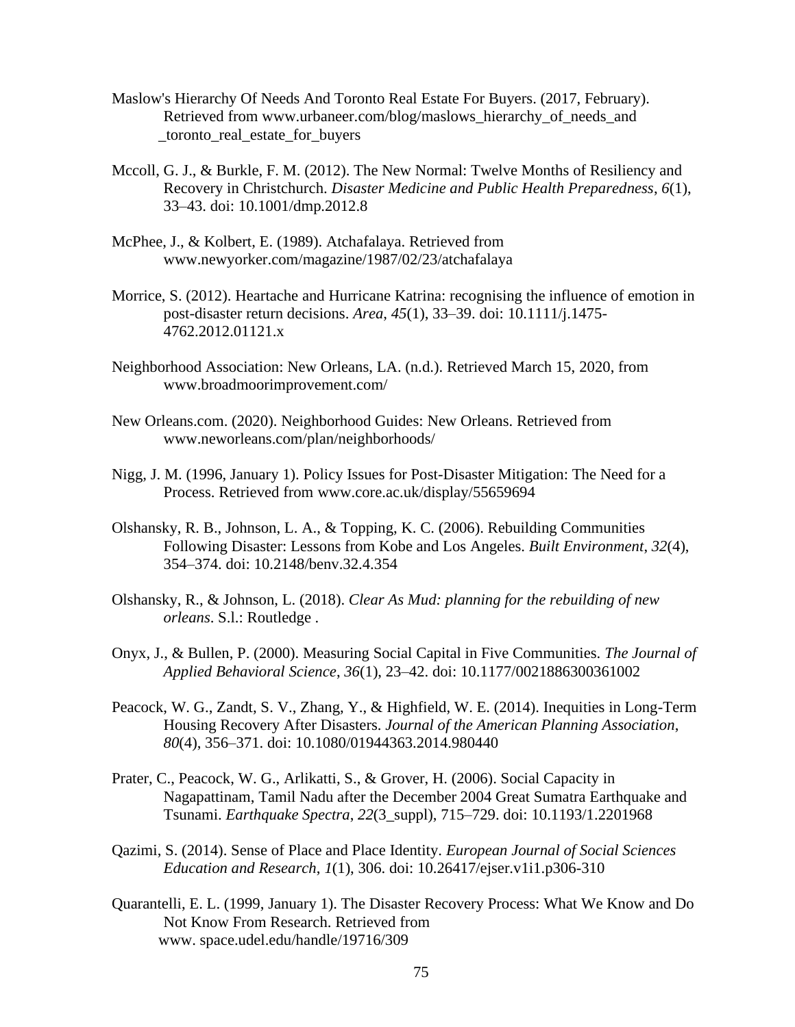- Maslow's Hierarchy Of Needs And Toronto Real Estate For Buyers. (2017, February). Retrieved from [www.urbaneer.com/blog/maslows\\_hierarchy\\_of\\_needs\\_and](http://www.urbaneer.com/blog/maslows_hierarchy_of_needs_and) \_toronto\_real\_estate\_for\_buyers
- Mccoll, G. J., & Burkle, F. M. (2012). The New Normal: Twelve Months of Resiliency and Recovery in Christchurch. *Disaster Medicine and Public Health Preparedness*, *6*(1), 33–43. doi: 10.1001/dmp.2012.8
- McPhee, J., & Kolbert, E. (1989). Atchafalaya. Retrieved from [www.newyorker.com/magazine/1987/02/23/atchafalaya](http://www.newyorker.com/magazine/1987/02/23/atchafalaya)
- Morrice, S. (2012). Heartache and Hurricane Katrina: recognising the influence of emotion in post-disaster return decisions. *Area*, *45*(1), 33–39. doi: 10.1111/j.1475- 4762.2012.01121.x
- Neighborhood Association: New Orleans, LA. (n.d.). Retrieved March 15, 2020, from [www.broadmoorimprovement.com/](http://www.broadmoorimprovement.com/)
- New Orleans.com. (2020). Neighborhood Guides: New Orleans. Retrieved from [www.neworleans.com/plan/neighborhoods/](http://www.neworleans.com/plan/neighborhoods/)
- Nigg, J. M. (1996, January 1). Policy Issues for Post-Disaster Mitigation: The Need for a Process. Retrieved from [www.core.ac.uk/display/55659694](http://www.core.ac.uk/display/55659694)
- Olshansky, R. B., Johnson, L. A., & Topping, K. C. (2006). Rebuilding Communities Following Disaster: Lessons from Kobe and Los Angeles. *Built Environment*, *32*(4), 354–374. doi: 10.2148/benv.32.4.354
- Olshansky, R., & Johnson, L. (2018). *Clear As Mud: planning for the rebuilding of new orleans*. S.l.: Routledge .
- Onyx, J., & Bullen, P. (2000). Measuring Social Capital in Five Communities. *The Journal of Applied Behavioral Science*, *36*(1), 23–42. doi: 10.1177/0021886300361002
- Peacock, W. G., Zandt, S. V., Zhang, Y., & Highfield, W. E. (2014). Inequities in Long-Term Housing Recovery After Disasters. *Journal of the American Planning Association*, *80*(4), 356–371. doi: 10.1080/01944363.2014.980440
- Prater, C., Peacock, W. G., Arlikatti, S., & Grover, H. (2006). Social Capacity in Nagapattinam, Tamil Nadu after the December 2004 Great Sumatra Earthquake and Tsunami. *Earthquake Spectra*, *22*(3\_suppl), 715–729. doi: 10.1193/1.2201968
- Qazimi, S. (2014). Sense of Place and Place Identity. *European Journal of Social Sciences Education and Research*, *1*(1), 306. doi: 10.26417/ejser.v1i1.p306-310
- Quarantelli, E. L. (1999, January 1). The Disaster Recovery Process: What We Know and Do Not Know From Research. Retrieved from [www.](http://www/) space.udel.edu/handle/19716/309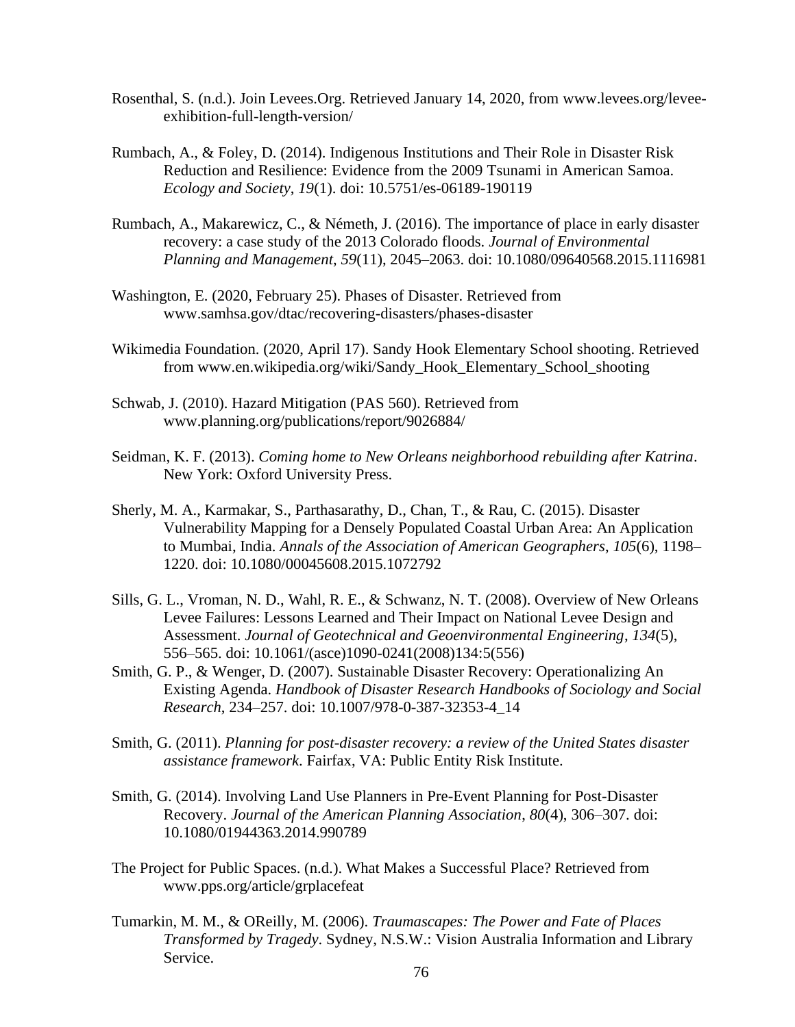- Rosenthal, S. (n.d.). Join Levees.Org. Retrieved January 14, 2020, from [www.levees.org/levee](http://www.levees.org/levee-)exhibition-full-length-version/
- Rumbach, A., & Foley, D. (2014). Indigenous Institutions and Their Role in Disaster Risk Reduction and Resilience: Evidence from the 2009 Tsunami in American Samoa. *Ecology and Society*, *19*(1). doi: 10.5751/es-06189-190119
- Rumbach, A., Makarewicz, C., & Németh, J. (2016). The importance of place in early disaster recovery: a case study of the 2013 Colorado floods. *Journal of Environmental Planning and Management*, *59*(11), 2045–2063. doi: 10.1080/09640568.2015.1116981
- Washington, E. (2020, February 25). Phases of Disaster. Retrieved from [www.samhsa.gov/dtac/recovering-disasters/phases-disaster](http://www.samhsa.gov/dtac/recovering-disasters/phases-disaster)
- Wikimedia Foundation. (2020, April 17). Sandy Hook Elementary School shooting. Retrieved from [www.en.wikipedia.org/wiki/Sandy\\_Hook\\_Elementary\\_School\\_shooting](http://www.en.wikipedia.org/wiki/Sandy_Hook_Elementary_School_shooting)
- Schwab, J. (2010). Hazard Mitigation (PAS 560). Retrieved from [www.planning.org/publications/report/9026884/](http://www.planning.org/publications/report/9026884/)
- Seidman, K. F. (2013). *Coming home to New Orleans neighborhood rebuilding after Katrina*. New York: Oxford University Press.
- Sherly, M. A., Karmakar, S., Parthasarathy, D., Chan, T., & Rau, C. (2015). Disaster Vulnerability Mapping for a Densely Populated Coastal Urban Area: An Application to Mumbai, India. *Annals of the Association of American Geographers*, *105*(6), 1198– 1220. doi: 10.1080/00045608.2015.1072792
- Sills, G. L., Vroman, N. D., Wahl, R. E., & Schwanz, N. T. (2008). Overview of New Orleans Levee Failures: Lessons Learned and Their Impact on National Levee Design and Assessment. *Journal of Geotechnical and Geoenvironmental Engineering*, *134*(5), 556–565. doi: 10.1061/(asce)1090-0241(2008)134:5(556)
- Smith, G. P., & Wenger, D. (2007). Sustainable Disaster Recovery: Operationalizing An Existing Agenda. *Handbook of Disaster Research Handbooks of Sociology and Social Research*, 234–257. doi: 10.1007/978-0-387-32353-4\_14
- Smith, G. (2011). *Planning for post-disaster recovery: a review of the United States disaster assistance framework*. Fairfax, VA: Public Entity Risk Institute.
- Smith, G. (2014). Involving Land Use Planners in Pre-Event Planning for Post-Disaster Recovery. *Journal of the American Planning Association*, *80*(4), 306–307. doi: 10.1080/01944363.2014.990789
- The Project for Public Spaces. (n.d.). What Makes a Successful Place? Retrieved from [www.pps.org/article/grplacefeat](http://www.pps.org/article/grplacefeat)
- Tumarkin, M. M., & OReilly, M. (2006). *Traumascapes: The Power and Fate of Places Transformed by Tragedy*. Sydney, N.S.W.: Vision Australia Information and Library Service.